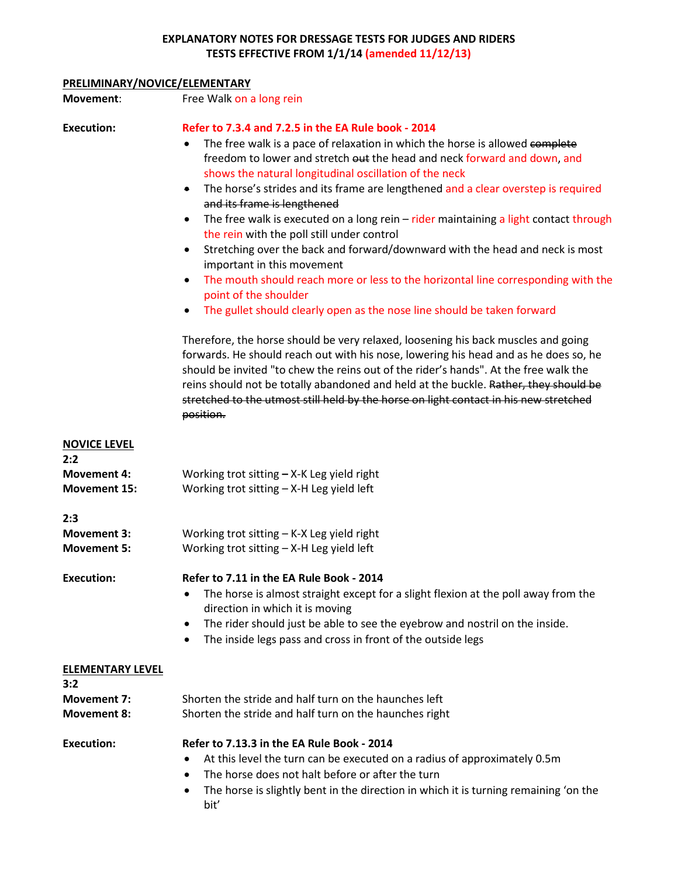#### **EXPLANATORY NOTES FOR DRESSAGE TESTS FOR JUDGES AND RIDERS TESTS EFFECTIVE FROM 1/1/14 (amended 11/12/13)**

### **PRELIMINARY/NOVICE/ELEMENTARY**

| Movement:                                 | Free Walk on a long rein                                                                                                                                                                                                                                                                                                                                                                                                                                                                                                                                                                                                                                                                                                                                                                                                                                                                                                                                                                                                                                                                                                                                              |
|-------------------------------------------|-----------------------------------------------------------------------------------------------------------------------------------------------------------------------------------------------------------------------------------------------------------------------------------------------------------------------------------------------------------------------------------------------------------------------------------------------------------------------------------------------------------------------------------------------------------------------------------------------------------------------------------------------------------------------------------------------------------------------------------------------------------------------------------------------------------------------------------------------------------------------------------------------------------------------------------------------------------------------------------------------------------------------------------------------------------------------------------------------------------------------------------------------------------------------|
| <b>Execution:</b>                         | Refer to 7.3.4 and 7.2.5 in the EA Rule book - 2014<br>The free walk is a pace of relaxation in which the horse is allowed complete<br>freedom to lower and stretch out the head and neck forward and down, and<br>shows the natural longitudinal oscillation of the neck<br>The horse's strides and its frame are lengthened and a clear overstep is required<br>$\bullet$<br>and its frame is lengthened<br>The free walk is executed on a long rein $-$ rider maintaining a light contact through<br>$\bullet$<br>the rein with the poll still under control<br>Stretching over the back and forward/downward with the head and neck is most<br>$\bullet$<br>important in this movement<br>The mouth should reach more or less to the horizontal line corresponding with the<br>$\bullet$<br>point of the shoulder<br>The gullet should clearly open as the nose line should be taken forward<br>Therefore, the horse should be very relaxed, loosening his back muscles and going<br>forwards. He should reach out with his nose, lowering his head and as he does so, he<br>should be invited "to chew the reins out of the rider's hands". At the free walk the |
|                                           | reins should not be totally abandoned and held at the buckle. Rather, they should be<br>stretched to the utmost still held by the horse on light contact in his new stretched<br>position.                                                                                                                                                                                                                                                                                                                                                                                                                                                                                                                                                                                                                                                                                                                                                                                                                                                                                                                                                                            |
| <b>NOVICE LEVEL</b><br>2:2                |                                                                                                                                                                                                                                                                                                                                                                                                                                                                                                                                                                                                                                                                                                                                                                                                                                                                                                                                                                                                                                                                                                                                                                       |
| <b>Movement 4:</b><br><b>Movement 15:</b> | Working trot sitting $-$ X-K Leg yield right<br>Working trot sitting - X-H Leg yield left                                                                                                                                                                                                                                                                                                                                                                                                                                                                                                                                                                                                                                                                                                                                                                                                                                                                                                                                                                                                                                                                             |
| 2:3                                       |                                                                                                                                                                                                                                                                                                                                                                                                                                                                                                                                                                                                                                                                                                                                                                                                                                                                                                                                                                                                                                                                                                                                                                       |
| <b>Movement 3:</b><br><b>Movement 5:</b>  | Working trot sitting $-$ K-X Leg yield right<br>Working trot sitting - X-H Leg yield left                                                                                                                                                                                                                                                                                                                                                                                                                                                                                                                                                                                                                                                                                                                                                                                                                                                                                                                                                                                                                                                                             |
| <b>Execution:</b>                         | Refer to 7.11 in the EA Rule Book - 2014<br>The horse is almost straight except for a slight flexion at the poll away from the<br>direction in which it is moving<br>The rider should just be able to see the eyebrow and nostril on the inside.<br>$\bullet$<br>The inside legs pass and cross in front of the outside legs                                                                                                                                                                                                                                                                                                                                                                                                                                                                                                                                                                                                                                                                                                                                                                                                                                          |
| <b>ELEMENTARY LEVEL</b>                   |                                                                                                                                                                                                                                                                                                                                                                                                                                                                                                                                                                                                                                                                                                                                                                                                                                                                                                                                                                                                                                                                                                                                                                       |
| 3:2                                       |                                                                                                                                                                                                                                                                                                                                                                                                                                                                                                                                                                                                                                                                                                                                                                                                                                                                                                                                                                                                                                                                                                                                                                       |
| <b>Movement 7:</b><br><b>Movement 8:</b>  | Shorten the stride and half turn on the haunches left<br>Shorten the stride and half turn on the haunches right                                                                                                                                                                                                                                                                                                                                                                                                                                                                                                                                                                                                                                                                                                                                                                                                                                                                                                                                                                                                                                                       |
| <b>Execution:</b>                         | Refer to 7.13.3 in the EA Rule Book - 2014<br>At this level the turn can be executed on a radius of approximately 0.5m<br>The horse does not halt before or after the turn<br>$\bullet$<br>The horse is slightly bent in the direction in which it is turning remaining 'on the<br>٠<br>bit'                                                                                                                                                                                                                                                                                                                                                                                                                                                                                                                                                                                                                                                                                                                                                                                                                                                                          |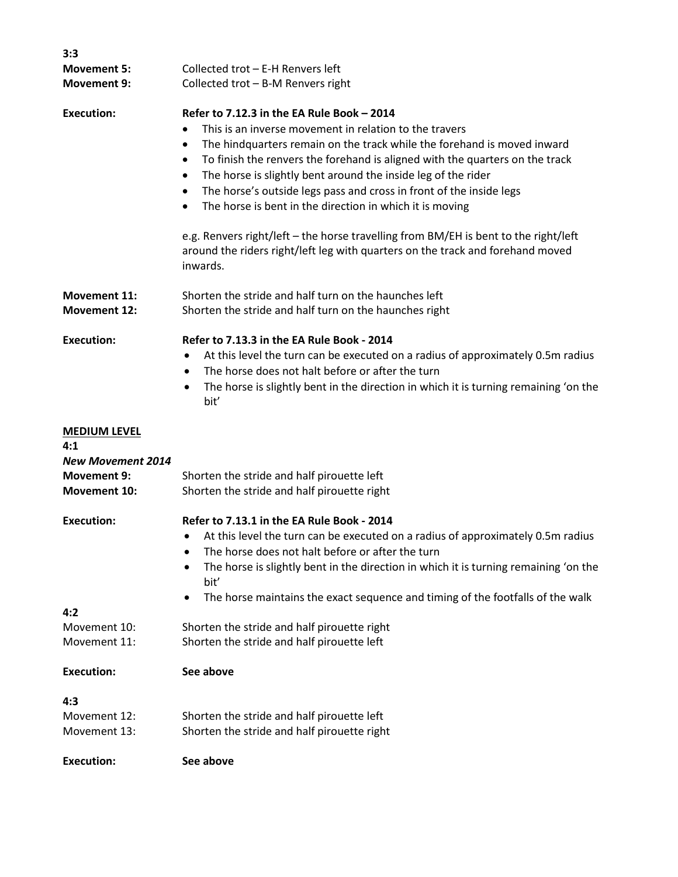| 3:3                      |                                                                                                   |
|--------------------------|---------------------------------------------------------------------------------------------------|
| <b>Movement 5:</b>       | Collected trot - E-H Renvers left                                                                 |
| <b>Movement 9:</b>       | Collected trot - B-M Renvers right                                                                |
| <b>Execution:</b>        | Refer to 7.12.3 in the EA Rule Book - 2014                                                        |
|                          | This is an inverse movement in relation to the travers                                            |
|                          | The hindquarters remain on the track while the forehand is moved inward<br>٠                      |
|                          | To finish the renvers the forehand is aligned with the quarters on the track<br>٠                 |
|                          | The horse is slightly bent around the inside leg of the rider                                     |
|                          | The horse's outside legs pass and cross in front of the inside legs                               |
|                          | The horse is bent in the direction in which it is moving<br>$\bullet$                             |
|                          |                                                                                                   |
|                          | e.g. Renvers right/left - the horse travelling from BM/EH is bent to the right/left               |
|                          | around the riders right/left leg with quarters on the track and forehand moved<br>inwards.        |
| <b>Movement 11:</b>      | Shorten the stride and half turn on the haunches left                                             |
| <b>Movement 12:</b>      | Shorten the stride and half turn on the haunches right                                            |
| <b>Execution:</b>        | Refer to 7.13.3 in the EA Rule Book - 2014                                                        |
|                          | At this level the turn can be executed on a radius of approximately 0.5m radius<br>$\bullet$      |
|                          | The horse does not halt before or after the turn<br>٠                                             |
|                          | The horse is slightly bent in the direction in which it is turning remaining 'on the<br>٠<br>bit' |
| <b>MEDIUM LEVEL</b>      |                                                                                                   |
| 4:1                      |                                                                                                   |
| <b>New Movement 2014</b> |                                                                                                   |
| <b>Movement 9:</b>       | Shorten the stride and half pirouette left                                                        |
| Movement 10:             | Shorten the stride and half pirouette right                                                       |
| <b>Execution:</b>        | Refer to 7.13.1 in the EA Rule Book - 2014                                                        |
|                          | At this level the turn can be executed on a radius of approximately 0.5m radius                   |
|                          | The horse does not halt before or after the turn<br>٠                                             |
|                          | The horse is slightly bent in the direction in which it is turning remaining 'on the<br>bit'      |
|                          | The horse maintains the exact sequence and timing of the footfalls of the walk                    |
| 4:2                      | ٠                                                                                                 |
| Movement 10:             | Shorten the stride and half pirouette right                                                       |
| Movement 11:             | Shorten the stride and half pirouette left                                                        |
| <b>Execution:</b>        | See above                                                                                         |
|                          |                                                                                                   |
| 4:3                      |                                                                                                   |
| Movement 12:             | Shorten the stride and half pirouette left                                                        |
| Movement 13:             | Shorten the stride and half pirouette right                                                       |
| <b>Execution:</b>        | See above                                                                                         |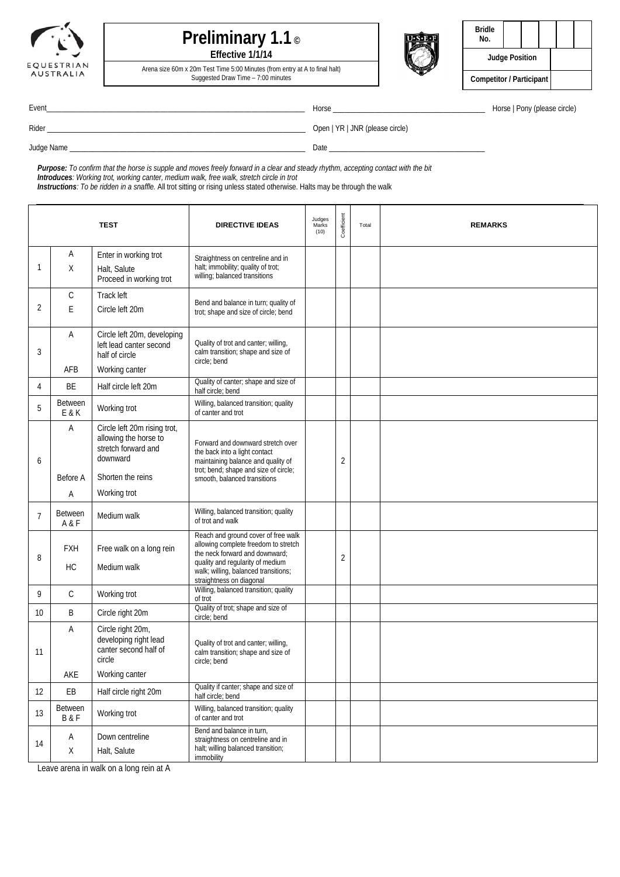



Arena size 60m x 20m Test Time 5:00 Minutes (from entry at A to final halt) Suggested Draw Time – 7:00 minutes



| <b>Bridle</b><br>No.     |  |  |  |  |
|--------------------------|--|--|--|--|
| <b>Judge Position</b>    |  |  |  |  |
| Competitor / Participant |  |  |  |  |

Event\_\_\_\_\_\_\_\_\_\_\_\_\_\_\_\_\_\_\_\_\_\_\_\_\_\_\_\_\_\_\_\_\_\_\_\_\_\_\_\_\_\_\_\_\_\_\_\_\_\_\_\_\_\_\_\_\_\_\_\_\_\_\_\_\_\_\_\_ Horse \_\_\_\_\_\_\_\_\_\_\_\_\_\_\_\_\_\_\_\_\_\_\_\_\_\_\_\_\_\_\_\_\_\_\_\_\_\_\_\_ Horse | Pony (please circle)

Rider \_\_\_\_\_\_\_\_\_\_\_\_\_\_\_\_\_\_\_\_\_\_\_\_\_\_\_\_\_\_\_\_\_\_\_\_\_\_\_\_\_\_\_\_\_\_\_\_\_\_\_\_\_\_\_\_\_\_\_\_\_\_\_\_\_\_\_\_ Open | YR | JNR (please circle)

Judge Name \_\_\_\_\_\_\_\_\_\_\_\_\_\_\_\_\_\_\_\_\_\_\_\_\_\_\_\_\_\_\_\_\_\_\_\_\_\_\_\_\_\_\_\_\_\_\_\_\_\_\_\_\_\_\_\_\_\_\_\_\_\_ Date \_\_\_\_\_\_\_\_\_\_\_\_\_\_\_\_\_\_\_\_\_\_\_\_\_\_\_\_\_\_\_\_\_\_\_\_\_\_\_\_\_

*Purpose: To confirm that the horse is supple and moves freely forward in a clear and steady rhythm, accepting contact with the bit Introduces: Working trot, working canter, medium walk, free walk, stretch circle in trot*

*Instructions: To be ridden in a snaffle.* All trot sitting or rising unless stated otherwise. Halts may be through the walk

|                 | <b>TEST</b>               |                                                                                          | <b>DIRECTIVE IDEAS</b>                                                                                                                            | Judges<br>Marks<br>(10) | Coefficient | Total | <b>REMARKS</b> |
|-----------------|---------------------------|------------------------------------------------------------------------------------------|---------------------------------------------------------------------------------------------------------------------------------------------------|-------------------------|-------------|-------|----------------|
|                 | Α                         | Enter in working trot                                                                    | Straightness on centreline and in                                                                                                                 |                         |             |       |                |
| 1               | X                         | Halt, Salute<br>Proceed in working trot                                                  | halt; immobility; quality of trot;<br>willing; balanced transitions                                                                               |                         |             |       |                |
|                 | С                         | Track left                                                                               | Bend and balance in turn; quality of                                                                                                              |                         |             |       |                |
| 2               | E                         | Circle left 20m                                                                          | trot; shape and size of circle; bend                                                                                                              |                         |             |       |                |
| 3               | Α                         | Circle left 20m, developing<br>left lead canter second<br>half of circle                 | Quality of trot and canter; willing,<br>calm transition; shape and size of<br>circle; bend                                                        |                         |             |       |                |
|                 | AFB                       | Working canter                                                                           |                                                                                                                                                   |                         |             |       |                |
| 4               | BE                        | Half circle left 20m                                                                     | Quality of canter; shape and size of<br>half circle; bend                                                                                         |                         |             |       |                |
| 5               | Between<br>E & K          | Working trot                                                                             | Willing, balanced transition; quality<br>of canter and trot                                                                                       |                         |             |       |                |
| 6               | Α                         | Circle left 20m rising trot,<br>allowing the horse to<br>stretch forward and<br>downward | Forward and downward stretch over<br>the back into a light contact<br>maintaining balance and quality of<br>trot; bend; shape and size of circle; |                         | 2           |       |                |
|                 | Before A                  | Shorten the reins                                                                        | smooth, balanced transitions                                                                                                                      |                         |             |       |                |
|                 | Α                         | Working trot                                                                             |                                                                                                                                                   |                         |             |       |                |
| $\overline{7}$  | <b>Between</b><br>A & F   | Medium walk                                                                              | Willing, balanced transition; quality<br>of trot and walk                                                                                         |                         |             |       |                |
| 8               | <b>FXH</b>                | Free walk on a long rein                                                                 | Reach and ground cover of free walk<br>allowing complete freedom to stretch<br>the neck forward and downward;                                     |                         | 2           |       |                |
|                 | <b>HC</b>                 | Medium walk                                                                              | quality and regularity of medium<br>walk; willing, balanced transitions;<br>straightness on diagonal                                              |                         |             |       |                |
| 9               | $\mathsf{C}$              | Working trot                                                                             | Willing, balanced transition; quality<br>of trot                                                                                                  |                         |             |       |                |
| 10 <sup>°</sup> | B                         | Circle right 20m                                                                         | Quality of trot; shape and size of<br>circle; bend                                                                                                |                         |             |       |                |
| 11              | Α                         | Circle right 20m,<br>developing right lead<br>canter second half of<br>circle            | Quality of trot and canter; willing,<br>calm transition; shape and size of<br>circle; bend                                                        |                         |             |       |                |
|                 | AKE                       | Working canter                                                                           |                                                                                                                                                   |                         |             |       |                |
| 12              | EB                        | Half circle right 20m                                                                    | Quality if canter; shape and size of<br>half circle; bend                                                                                         |                         |             |       |                |
| 13              | Between<br><b>B&amp;F</b> | Working trot                                                                             | Willing, balanced transition; quality<br>of canter and trot                                                                                       |                         |             |       |                |
| 14              | $\mathsf A$<br>Χ          | Down centreline<br>Halt, Salute                                                          | Bend and balance in turn,<br>straightness on centreline and in<br>halt; willing balanced transition;<br>immobility                                |                         |             |       |                |

Leave arena in walk on a long rein at A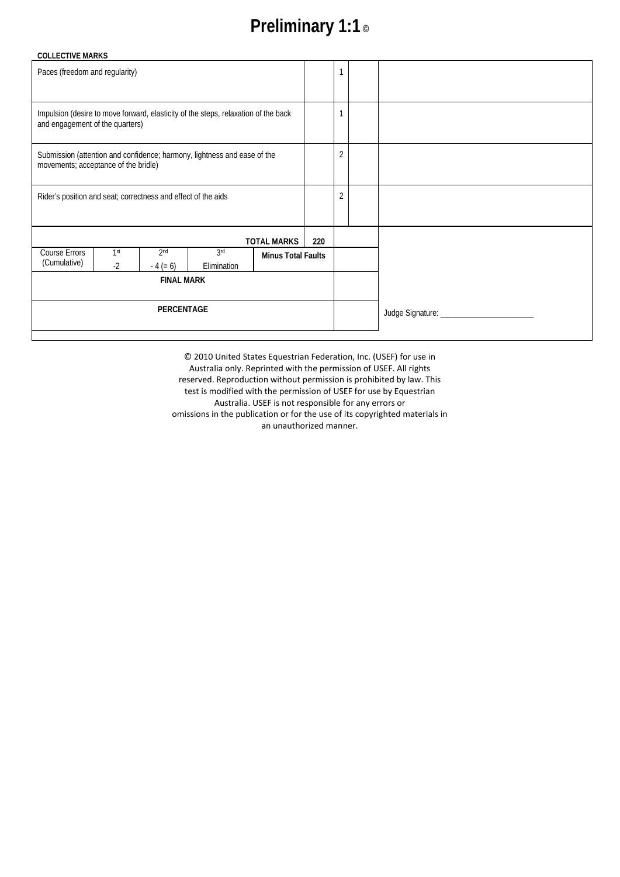# **Preliminary 1:1 ©**

| <b>COLLECTIVE MARKS</b>                                                                                               |             |                               |                    |                           |                |  |  |
|-----------------------------------------------------------------------------------------------------------------------|-------------|-------------------------------|--------------------|---------------------------|----------------|--|--|
| Paces (freedom and regularity)                                                                                        |             |                               |                    |                           |                |  |  |
|                                                                                                                       |             |                               |                    |                           |                |  |  |
| Impulsion (desire to move forward, elasticity of the steps, relaxation of the back<br>and engagement of the quarters) |             |                               |                    |                           |                |  |  |
| Submission (attention and confidence; harmony, lightness and ease of the<br>movements; acceptance of the bridle)      |             |                               |                    |                           | $\overline{2}$ |  |  |
| Rider's position and seat; correctness and effect of the aids                                                         |             |                               |                    |                           | $\overline{2}$ |  |  |
|                                                                                                                       |             |                               |                    | <b>TOTAL MARKS</b>        | 220            |  |  |
| <b>Course Errors</b><br>(Cumulative)                                                                                  | 1st<br>$-2$ | 2 <sub>nd</sub><br>$-4 (= 6)$ | 3rd<br>Elimination | <b>Minus Total Faults</b> |                |  |  |
| <b>FINAL MARK</b>                                                                                                     |             |                               |                    |                           |                |  |  |
| PERCENTAGE                                                                                                            |             |                               |                    |                           |                |  |  |
|                                                                                                                       |             |                               |                    |                           |                |  |  |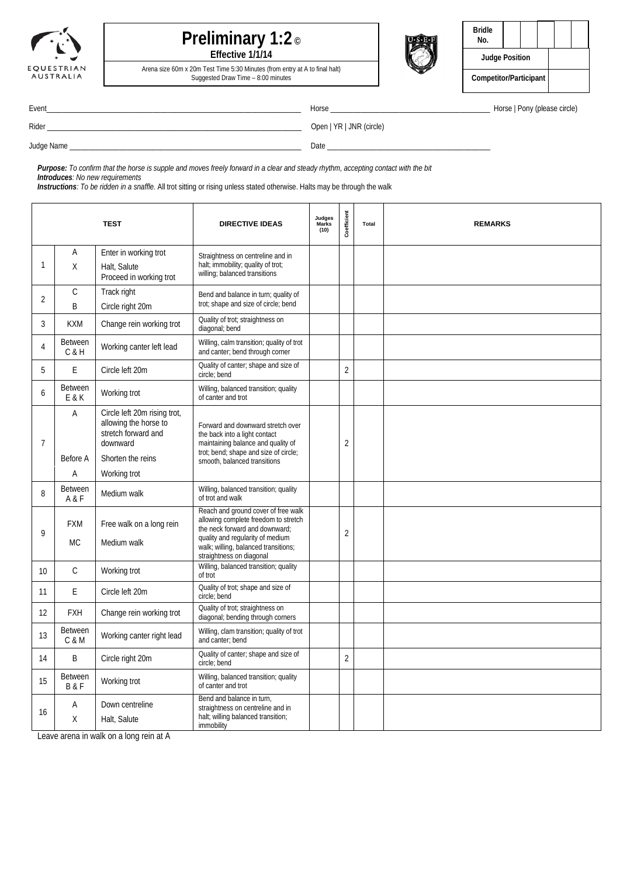



Arena size 60m x 20m Test Time 5:30 Minutes (from entry at A to final halt) Suggested Draw Time – 8:00 minutes



| <b>Bridle</b><br>No.   |  |  |  |  |
|------------------------|--|--|--|--|
| <b>Judge Position</b>  |  |  |  |  |
| Competitor/Participant |  |  |  |  |

Rider \_\_\_\_\_\_\_\_\_\_\_\_\_\_\_\_\_\_\_\_\_\_\_\_\_\_\_\_\_\_\_\_\_\_\_\_\_\_\_\_\_\_\_\_\_\_\_\_\_\_\_\_\_\_\_\_\_\_\_\_\_\_\_\_\_\_\_ Open | YR | JNR (circle)

Event\_\_\_\_\_\_\_\_\_\_\_\_\_\_\_\_\_\_\_\_\_\_\_\_\_\_\_\_\_\_\_\_\_\_\_\_\_\_\_\_\_\_\_\_\_\_\_\_\_\_\_\_\_\_\_\_\_\_\_\_\_\_\_\_\_\_\_ Horse \_\_\_\_\_\_\_\_\_\_\_\_\_\_\_\_\_\_\_\_\_\_\_\_\_\_\_\_\_\_\_\_\_\_\_\_\_\_\_\_\_\_ Horse | Pony (please circle)

Judge Name \_\_\_\_\_\_\_\_\_\_\_\_\_\_\_\_\_\_\_\_\_\_\_\_\_\_\_\_\_\_\_\_\_\_\_\_\_\_\_\_\_\_\_\_\_\_\_\_\_\_\_\_\_\_\_\_\_\_\_\_\_ Date \_\_\_\_\_\_\_\_\_\_\_\_\_\_\_\_\_\_\_\_\_\_\_\_\_\_\_\_\_\_\_\_\_\_\_\_\_\_\_\_\_\_\_

*Purpose: To confirm that the horse is supple and moves freely forward in a clear and steady rhythm, accepting contact with the bit Introduces: No new requirements*

*Instructions: To be ridden in a snaffle.* All trot sitting or rising unless stated otherwise. Halts may be through the walk

|                |                                  | <b>TEST</b>                                                                                                   | <b>DIRECTIVE IDEAS</b>                                                                                                                                                                                                | Judges<br><b>Marks</b><br>(10) | Coefficient    | Total | <b>REMARKS</b> |
|----------------|----------------------------------|---------------------------------------------------------------------------------------------------------------|-----------------------------------------------------------------------------------------------------------------------------------------------------------------------------------------------------------------------|--------------------------------|----------------|-------|----------------|
| 1              | Α<br>X                           | Enter in working trot<br>Halt, Salute<br>Proceed in working trot                                              | Straightness on centreline and in<br>halt; immobility; quality of trot;<br>willing; balanced transitions                                                                                                              |                                |                |       |                |
| $\overline{2}$ | $\mathsf C$<br>B                 | Track right<br>Circle right 20m                                                                               | Bend and balance in turn; quality of<br>trot; shape and size of circle; bend                                                                                                                                          |                                |                |       |                |
| 3              | <b>KXM</b>                       | Change rein working trot                                                                                      | Quality of trot; straightness on<br>diagonal; bend                                                                                                                                                                    |                                |                |       |                |
| 4              | <b>Between</b><br>$C$ & $H$      | Working canter left lead                                                                                      | Willing, calm transition; quality of trot<br>and canter; bend through corner                                                                                                                                          |                                |                |       |                |
| 5              | E                                | Circle left 20m                                                                                               | Quality of canter; shape and size of<br>circle; bend                                                                                                                                                                  |                                | $\overline{2}$ |       |                |
| 6              | <b>Between</b><br>E & K          | Working trot                                                                                                  | Willing, balanced transition; quality<br>of canter and trot                                                                                                                                                           |                                |                |       |                |
| $\overline{7}$ | A<br>Before A                    | Circle left 20m rising trot,<br>allowing the horse to<br>stretch forward and<br>downward<br>Shorten the reins | Forward and downward stretch over<br>the back into a light contact<br>maintaining balance and quality of<br>trot; bend; shape and size of circle;<br>smooth, balanced transitions                                     |                                | $\overline{c}$ |       |                |
|                | Α                                | Working trot                                                                                                  |                                                                                                                                                                                                                       |                                |                |       |                |
| 8              | <b>Between</b><br>A & F          | Medium walk                                                                                                   | Willing, balanced transition; quality<br>of trot and walk                                                                                                                                                             |                                |                |       |                |
| $\mathsf{Q}$   | <b>FXM</b><br><b>MC</b>          | Free walk on a long rein<br>Medium walk                                                                       | Reach and ground cover of free walk<br>allowing complete freedom to stretch<br>the neck forward and downward;<br>quality and regularity of medium<br>walk; willing, balanced transitions;<br>straightness on diagonal |                                | $\overline{2}$ |       |                |
| 10             | $\mathcal{C}$                    | Working trot                                                                                                  | Willing, balanced transition; quality<br>of trot                                                                                                                                                                      |                                |                |       |                |
| 11             | E                                | Circle left 20m                                                                                               | Quality of trot; shape and size of<br>circle; bend                                                                                                                                                                    |                                |                |       |                |
| 12             | <b>FXH</b>                       | Change rein working trot                                                                                      | Quality of trot; straightness on<br>diagonal; bending through corners                                                                                                                                                 |                                |                |       |                |
| 13             | <b>Between</b><br>C & M          | Working canter right lead                                                                                     | Willing, clam transition; quality of trot<br>and canter: bend                                                                                                                                                         |                                |                |       |                |
| 14             | B                                | Circle right 20m                                                                                              | Quality of canter; shape and size of<br>circle; bend                                                                                                                                                                  |                                | $\overline{2}$ |       |                |
| 15             | <b>Between</b><br><b>B&amp;F</b> | Working trot                                                                                                  | Willing, balanced transition; quality<br>of canter and trot                                                                                                                                                           |                                |                |       |                |
| 16             | Α<br>X                           | Down centreline<br>Halt, Salute                                                                               | Bend and balance in turn,<br>straightness on centreline and in<br>halt; willing balanced transition;<br>immobility                                                                                                    |                                |                |       |                |

Leave arena in walk on a long rein at A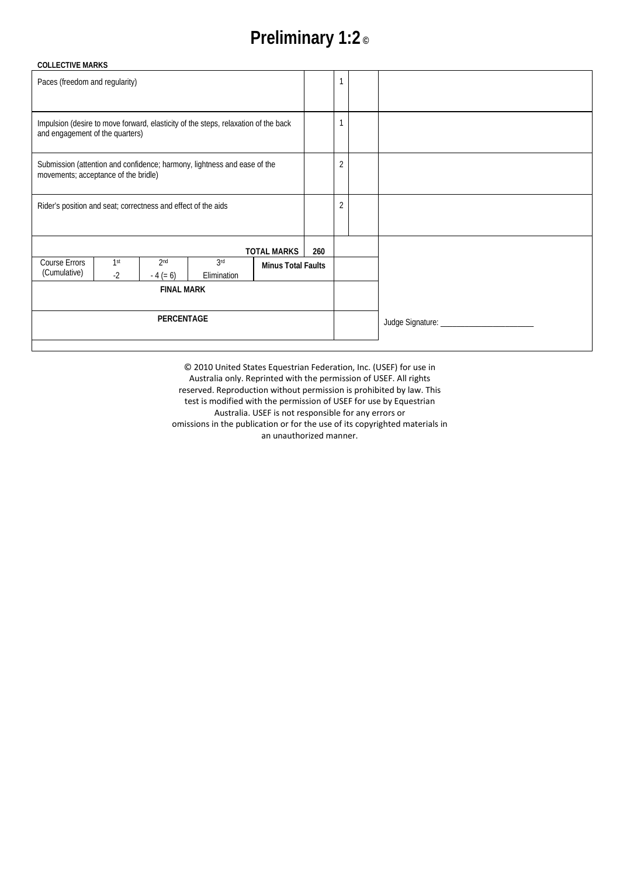# **Preliminary 1:2 ©**

| <b>COLLECTIVE MARKS</b>                                                                                               |                                                               |                               |                    |                           |                |                               |  |
|-----------------------------------------------------------------------------------------------------------------------|---------------------------------------------------------------|-------------------------------|--------------------|---------------------------|----------------|-------------------------------|--|
| Paces (freedom and regularity)                                                                                        |                                                               |                               |                    |                           |                |                               |  |
|                                                                                                                       |                                                               |                               |                    |                           |                |                               |  |
| Impulsion (desire to move forward, elasticity of the steps, relaxation of the back<br>and engagement of the quarters) |                                                               |                               |                    |                           |                |                               |  |
| Submission (attention and confidence; harmony, lightness and ease of the<br>movements; acceptance of the bridle)      |                                                               |                               |                    |                           | $\overline{2}$ |                               |  |
|                                                                                                                       | Rider's position and seat; correctness and effect of the aids |                               |                    |                           |                | $\overline{2}$                |  |
|                                                                                                                       |                                                               |                               |                    | <b>TOTAL MARKS</b>        | 260            |                               |  |
| Course Errors<br>(Cumulative)                                                                                         | 1 <sup>st</sup><br>$-2$                                       | 2 <sub>nd</sub><br>$-4 (= 6)$ | 3rd<br>Elimination | <b>Minus Total Faults</b> |                |                               |  |
| <b>FINAL MARK</b>                                                                                                     |                                                               |                               |                    |                           |                |                               |  |
| PERCENTAGE                                                                                                            |                                                               |                               |                    |                           |                | Judge Signature: ____________ |  |
|                                                                                                                       |                                                               |                               |                    |                           |                |                               |  |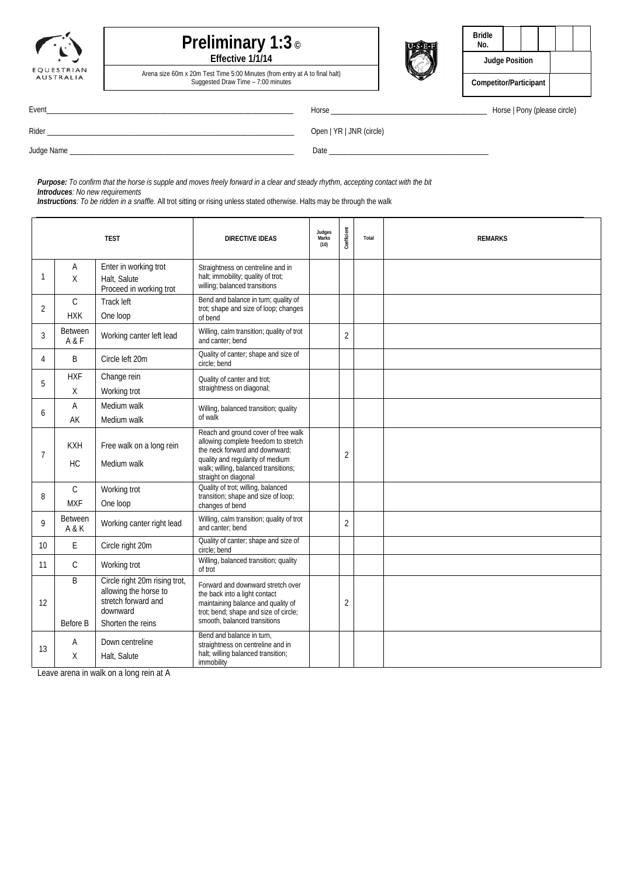



| <b>Bridle</b><br>No.   |  |  |  |  |
|------------------------|--|--|--|--|
| <b>Judge Position</b>  |  |  |  |  |
| Competitor/Participant |  |  |  |  |

Arena size 60m x 20m Test Time 5:00 Minutes (from entry at A to final halt) Suggested Draw Time – 7:00 minutes

|  | $\sim$ |  |  |  |
|--|--------|--|--|--|
|  |        |  |  |  |
|  |        |  |  |  |
|  |        |  |  |  |

Event\_\_\_\_\_\_\_\_\_\_\_\_\_\_\_\_\_\_\_\_\_\_\_\_\_\_\_\_\_\_\_\_\_\_\_\_\_\_\_\_\_\_\_\_\_\_\_\_\_\_\_\_\_\_\_\_\_\_\_\_\_\_\_\_\_ Horse \_\_\_\_\_\_\_\_\_\_\_\_\_\_\_\_\_\_\_\_\_\_\_\_\_\_\_\_\_\_\_\_\_\_\_\_\_\_\_\_\_ Horse | Pony (please circle)

|  | Horse   Pony (please circle) |  |
|--|------------------------------|--|
|  |                              |  |

| وملذا وسامننا |  |
|---------------|--|

Rider \_\_\_\_\_\_\_\_\_\_\_\_\_\_\_\_\_\_\_\_\_\_\_\_\_\_\_\_\_\_\_\_\_\_\_\_\_\_\_\_\_\_\_\_\_\_\_\_\_\_\_\_\_\_\_\_\_\_\_\_\_\_\_\_\_ Open | YR | JNR (circle)

Judge Name \_\_\_\_\_\_\_\_\_\_\_\_\_\_\_\_\_\_\_\_\_\_\_\_\_\_\_\_\_\_\_\_\_\_\_\_\_\_\_\_\_\_\_\_\_\_\_\_\_\_\_\_\_\_\_\_\_\_\_ Date \_\_\_\_\_\_\_\_\_\_\_\_\_\_\_\_\_\_\_\_\_\_\_\_\_\_\_\_\_\_\_\_\_\_\_\_\_\_\_\_\_\_

*Purpose: To confirm that the horse is supple and moves freely forward in a clear and steady rhythm, accepting contact with the bit Introduces: No new requirements*

*Instructions: To be ridden in a snaffle.* All trot sitting or rising unless stated otherwise. Halts may be through the walk

| <b>TEST</b>    |                             |                                                                                                                | <b>DIRECTIVE IDEAS</b>                                                                                                                                                                                            | Judges<br>Marks<br>(10) | Coefficient    | Total | <b>REMARKS</b> |
|----------------|-----------------------------|----------------------------------------------------------------------------------------------------------------|-------------------------------------------------------------------------------------------------------------------------------------------------------------------------------------------------------------------|-------------------------|----------------|-------|----------------|
| 1              | A<br>X                      | Enter in working trot<br>Halt, Salute<br>Proceed in working trot                                               | Straightness on centreline and in<br>halt; immobility; quality of trot;<br>willing; balanced transitions                                                                                                          |                         |                |       |                |
| 2              | $\mathsf C$<br><b>HXK</b>   | Track left<br>One loop                                                                                         | Bend and balance in turn; quality of<br>trot; shape and size of loop; changes<br>of bend                                                                                                                          |                         |                |       |                |
| 3              | Between<br>A & F            | Working canter left lead                                                                                       | Willing, calm transition; quality of trot<br>and canter: bend                                                                                                                                                     |                         | $\overline{2}$ |       |                |
| 4              | B                           | Circle left 20m                                                                                                | Quality of canter; shape and size of<br>circle; bend                                                                                                                                                              |                         |                |       |                |
| 5              | <b>HXF</b><br>Χ             | Change rein<br>Working trot                                                                                    | Quality of canter and trot;<br>straightness on diagonal;                                                                                                                                                          |                         |                |       |                |
| 6              | A<br>AK                     | Medium walk<br>Medium walk                                                                                     | Willing, balanced transition; quality<br>of walk                                                                                                                                                                  |                         |                |       |                |
| $\overline{7}$ | <b>KXH</b><br><b>HC</b>     | Free walk on a long rein<br>Medium walk                                                                        | Reach and ground cover of free walk<br>allowing complete freedom to stretch<br>the neck forward and downward;<br>quality and regularity of medium<br>walk; willing, balanced transitions;<br>straight on diagonal |                         | $\overline{2}$ |       |                |
| 8              | $\mathcal{C}$<br><b>MXF</b> | Working trot<br>One loop                                                                                       | Quality of trot; willing, balanced<br>transition; shape and size of loop;<br>changes of bend                                                                                                                      |                         |                |       |                |
| 9              | Between<br>A & K            | Working canter right lead                                                                                      | Willing, calm transition; quality of trot<br>and canter; bend                                                                                                                                                     |                         | $\overline{2}$ |       |                |
| 10             | E                           | Circle right 20m                                                                                               | Quality of canter; shape and size of<br>circle; bend                                                                                                                                                              |                         |                |       |                |
| 11             | C                           | Working trot                                                                                                   | Willing, balanced transition; quality<br>of trot                                                                                                                                                                  |                         |                |       |                |
| 12             | B<br>Before B               | Circle right 20m rising trot,<br>allowing the horse to<br>stretch forward and<br>downward<br>Shorten the reins | Forward and downward stretch over<br>the back into a light contact<br>maintaining balance and quality of<br>trot; bend; shape and size of circle;<br>smooth, balanced transitions                                 |                         | 2              |       |                |
| 13             | A<br>X                      | Down centreline<br>Halt, Salute                                                                                | Bend and balance in turn,<br>straightness on centreline and in<br>halt; willing balanced transition;<br>immobility                                                                                                |                         |                |       |                |

Leave arena in walk on a long rein at A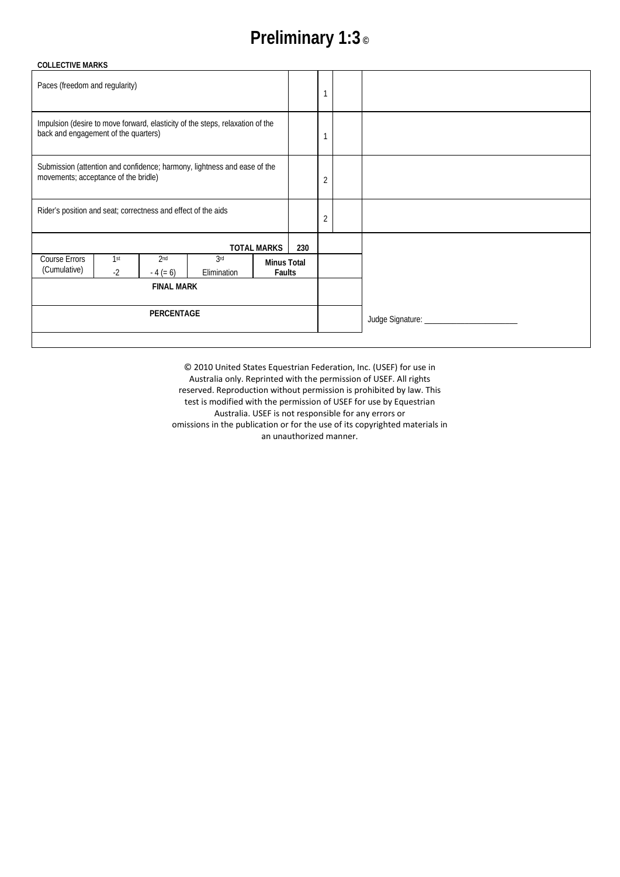# **Preliminary 1:3 ©**

| <b>COLLECTIVE MARKS</b>                                                                                               |                   |                                                                          |                 |                    |                              |                              |  |
|-----------------------------------------------------------------------------------------------------------------------|-------------------|--------------------------------------------------------------------------|-----------------|--------------------|------------------------------|------------------------------|--|
| Paces (freedom and regularity)                                                                                        |                   |                                                                          |                 |                    |                              | 1                            |  |
| Impulsion (desire to move forward, elasticity of the steps, relaxation of the<br>back and engagement of the quarters) |                   |                                                                          |                 |                    |                              |                              |  |
| movements; acceptance of the bridle)                                                                                  |                   | Submission (attention and confidence; harmony, lightness and ease of the |                 |                    | $\overline{2}$               |                              |  |
| Rider's position and seat; correctness and effect of the aids                                                         |                   |                                                                          |                 |                    |                              | $\overline{2}$               |  |
|                                                                                                                       |                   |                                                                          |                 | <b>TOTAL MARKS</b> | 230                          |                              |  |
| Course Errors                                                                                                         | 1 <sup>st</sup>   | 2 <sub>nd</sub>                                                          | 3 <sup>rd</sup> |                    |                              |                              |  |
| (Cumulative)                                                                                                          | $-2$              | $-4 (= 6)$                                                               | Elimination     |                    | <b>Minus Total</b><br>Faults |                              |  |
|                                                                                                                       | <b>FINAL MARK</b> |                                                                          |                 |                    |                              |                              |  |
|                                                                                                                       | PERCENTAGE        |                                                                          |                 |                    |                              | Judge Signature: ___________ |  |
|                                                                                                                       |                   |                                                                          |                 |                    |                              |                              |  |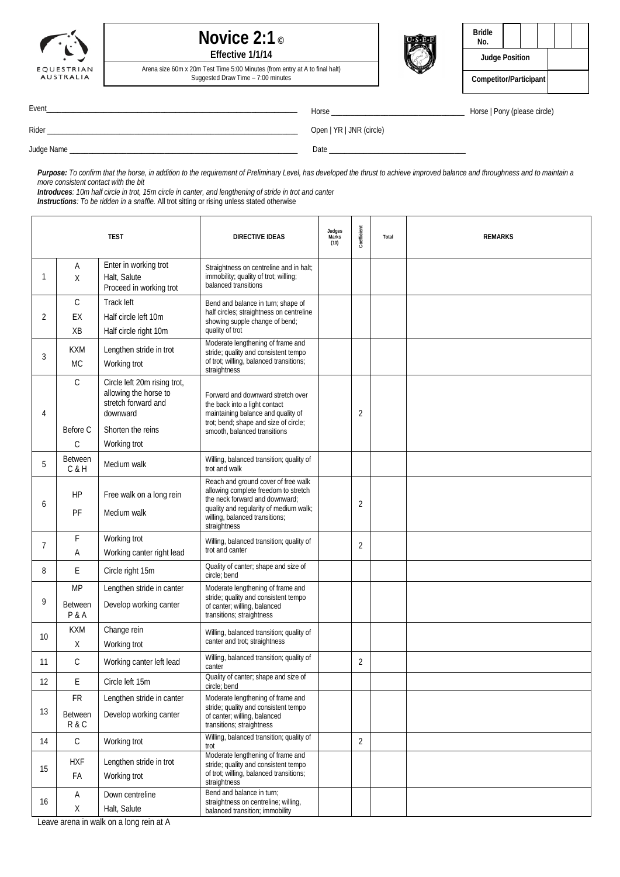



| <b>Bridle</b><br>No.   |  |  |  |
|------------------------|--|--|--|
| <b>Judge Position</b>  |  |  |  |
| Competitor/Participant |  |  |  |

Arena size 60m x 20m Test Time 5:00 Minutes (from entry at A to final halt) Suggested Draw Time – 7:00 minutes

Event\_\_\_\_\_\_\_\_\_\_\_\_\_\_\_\_\_\_\_\_\_\_\_\_\_\_\_\_\_\_\_\_\_\_\_\_\_\_\_\_\_\_\_\_\_\_\_\_\_\_\_\_\_\_\_\_\_\_\_\_\_\_\_\_\_\_ Horse \_\_\_\_\_\_\_\_\_\_\_\_\_\_\_\_\_\_\_\_\_\_\_\_\_\_\_\_\_\_\_\_\_\_\_ Horse | Pony (please circle)

Rider \_\_\_\_\_\_\_\_\_\_\_\_\_\_\_\_\_\_\_\_\_\_\_\_\_\_\_\_\_\_\_\_\_\_\_\_\_\_\_\_\_\_\_\_\_\_\_\_\_\_\_\_\_\_\_\_\_\_\_\_\_\_\_\_\_\_ Open | YR | JNR (circle)

Judge Name \_\_\_\_\_\_\_\_\_\_\_\_\_\_\_\_\_\_\_\_\_\_\_\_\_\_\_\_\_\_\_\_\_\_\_\_\_\_\_\_\_\_\_\_\_\_\_\_\_\_\_\_\_\_\_\_\_\_\_\_ Date \_\_\_\_\_\_\_\_\_\_\_\_\_\_\_\_\_\_\_\_\_\_\_\_\_\_\_\_\_\_\_\_\_\_\_\_

Purpose: To confirm that the horse, in addition to the requirement of Preliminary Level, has developed the thrust to achieve improved balance and throughness and to maintain a *more consistent contact with the bit*

*Introduces: 10m half circle in trot, 15m circle in canter, and lengthening of stride in trot and canter Instructions: To be ridden in a snaffle.* All trot sitting or rising unless stated otherwise

|              |                                | <b>TEST</b>                                                                                                                   | <b>DIRECTIVE IDEAS</b>                                                                                                                                                                                    | Judges<br>Marks<br>(10) | Coefficient    | Total | <b>REMARKS</b> |
|--------------|--------------------------------|-------------------------------------------------------------------------------------------------------------------------------|-----------------------------------------------------------------------------------------------------------------------------------------------------------------------------------------------------------|-------------------------|----------------|-------|----------------|
| $\mathbf{1}$ | Α<br>X                         | Enter in working trot<br>Halt, Salute<br>Proceed in working trot                                                              | Straightness on centreline and in halt;<br>immobility; quality of trot; willing;<br>balanced transitions                                                                                                  |                         |                |       |                |
| 2            | С<br>EX<br>XB                  | Track left<br>Half circle left 10m<br>Half circle right 10m                                                                   | Bend and balance in turn; shape of<br>half circles; straightness on centreline<br>showing supple change of bend;<br>quality of trot                                                                       |                         |                |       |                |
| 3            | <b>KXM</b><br><b>MC</b>        | Lengthen stride in trot<br>Working trot                                                                                       | Moderate lengthening of frame and<br>stride; quality and consistent tempo<br>of trot; willing, balanced transitions;<br>straightness                                                                      |                         |                |       |                |
| 4            | С<br>Before C<br>$\mathcal{C}$ | Circle left 20m rising trot,<br>allowing the horse to<br>stretch forward and<br>downward<br>Shorten the reins<br>Working trot | Forward and downward stretch over<br>the back into a light contact<br>maintaining balance and quality of<br>trot; bend; shape and size of circle;<br>smooth, balanced transitions                         |                         | $\overline{2}$ |       |                |
| 5            | <b>Between</b><br>C&H          | Medium walk                                                                                                                   | Willing, balanced transition; quality of<br>trot and walk                                                                                                                                                 |                         |                |       |                |
| 6            | HP<br>PF                       | Free walk on a long rein<br>Medium walk                                                                                       | Reach and ground cover of free walk<br>allowing complete freedom to stretch<br>the neck forward and downward;<br>quality and regularity of medium walk;<br>willing, balanced transitions;<br>straightness |                         | $\overline{2}$ |       |                |
| 7            | F<br>Α                         | Working trot<br>Working canter right lead                                                                                     | Willing, balanced transition; quality of<br>trot and canter                                                                                                                                               |                         | 2              |       |                |
| 8            | E                              | Circle right 15m                                                                                                              | Quality of canter; shape and size of<br>circle; bend                                                                                                                                                      |                         |                |       |                |
| 9            | MP<br><b>Between</b><br>P & A  | Lengthen stride in canter<br>Develop working canter                                                                           | Moderate lengthening of frame and<br>stride; quality and consistent tempo<br>of canter; willing, balanced<br>transitions; straightness                                                                    |                         |                |       |                |
| 10           | <b>KXM</b><br>Χ                | Change rein<br>Working trot                                                                                                   | Willing, balanced transition; quality of<br>canter and trot; straightness                                                                                                                                 |                         |                |       |                |
| 11           | С                              | Working canter left lead                                                                                                      | Willing, balanced transition; quality of<br>canter                                                                                                                                                        |                         | $\overline{2}$ |       |                |
| 12           | E                              | Circle left 15m                                                                                                               | Quality of canter; shape and size of<br>circle; bend                                                                                                                                                      |                         |                |       |                |
| 13           | FR<br>Between<br>R & C         | Lengthen stride in canter<br>Develop working canter                                                                           | Moderate lengthening of frame and<br>stride; quality and consistent tempo<br>of canter; willing, balanced<br>transitions; straightness                                                                    |                         |                |       |                |
| 14           | $\mathsf C$                    | Working trot                                                                                                                  | Willing, balanced transition; quality of<br>trot                                                                                                                                                          |                         | $\overline{2}$ |       |                |
| 15           | <b>HXF</b><br>FA               | Lengthen stride in trot<br>Working trot                                                                                       | Moderate lengthening of frame and<br>stride; quality and consistent tempo<br>of trot; willing, balanced transitions;<br>straightness                                                                      |                         |                |       |                |
| 16           | Α<br>Χ                         | Down centreline<br>Halt, Salute                                                                                               | Bend and balance in turn;<br>straightness on centreline; willing,<br>balanced transition; immobility                                                                                                      |                         |                |       |                |

Leave arena in walk on a long rein at A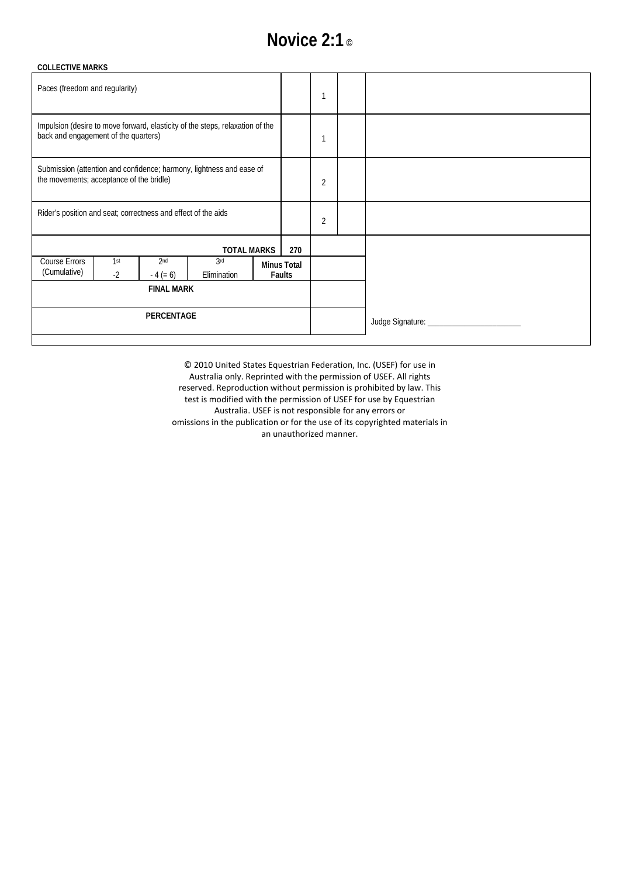## **Novice 2:1 ©**

|                                                                               | 1                                                         |  |
|-------------------------------------------------------------------------------|-----------------------------------------------------------|--|
|                                                                               |                                                           |  |
|                                                                               | $\overline{2}$                                            |  |
|                                                                               | $\overline{2}$                                            |  |
| 270                                                                           |                                                           |  |
|                                                                               |                                                           |  |
|                                                                               |                                                           |  |
|                                                                               |                                                           |  |
| Impulsion (desire to move forward, elasticity of the steps, relaxation of the | <b>TOTAL MARKS</b><br><b>Minus Total</b><br><b>Faults</b> |  |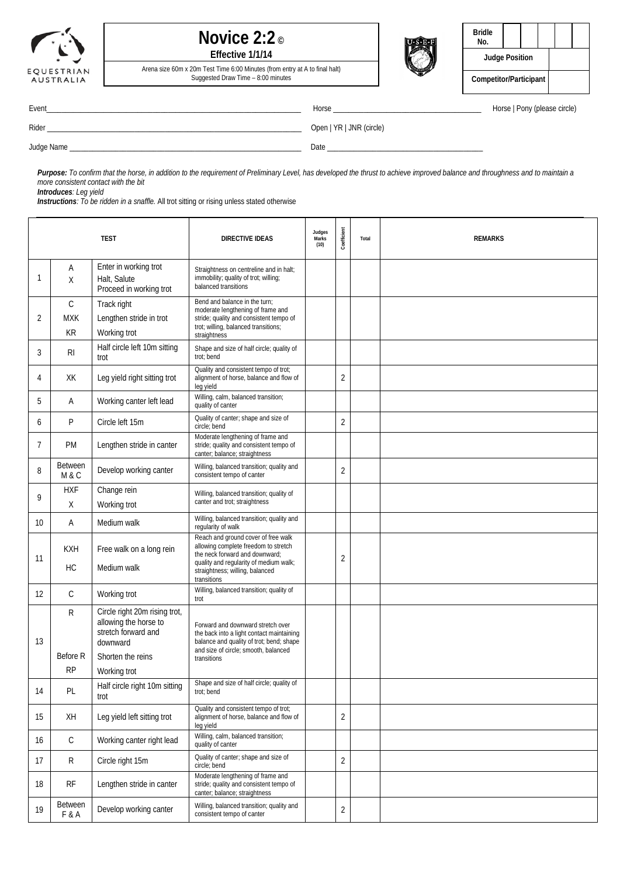





| Bridle<br>No.          |  |  |  |  |
|------------------------|--|--|--|--|
| <b>Judge Position</b>  |  |  |  |  |
| Competitor/Participant |  |  |  |  |

Arena size 60m x 20m Test Time 6:00 Minutes (from entry at A to final halt) Suggested Draw Time – 8:00 minutes

Rider \_\_\_\_\_\_\_\_\_\_\_\_\_\_\_\_\_\_\_\_\_\_\_\_\_\_\_\_\_\_\_\_\_\_\_\_\_\_\_\_\_\_\_\_\_\_\_\_\_\_\_\_\_\_\_\_\_\_\_\_\_\_\_\_\_\_\_ Open | YR | JNR (circle)

Event\_\_\_\_\_\_\_\_\_\_\_\_\_\_\_\_\_\_\_\_\_\_\_\_\_\_\_\_\_\_\_\_\_\_\_\_\_\_\_\_\_\_\_\_\_\_\_\_\_\_\_\_\_\_\_\_\_\_\_\_\_\_\_\_\_\_\_ Horse \_\_\_\_\_\_\_\_\_\_\_\_\_\_\_\_\_\_\_\_\_\_\_\_\_\_\_\_\_\_\_\_\_\_\_\_\_\_\_ Horse | Pony (please circle)

Judge Name \_\_\_\_\_\_\_\_\_\_\_\_\_\_\_\_\_\_\_\_\_\_\_\_\_\_\_\_\_\_\_\_\_\_\_\_\_\_\_\_\_\_\_\_\_\_\_\_\_\_\_\_\_\_\_\_\_\_\_\_\_ Date \_\_\_\_\_\_\_\_\_\_\_\_\_\_\_\_\_\_\_\_\_\_\_\_\_\_\_\_\_\_\_\_\_\_\_\_\_\_\_\_\_

Purpose: To confirm that the horse, in addition to the requirement of Preliminary Level, has developed the thrust to achieve improved balance and throughness and to maintain a

*more consistent contact with the bit Introduces: Leg yield*

*Instructions: To be ridden in a snaffle.* All trot sitting or rising unless stated otherwise

| <b>TEST</b> |                                  |                                                                                                                                | DIRECTIVE IDEAS                                                                                                                                                                                           | Judges<br>Marks<br>(10) | Coefficient    | Total | <b>REMARKS</b> |
|-------------|----------------------------------|--------------------------------------------------------------------------------------------------------------------------------|-----------------------------------------------------------------------------------------------------------------------------------------------------------------------------------------------------------|-------------------------|----------------|-------|----------------|
| 1           | Α<br>Χ                           | Enter in working trot<br>Halt, Salute<br>Proceed in working trot                                                               | Straightness on centreline and in halt;<br>immobility; quality of trot; willing;<br>balanced transitions                                                                                                  |                         |                |       |                |
| 2           | $\mathsf{C}$<br><b>MXK</b><br>KR | Track right<br>Lengthen stride in trot<br>Working trot                                                                         | Bend and balance in the turn;<br>moderate lengthening of frame and<br>stride; quality and consistent tempo of<br>trot; willing, balanced transitions;<br>straightness                                     |                         |                |       |                |
| 3           | R <sub>l</sub>                   | Half circle left 10m sitting<br>trot                                                                                           | Shape and size of half circle; quality of<br>trot; bend                                                                                                                                                   |                         |                |       |                |
| 4           | XK                               | Leg yield right sitting trot                                                                                                   | Quality and consistent tempo of trot;<br>alignment of horse, balance and flow of<br>leg yield                                                                                                             |                         | 2              |       |                |
| 5           | Α                                | Working canter left lead                                                                                                       | Willing, calm, balanced transition;<br>quality of canter                                                                                                                                                  |                         |                |       |                |
| 6           | P                                | Circle left 15m                                                                                                                | Quality of canter; shape and size of<br>circle; bend                                                                                                                                                      |                         | $\overline{2}$ |       |                |
| 7           | <b>PM</b>                        | Lengthen stride in canter                                                                                                      | Moderate lengthening of frame and<br>stride; quality and consistent tempo of<br>canter; balance; straightness                                                                                             |                         |                |       |                |
| 8           | <b>Between</b><br>M & C          | Develop working canter                                                                                                         | Willing, balanced transition; quality and<br>consistent tempo of canter                                                                                                                                   |                         | $\overline{2}$ |       |                |
| 9           | <b>HXF</b><br>X                  | Change rein<br>Working trot                                                                                                    | Willing, balanced transition; quality of<br>canter and trot; straightness                                                                                                                                 |                         |                |       |                |
| 10          | Α                                | Medium walk                                                                                                                    | Willing, balanced transition; quality and<br>regularity of walk                                                                                                                                           |                         |                |       |                |
| 11          | <b>KXH</b><br><b>HC</b>          | Free walk on a long rein<br>Medium walk                                                                                        | Reach and ground cover of free walk<br>allowing complete freedom to stretch<br>the neck forward and downward;<br>quality and regularity of medium walk;<br>straightness; willing, balanced<br>transitions |                         | 2              |       |                |
| 12          | С                                | Working trot                                                                                                                   | Willing, balanced transition; quality of<br>trot                                                                                                                                                          |                         |                |       |                |
| 13          | R<br>Before R<br><b>RP</b>       | Circle right 20m rising trot,<br>allowing the horse to<br>stretch forward and<br>downward<br>Shorten the reins<br>Working trot | Forward and downward stretch over<br>the back into a light contact maintaining<br>balance and quality of trot; bend; shape<br>and size of circle; smooth, balanced<br>transitions                         |                         |                |       |                |
| 14          | PL                               | Half circle right 10m sitting<br>trot                                                                                          | Shape and size of half circle; quality of<br>trot; bend                                                                                                                                                   |                         |                |       |                |
| 15          | XH                               | Leg yield left sitting trot                                                                                                    | Quality and consistent tempo of trot;<br>alignment of horse, balance and flow of<br>leg yield                                                                                                             |                         | $\overline{2}$ |       |                |
| 16          | С                                | Working canter right lead                                                                                                      | Willing, calm, balanced transition;<br>quality of canter                                                                                                                                                  |                         |                |       |                |
| 17          | R                                | Circle right 15m                                                                                                               | Quality of canter; shape and size of<br>circle; bend                                                                                                                                                      |                         | $\overline{2}$ |       |                |
| 18          | RF                               | Lengthen stride in canter                                                                                                      | Moderate lengthening of frame and<br>stride; quality and consistent tempo of<br>canter; balance; straightness                                                                                             |                         |                |       |                |
| 19          | Between<br>F&A                   | Develop working canter                                                                                                         | Willing, balanced transition; quality and<br>consistent tempo of canter                                                                                                                                   |                         | $\overline{2}$ |       |                |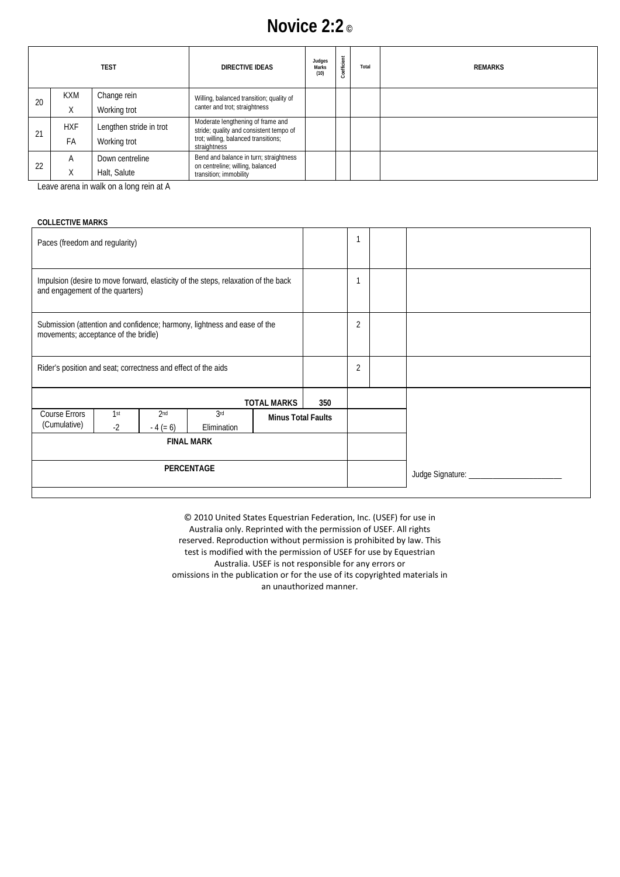## **Novice 2:2 ©**

|    |            | <b>TEST</b>             | DIRECTIVE IDEAS                                                              | Judges<br>Marks<br>(10) | Coefficient | Total | <b>REMARKS</b> |
|----|------------|-------------------------|------------------------------------------------------------------------------|-------------------------|-------------|-------|----------------|
| 20 | <b>KXM</b> | Change rein             | Willing, balanced transition; quality of                                     |                         |             |       |                |
|    | Χ          | Working trot            | canter and trot; straightness                                                |                         |             |       |                |
|    | <b>HXF</b> | Lengthen stride in trot | Moderate lengthening of frame and<br>stride; quality and consistent tempo of |                         |             |       |                |
| 21 | FA         | Working trot            | trot; willing, balanced transitions;<br>straightness                         |                         |             |       |                |
|    | A          | Down centreline         | Bend and balance in turn; straightness<br>on centreline; willing, balanced   |                         |             |       |                |
| 22 | X          | Halt, Salute            | transition; immobility                                                       |                         |             |       |                |

Leave arena in walk on a long rein at A

| <b>COLLECTIVE MARKS</b>                                       |                         |                                                                                    |                                |                           |                |                |  |                          |
|---------------------------------------------------------------|-------------------------|------------------------------------------------------------------------------------|--------------------------------|---------------------------|----------------|----------------|--|--------------------------|
| Paces (freedom and regularity)                                |                         |                                                                                    |                                |                           |                |                |  |                          |
| and engagement of the quarters)                               |                         | Impulsion (desire to move forward, elasticity of the steps, relaxation of the back |                                |                           |                |                |  |                          |
| movements; acceptance of the bridle)                          |                         | Submission (attention and confidence; harmony, lightness and ease of the           |                                |                           | $\overline{2}$ |                |  |                          |
| Rider's position and seat; correctness and effect of the aids |                         |                                                                                    |                                |                           |                | $\overline{2}$ |  |                          |
|                                                               |                         |                                                                                    |                                | <b>TOTAL MARKS</b>        | 350            |                |  |                          |
| Course Errors<br>(Cumulative)                                 | 1 <sup>st</sup><br>$-2$ | 2 <sub>nd</sub><br>$-4 (= 6)$                                                      | 3 <sup>rd</sup><br>Elimination | <b>Minus Total Faults</b> |                |                |  |                          |
|                                                               | <b>FINAL MARK</b>       |                                                                                    |                                |                           |                |                |  |                          |
|                                                               | PERCENTAGE              |                                                                                    |                                |                           |                |                |  | Judge Signature: _______ |
|                                                               |                         |                                                                                    |                                |                           |                |                |  |                          |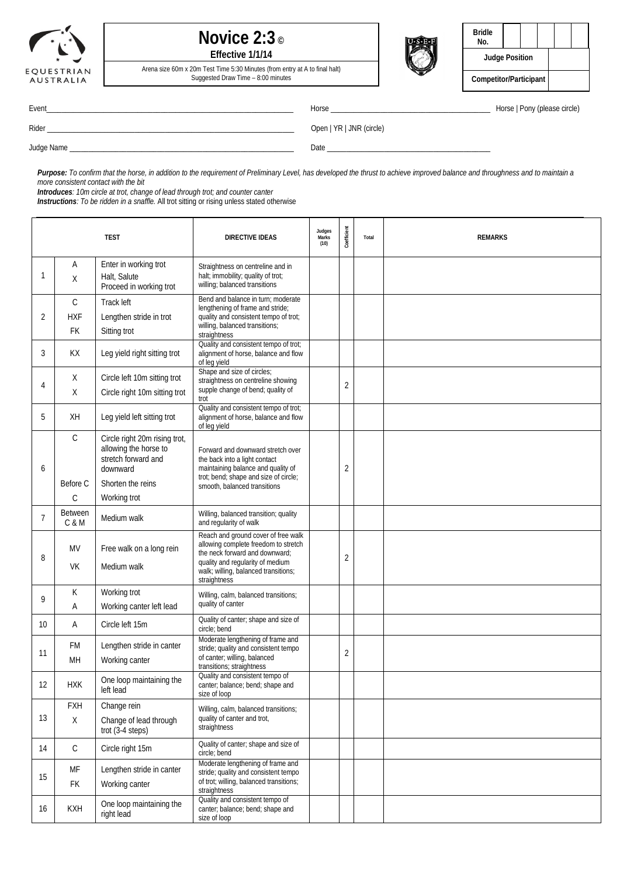





| Bridle<br>No.          |  |  |  |  |  |
|------------------------|--|--|--|--|--|
| <b>Judge Position</b>  |  |  |  |  |  |
| Competitor/Participant |  |  |  |  |  |

Arena size 60m x 20m Test Time 5:30 Minutes (from entry at A to final halt) Suggested Draw Time – 8:00 minutes

Event\_\_\_\_\_\_\_\_\_\_\_\_\_\_\_\_\_\_\_\_\_\_\_\_\_\_\_\_\_\_\_\_\_\_\_\_\_\_\_\_\_\_\_\_\_\_\_\_\_\_\_\_\_\_\_\_\_\_\_\_\_\_\_\_\_ Horse \_\_\_\_\_\_\_\_\_\_\_\_\_\_\_\_\_\_\_\_\_\_\_\_\_\_\_\_\_\_\_\_\_\_\_\_\_\_\_\_\_\_ Horse | Pony (please circle)

Rider \_\_\_\_\_\_\_\_\_\_\_\_\_\_\_\_\_\_\_\_\_\_\_\_\_\_\_\_\_\_\_\_\_\_\_\_\_\_\_\_\_\_\_\_\_\_\_\_\_\_\_\_\_\_\_\_\_\_\_\_\_\_\_\_\_ Open | YR | JNR (circle)

Judge Name \_\_\_\_\_\_\_\_\_\_\_\_\_\_\_\_\_\_\_\_\_\_\_\_\_\_\_\_\_\_\_\_\_\_\_\_\_\_\_\_\_\_\_\_\_\_\_\_\_\_\_\_\_\_\_\_\_\_\_ Date \_\_\_\_\_\_\_\_\_\_\_\_\_\_\_\_\_\_\_\_\_\_\_\_\_\_\_\_\_\_\_\_\_\_\_\_\_\_\_\_\_\_\_

Purpose: To confirm that the horse, in addition to the requirement of Preliminary Level, has developed the thrust to achieve improved balance and throughness and to maintain a *more consistent contact with the bit*

*Introduces: 10m circle at trot, change of lead through trot; and counter canter*

*Instructions: To be ridden in a snaffle.* All trot sitting or rising unless stated otherwise

|                |                                   | <b>TEST</b>                                                                                                                    | <b>DIRECTIVE IDEAS</b>                                                                                                                                                                                    | Judges<br>Marks<br>(10) | Coefficient    | Total | <b>REMARKS</b> |
|----------------|-----------------------------------|--------------------------------------------------------------------------------------------------------------------------------|-----------------------------------------------------------------------------------------------------------------------------------------------------------------------------------------------------------|-------------------------|----------------|-------|----------------|
| 1              | Α<br>X                            | Enter in working trot<br>Halt, Salute<br>Proceed in working trot                                                               | Straightness on centreline and in<br>halt; immobility; quality of trot;<br>willing; balanced transitions                                                                                                  |                         |                |       |                |
| 2              | $\mathcal{C}$<br><b>HXF</b><br>FK | Track left<br>Lengthen stride in trot<br>Sitting trot                                                                          | Bend and balance in turn; moderate<br>lengthening of frame and stride;<br>quality and consistent tempo of trot;<br>willing, balanced transitions;<br>straightness                                         |                         |                |       |                |
| 3              | KX                                | Leg yield right sitting trot                                                                                                   | Quality and consistent tempo of trot;<br>alignment of horse, balance and flow<br>of lea vield                                                                                                             |                         |                |       |                |
| 4              | Χ<br>Χ                            | Circle left 10m sitting trot<br>Circle right 10m sitting trot                                                                  | Shape and size of circles;<br>straightness on centreline showing<br>supple change of bend; quality of<br>trot                                                                                             |                         | $\overline{2}$ |       |                |
| 5              | XH                                | Leg yield left sitting trot                                                                                                    | Quality and consistent tempo of trot;<br>alignment of horse, balance and flow<br>of leg yield                                                                                                             |                         |                |       |                |
| 6              | $\mathcal{C}$<br>Before C<br>C    | Circle right 20m rising trot,<br>allowing the horse to<br>stretch forward and<br>downward<br>Shorten the reins<br>Working trot | Forward and downward stretch over<br>the back into a light contact<br>maintaining balance and quality of<br>trot; bend; shape and size of circle;<br>smooth, balanced transitions                         |                         | $\overline{2}$ |       |                |
| $\overline{7}$ | <b>Between</b><br>C & M           | Medium walk                                                                                                                    | Willing, balanced transition; quality<br>and regularity of walk                                                                                                                                           |                         |                |       |                |
| 8              | <b>MV</b><br><b>VK</b>            | Free walk on a long rein<br>Medium walk                                                                                        | Reach and ground cover of free walk<br>allowing complete freedom to stretch<br>the neck forward and downward;<br>quality and regularity of medium<br>walk; willing, balanced transitions;<br>straightness |                         | 2              |       |                |
| 9              | К<br>Α                            | Working trot<br>Working canter left lead                                                                                       | Willing, calm, balanced transitions;<br>quality of canter                                                                                                                                                 |                         |                |       |                |
| 10             | Α                                 | Circle left 15m                                                                                                                | Quality of canter; shape and size of<br>circle: bend                                                                                                                                                      |                         |                |       |                |
| 11             | FM<br>MH                          | Lengthen stride in canter<br>Working canter                                                                                    | Moderate lengthening of frame and<br>stride; quality and consistent tempo<br>of canter; willing, balanced<br>transitions; straightness                                                                    |                         | 2              |       |                |
| 12             | <b>HXK</b>                        | One loop maintaining the<br>left lead                                                                                          | Quality and consistent tempo of<br>canter; balance; bend; shape and<br>size of loop                                                                                                                       |                         |                |       |                |
| 13             | <b>FXH</b><br>Χ                   | Change rein<br>Change of lead through<br>trot $(3-4$ steps)                                                                    | Willing, calm, balanced transitions;<br>quality of canter and trot,<br>straightness                                                                                                                       |                         |                |       |                |
| 14             | С                                 | Circle right 15m                                                                                                               | Quality of canter; shape and size of<br>circle; bend                                                                                                                                                      |                         |                |       |                |
| 15             | MF<br>FK                          | Lengthen stride in canter<br>Working canter                                                                                    | Moderate lengthening of frame and<br>stride; quality and consistent tempo<br>of trot; willing, balanced transitions;<br>straightness                                                                      |                         |                |       |                |
| 16             | <b>KXH</b>                        | One loop maintaining the<br>right lead                                                                                         | Quality and consistent tempo of<br>canter; balance; bend; shape and<br>size of loop                                                                                                                       |                         |                |       |                |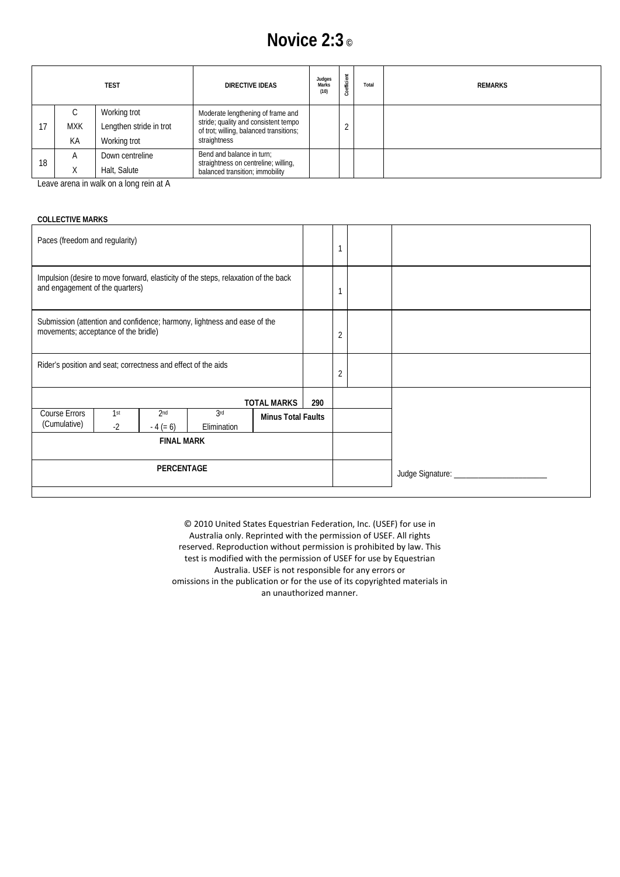## **Novice 2:3 ©**

| <b>TEST</b> |            |                         | DIRECTIVE IDEAS                                                                                 | Judges<br>Marks<br>(10) | oefficient | Total | <b>REMARKS</b> |
|-------------|------------|-------------------------|-------------------------------------------------------------------------------------------------|-------------------------|------------|-------|----------------|
|             | ◡          | Working trot            | Moderate lengthening of frame and                                                               |                         |            |       |                |
| 17          | <b>MXK</b> | Lengthen stride in trot | stride; quality and consistent tempo<br>of trot; willing, balanced transitions;<br>straightness |                         | $\Omega$   |       |                |
|             | KA         | Working trot            |                                                                                                 |                         |            |       |                |
|             | A          | Down centreline         | Bend and balance in turn;<br>straightness on centreline; willing,                               |                         |            |       |                |
| 18          | ∧          | Halt, Salute            | balanced transition; immobility                                                                 |                         |            |       |                |

Leave arena in walk on a long rein at A

#### **COLLECTIVE MARKS**

| Paces (freedom and regularity)                                                                                        |             |                               |                    |                           |                | 1              |                                  |
|-----------------------------------------------------------------------------------------------------------------------|-------------|-------------------------------|--------------------|---------------------------|----------------|----------------|----------------------------------|
| Impulsion (desire to move forward, elasticity of the steps, relaxation of the back<br>and engagement of the quarters) |             |                               |                    |                           |                |                |                                  |
| Submission (attention and confidence; harmony, lightness and ease of the<br>movements; acceptance of the bridle)      |             |                               |                    |                           |                | $\overline{2}$ |                                  |
| Rider's position and seat; correctness and effect of the aids                                                         |             |                               |                    |                           | $\overline{2}$ |                |                                  |
|                                                                                                                       |             |                               |                    | <b>TOTAL MARKS</b>        | 290            |                |                                  |
| <b>Course Errors</b><br>(Cumulative)                                                                                  | 1st<br>$-2$ | 2 <sub>nd</sub><br>$-4 (= 6)$ | 3rd<br>Elimination | <b>Minus Total Faults</b> |                |                |                                  |
| <b>FINAL MARK</b>                                                                                                     |             |                               |                    |                           |                |                |                                  |
| <b>PERCENTAGE</b>                                                                                                     |             |                               |                    |                           |                |                | Judge Signature: _______________ |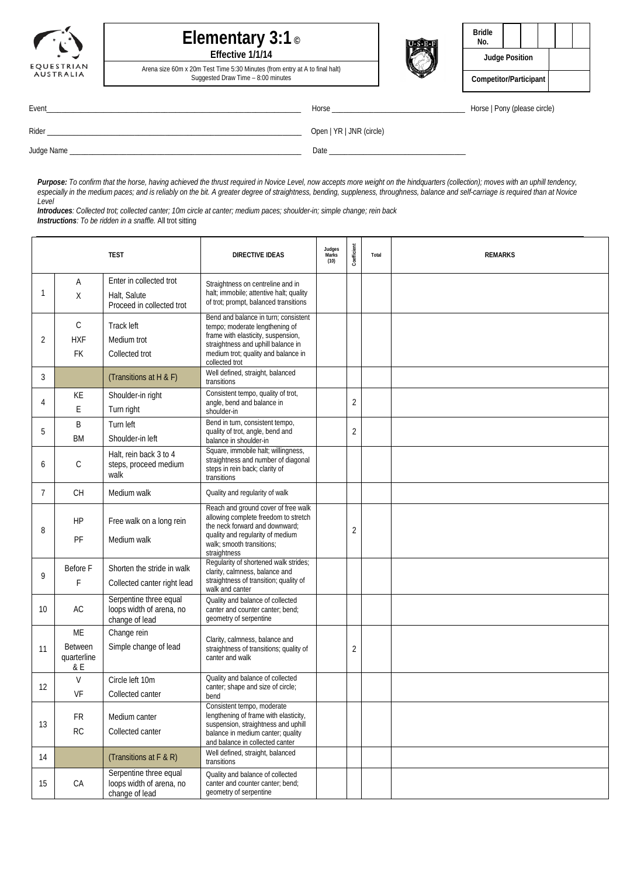



Arena size 60m x 20m Test Time 5:30 Minutes (from entry at A to final halt) Suggested Draw Time – 8:00 minutes



| <b>Bridle</b><br>No.   |  |  |  |  |
|------------------------|--|--|--|--|
| <b>Judge Position</b>  |  |  |  |  |
| Competitor/Participant |  |  |  |  |

Event\_\_\_\_\_\_\_\_\_\_\_\_\_\_\_\_\_\_\_\_\_\_\_\_\_\_\_\_\_\_\_\_\_\_\_\_\_\_\_\_\_\_\_\_\_\_\_\_\_\_\_\_\_\_\_\_\_\_\_\_\_\_\_\_\_\_\_ Horse \_\_\_\_\_\_\_\_\_\_\_\_\_\_\_\_\_\_\_\_\_\_\_\_\_\_\_\_\_\_\_\_\_\_\_ Horse | Pony (please circle) Rider \_\_\_\_\_\_\_\_\_\_\_\_\_\_\_\_\_\_\_\_\_\_\_\_\_\_\_\_\_\_\_\_\_\_\_\_\_\_\_\_\_\_\_\_\_\_\_\_\_\_\_\_\_\_\_\_\_\_\_\_\_\_\_\_\_\_\_ Open | YR | JNR (circle) Judge Name \_\_\_\_\_\_\_\_\_\_\_\_\_\_\_\_\_\_\_\_\_\_\_\_\_\_\_\_\_\_\_\_\_\_\_\_\_\_\_\_\_\_\_\_\_\_\_\_\_\_\_\_\_\_\_\_\_\_\_\_\_ Date \_\_\_\_\_\_\_\_\_\_\_\_\_\_\_\_\_\_\_\_\_\_\_\_\_\_\_\_\_\_\_\_\_\_\_\_

*Purpose: To confirm that the horse, having achieved the thrust required in Novice Level, now accepts more weight on the hindquarters (collection); moves with an uphill tendency, especially in the medium paces; and is reliably on the bit. A greater degree of straightness, bending, suppleness, throughness, balance and self-carriage is required than at Novice Level*

*Introduces: Collected trot; collected canter; 10m circle at canter; medium paces; shoulder-in; simple change; rein back Instructions: To be ridden in a snaffle.* All trot sitting

|              | <b>TEST</b>                                |                                                                      | <b>DIRECTIVE IDEAS</b>                                                                                                                                                                                                                          | Judges<br>Marks<br>(10) | Coefficient    | Total | <b>REMARKS</b> |
|--------------|--------------------------------------------|----------------------------------------------------------------------|-------------------------------------------------------------------------------------------------------------------------------------------------------------------------------------------------------------------------------------------------|-------------------------|----------------|-------|----------------|
| $\mathbf{1}$ | A<br>Χ                                     | Enter in collected trot<br>Halt, Salute<br>Proceed in collected trot | Straightness on centreline and in<br>halt; immobile; attentive halt; quality<br>of trot; prompt, balanced transitions                                                                                                                           |                         |                |       |                |
| 2            | C<br><b>HXF</b><br>FK                      | Track left<br>Medium trot<br>Collected trot                          | Bend and balance in turn; consistent<br>tempo; moderate lengthening of<br>frame with elasticity, suspension,<br>straightness and uphill balance in<br>medium trot; quality and balance in<br>collected trot<br>Well defined, straight, balanced |                         |                |       |                |
| 3<br>4       | KE<br>Ε                                    | (Transitions at H & F)<br>Shoulder-in right<br>Turn right            | transitions<br>Consistent tempo, quality of trot,<br>angle, bend and balance in<br>shoulder-in                                                                                                                                                  |                         | $\overline{2}$ |       |                |
| 5            | B<br><b>BM</b>                             | Turn left<br>Shoulder-in left                                        | Bend in turn, consistent tempo,<br>quality of trot, angle, bend and<br>balance in shoulder-in                                                                                                                                                   |                         | 2              |       |                |
| 6            | C                                          | Halt, rein back 3 to 4<br>steps, proceed medium<br>walk              | Square, immobile halt; willingness,<br>straightness and number of diagonal<br>steps in rein back; clarity of<br>transitions                                                                                                                     |                         |                |       |                |
| 7            | CH                                         | Medium walk                                                          | Quality and regularity of walk                                                                                                                                                                                                                  |                         |                |       |                |
| 8            | HP<br>PF                                   | Free walk on a long rein<br>Medium walk                              | Reach and ground cover of free walk<br>allowing complete freedom to stretch<br>the neck forward and downward;<br>quality and regularity of medium<br>walk; smooth transitions;<br>straightness                                                  |                         | 2              |       |                |
| 9            | Before F<br>F                              | Shorten the stride in walk<br>Collected canter right lead            | Regularity of shortened walk strides;<br>clarity, calmness, balance and<br>straightness of transition; quality of<br>walk and canter                                                                                                            |                         |                |       |                |
| 10           | AC                                         | Serpentine three equal<br>loops width of arena, no<br>change of lead | Quality and balance of collected<br>canter and counter canter; bend;<br>geometry of serpentine                                                                                                                                                  |                         |                |       |                |
| 11           | ME<br><b>Between</b><br>quarterline<br>& E | Change rein<br>Simple change of lead                                 | Clarity, calmness, balance and<br>straightness of transitions; quality of<br>canter and walk                                                                                                                                                    |                         | 2              |       |                |
| 12           | V<br>VF                                    | Circle left 10m<br>Collected canter                                  | Quality and balance of collected<br>canter; shape and size of circle;                                                                                                                                                                           |                         |                |       |                |
| 13           | <b>FR</b><br>${\sf RC}$                    | Medium canter<br>Collected canter                                    | bend<br>Consistent tempo, moderate<br>lengthening of frame with elasticity,<br>suspension, straightness and uphill<br>balance in medium canter; quality<br>and balance in collected canter                                                      |                         |                |       |                |
| 14           |                                            | (Transitions at F & R)                                               | Well defined, straight, balanced<br>transitions                                                                                                                                                                                                 |                         |                |       |                |
| 15           | CA                                         | Serpentine three equal<br>loops width of arena, no<br>change of lead | Quality and balance of collected<br>canter and counter canter; bend;<br>geometry of serpentine                                                                                                                                                  |                         |                |       |                |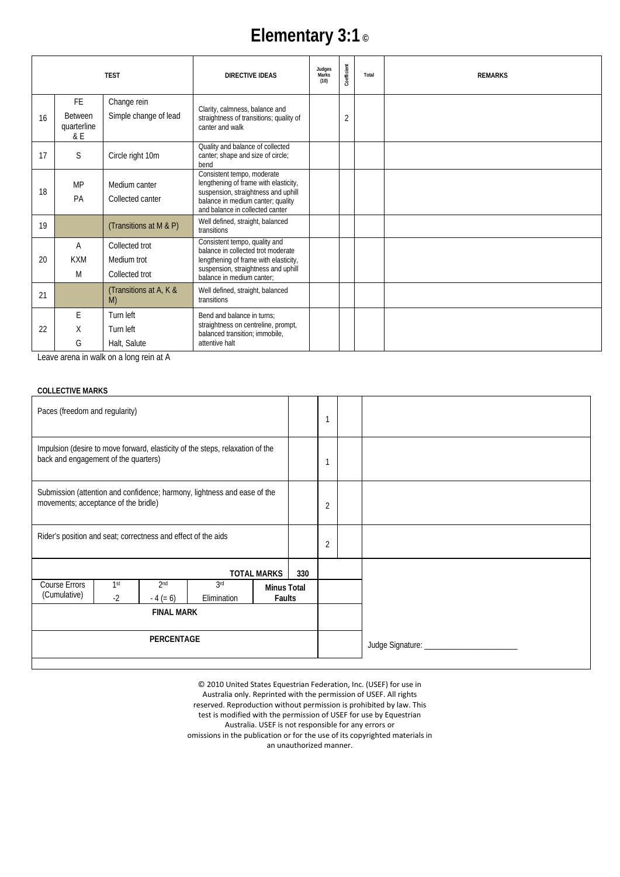# **Elementary 3:1 ©**

|    |                                             | <b>TEST</b>                                     | <b>DIRECTIVE IDEAS</b>                                                                                                                                                             | Judges<br>Marks<br>(10) | Coefficient    | Total | <b>REMARKS</b> |
|----|---------------------------------------------|-------------------------------------------------|------------------------------------------------------------------------------------------------------------------------------------------------------------------------------------|-------------------------|----------------|-------|----------------|
| 16 | FE.<br><b>Between</b><br>quarterline<br>& E | Change rein<br>Simple change of lead            | Clarity, calmness, balance and<br>straightness of transitions; quality of<br>canter and walk                                                                                       |                         | $\overline{2}$ |       |                |
| 17 | S.                                          | Circle right 10m                                | Quality and balance of collected<br>canter; shape and size of circle;<br>bend                                                                                                      |                         |                |       |                |
| 18 | <b>MP</b><br>PA                             | Medium canter<br>Collected canter               | Consistent tempo, moderate<br>lengthening of frame with elasticity,<br>suspension, straightness and uphill<br>balance in medium canter; quality<br>and balance in collected canter |                         |                |       |                |
| 19 |                                             | (Transitions at M & P)                          | Well defined, straight, balanced<br>transitions                                                                                                                                    |                         |                |       |                |
| 20 | A<br><b>KXM</b><br>M                        | Collected trot<br>Medium trot<br>Collected trot | Consistent tempo, quality and<br>balance in collected trot moderate<br>lengthening of frame with elasticity,<br>suspension, straightness and uphill<br>balance in medium canter:   |                         |                |       |                |
| 21 |                                             | (Transitions at A, K &<br>M)                    | Well defined, straight, balanced<br>transitions                                                                                                                                    |                         |                |       |                |
| 22 | E<br>X<br>G                                 | Turn left<br>Turn left<br>Halt, Salute          | Bend and balance in turns:<br>straightness on centreline, prompt,<br>balanced transition; immobile,<br>attentive halt                                                              |                         |                |       |                |

Leave arena in walk on a long rein at A

#### **COLLECTIVE MARKS**

| Paces (freedom and regularity)                                                                                        |                         |                               |                    |                    |                              |                                       |  |
|-----------------------------------------------------------------------------------------------------------------------|-------------------------|-------------------------------|--------------------|--------------------|------------------------------|---------------------------------------|--|
| Impulsion (desire to move forward, elasticity of the steps, relaxation of the<br>back and engagement of the quarters) |                         |                               |                    |                    |                              |                                       |  |
| Submission (attention and confidence; harmony, lightness and ease of the<br>movements; acceptance of the bridle)      |                         |                               |                    |                    |                              | $\overline{2}$                        |  |
| Rider's position and seat; correctness and effect of the aids                                                         |                         |                               |                    |                    | $\overline{2}$               |                                       |  |
|                                                                                                                       |                         |                               |                    | <b>TOTAL MARKS</b> | 330                          |                                       |  |
| Course Errors<br>(Cumulative)                                                                                         | 1 <sup>st</sup><br>$-2$ | 2 <sub>nd</sub><br>$-4 (= 6)$ | 3rd<br>Elimination |                    | <b>Minus Total</b><br>Faults |                                       |  |
| <b>FINAL MARK</b>                                                                                                     |                         |                               |                    |                    |                              |                                       |  |
| <b>PERCENTAGE</b>                                                                                                     |                         |                               |                    |                    |                              | Judge Signature: ____________________ |  |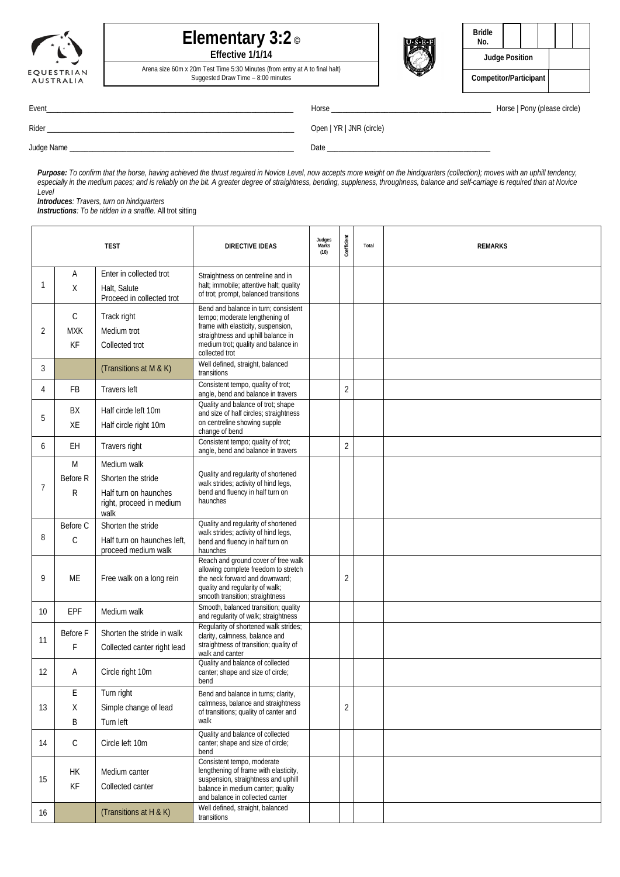| EQUESTRIAN | <b>USTRALIA</b> |  |
|------------|-----------------|--|



Arena size 60m x 20m Test Time 5:30 Minutes (from entry at A to final halt) Suggested Draw Time – 8:00 minutes



| <b>Bridle</b><br>No.   |  |  |  |  |  |
|------------------------|--|--|--|--|--|
| <b>Judge Position</b>  |  |  |  |  |  |
| Competitor/Participant |  |  |  |  |  |

Event\_\_\_\_\_\_\_\_\_\_\_\_\_\_\_\_\_\_\_\_\_\_\_\_\_\_\_\_\_\_\_\_\_\_\_\_\_\_\_\_\_\_\_\_\_\_\_\_\_\_\_\_\_\_\_\_\_\_\_\_\_\_\_\_\_ Horse \_\_\_\_\_\_\_\_\_\_\_\_\_\_\_\_\_\_\_\_\_\_\_\_\_\_\_\_\_\_\_\_\_\_\_\_\_\_\_\_\_\_ Horse | Pony (please circle)

Rider \_\_\_\_\_\_\_\_\_\_\_\_\_\_\_\_\_\_\_\_\_\_\_\_\_\_\_\_\_\_\_\_\_\_\_\_\_\_\_\_\_\_\_\_\_\_\_\_\_\_\_\_\_\_\_\_\_\_\_\_\_\_\_\_\_ Open | YR | JNR (circle)

Judge Name \_\_\_\_\_\_\_\_\_\_\_\_\_\_\_\_\_\_\_\_\_\_\_\_\_\_\_\_\_\_\_\_\_\_\_\_\_\_\_\_\_\_\_\_\_\_\_\_\_\_\_\_\_\_\_\_\_\_\_ Date \_\_\_\_\_\_\_\_\_\_\_\_\_\_\_\_\_\_\_\_\_\_\_\_\_\_\_\_\_\_\_\_\_\_\_\_\_\_\_\_\_\_\_

*Purpose: To confirm that the horse, having achieved the thrust required in Novice Level, now accepts more weight on the hindquarters (collection); moves with an uphill tendency, especially in the medium paces; and is reliably on the bit. A greater degree of straightness, bending, suppleness, throughness, balance and self-carriage is required than at Novice Level*

*Introduces: Travers, turn on hindquarters*

*Instructions: To be ridden in a snaffle.* All trot sitting

|                |                 | <b>TEST</b>                                               | <b>DIRECTIVE IDEAS</b>                                                                                                                                                              | Judges<br>Marks<br>(10) | Coefficient    | Total | <b>REMARKS</b> |
|----------------|-----------------|-----------------------------------------------------------|-------------------------------------------------------------------------------------------------------------------------------------------------------------------------------------|-------------------------|----------------|-------|----------------|
|                | A               | Enter in collected trot                                   | Straightness on centreline and in                                                                                                                                                   |                         |                |       |                |
| 1              | X               | Halt, Salute<br>Proceed in collected trot                 | halt; immobile; attentive halt; quality<br>of trot; prompt, balanced transitions                                                                                                    |                         |                |       |                |
|                | $\mathsf C$     | Track right                                               | Bend and balance in turn; consistent<br>tempo; moderate lengthening of                                                                                                              |                         |                |       |                |
| 2              | <b>MXK</b>      | Medium trot                                               | frame with elasticity, suspension,                                                                                                                                                  |                         |                |       |                |
|                | KF              | Collected trot                                            | straightness and uphill balance in<br>medium trot; quality and balance in<br>collected trot                                                                                         |                         |                |       |                |
| 3              |                 | (Transitions at M & K)                                    | Well defined, straight, balanced<br>transitions                                                                                                                                     |                         |                |       |                |
| 4              | <b>FB</b>       | Travers left                                              | Consistent tempo, quality of trot;<br>angle, bend and balance in travers                                                                                                            |                         | $\overline{2}$ |       |                |
|                | BX              | Half circle left 10m                                      | Quality and balance of trot; shape<br>and size of half circles; straightness                                                                                                        |                         |                |       |                |
| 5              | XE              | Half circle right 10m                                     | on centreline showing supple<br>change of bend                                                                                                                                      |                         |                |       |                |
| 6              | EH              | Travers right                                             | Consistent tempo; quality of trot;<br>angle, bend and balance in travers                                                                                                            |                         | $\overline{2}$ |       |                |
|                | M               | Medium walk                                               |                                                                                                                                                                                     |                         |                |       |                |
| $\overline{7}$ | Before R        | Shorten the stride                                        | Quality and regularity of shortened<br>walk strides; activity of hind legs,                                                                                                         |                         |                |       |                |
|                | R               | Half turn on haunches<br>right, proceed in medium<br>walk | bend and fluency in half turn on<br>haunches                                                                                                                                        |                         |                |       |                |
|                | Before C        | Shorten the stride                                        | Quality and regularity of shortened<br>walk strides; activity of hind legs,                                                                                                         |                         |                |       |                |
| 8              | С               | Half turn on haunches left,<br>proceed medium walk        | bend and fluency in half turn on<br>haunches                                                                                                                                        |                         |                |       |                |
| 9              | МE              | Free walk on a long rein                                  | Reach and ground cover of free walk<br>allowing complete freedom to stretch<br>the neck forward and downward;<br>quality and regularity of walk;<br>smooth transition; straightness |                         | 2              |       |                |
| 10             | EPF             | Medium walk                                               | Smooth, balanced transition; quality<br>and regularity of walk; straightness                                                                                                        |                         |                |       |                |
|                | Before F        | Shorten the stride in walk                                | Regularity of shortened walk strides;<br>clarity, calmness, balance and                                                                                                             |                         |                |       |                |
| 11             | F               | Collected canter right lead                               | straightness of transition; quality of<br>walk and canter                                                                                                                           |                         |                |       |                |
| 12             | A               | Circle right 10m                                          | Quality and balance of collected<br>canter; shape and size of circle;<br>bend                                                                                                       |                         |                |       |                |
|                | E               | Turn right                                                | Bend and balance in turns; clarity,                                                                                                                                                 |                         |                |       |                |
| 13             | Χ               | Simple change of lead                                     | calmness, balance and straightness<br>of transitions; quality of canter and                                                                                                         |                         | $\overline{2}$ |       |                |
|                | B               | Turn left                                                 | walk                                                                                                                                                                                |                         |                |       |                |
| 14             | C               | Circle left 10m                                           | Quality and balance of collected<br>canter; shape and size of circle;<br>bend                                                                                                       |                         |                |       |                |
| 15             | <b>HK</b><br>KF | Medium canter<br>Collected canter                         | Consistent tempo, moderate<br>lengthening of frame with elasticity,<br>suspension, straightness and uphill                                                                          |                         |                |       |                |
|                |                 |                                                           | balance in medium canter; quality<br>and balance in collected canter                                                                                                                |                         |                |       |                |
| 16             |                 | (Transitions at H & K)                                    | Well defined, straight, balanced<br>transitions                                                                                                                                     |                         |                |       |                |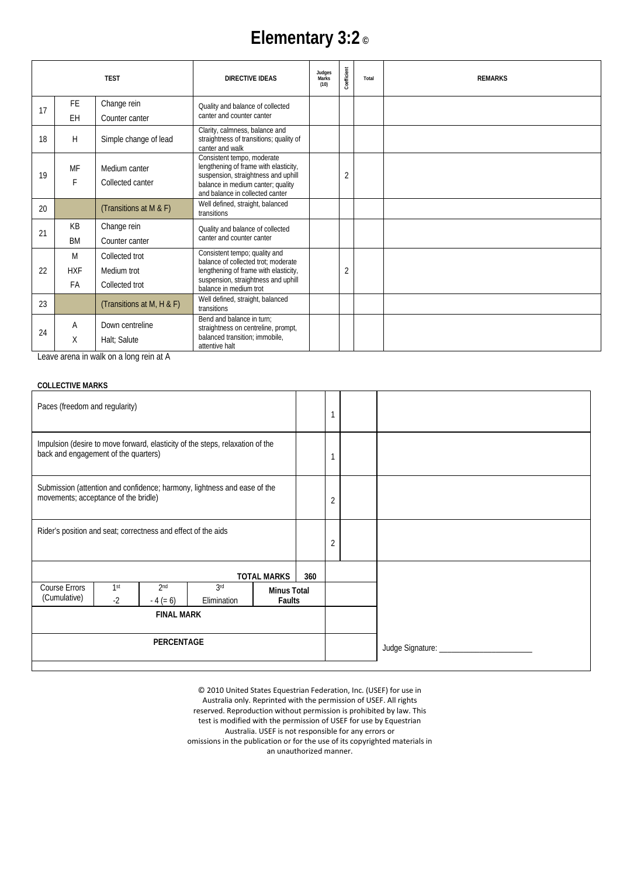# **Elementary 3:2 ©**

|    |            | <b>TEST</b>               | <b>DIRECTIVE IDEAS</b>                                                                       | Judges<br>Marks<br>(10) | Coefficient    | Total | <b>REMARKS</b> |
|----|------------|---------------------------|----------------------------------------------------------------------------------------------|-------------------------|----------------|-------|----------------|
| 17 | <b>FE</b>  | Change rein               | Quality and balance of collected                                                             |                         |                |       |                |
|    | EH         | Counter canter            | canter and counter canter                                                                    |                         |                |       |                |
| 18 | H          | Simple change of lead     | Clarity, calmness, balance and<br>straightness of transitions; quality of<br>canter and walk |                         |                |       |                |
|    | MF         | Medium canter             | Consistent tempo, moderate<br>lengthening of frame with elasticity,                          |                         |                |       |                |
| 19 | F          | Collected canter          | suspension, straightness and uphill                                                          |                         | $\overline{2}$ |       |                |
|    |            |                           | balance in medium canter; quality<br>and balance in collected canter                         |                         |                |       |                |
| 20 |            | (Transitions at M & F)    | Well defined, straight, balanced<br>transitions                                              |                         |                |       |                |
| 21 | KB         | Change rein               | Quality and balance of collected                                                             |                         |                |       |                |
|    | <b>BM</b>  | Counter canter            | canter and counter canter                                                                    |                         |                |       |                |
|    | M          | Collected trot            | Consistent tempo; quality and<br>balance of collected trot; moderate                         |                         |                |       |                |
| 22 | <b>HXF</b> | Medium trot               | lengthening of frame with elasticity,                                                        |                         | $\overline{2}$ |       |                |
|    | FA         | Collected trot            | suspension, straightness and uphill<br>balance in medium trot                                |                         |                |       |                |
| 23 |            | (Transitions at M, H & F) | Well defined, straight, balanced<br>transitions                                              |                         |                |       |                |
|    | Α          | Down centreline           | Bend and balance in turn;<br>straightness on centreline, prompt,                             |                         |                |       |                |
| 24 | X          | Halt; Salute              | balanced transition; immobile,<br>attentive halt                                             |                         |                |       |                |

Leave arena in walk on a long rein at A

#### **COLLECTIVE MARKS**

| Paces (freedom and regularity)                                                                                        |                         |                               |                    |                                     |     | 1                                  |  |
|-----------------------------------------------------------------------------------------------------------------------|-------------------------|-------------------------------|--------------------|-------------------------------------|-----|------------------------------------|--|
| Impulsion (desire to move forward, elasticity of the steps, relaxation of the<br>back and engagement of the quarters) |                         |                               |                    |                                     |     | 1                                  |  |
| Submission (attention and confidence; harmony, lightness and ease of the<br>movements; acceptance of the bridle)      |                         |                               |                    |                                     |     | $\overline{2}$                     |  |
| Rider's position and seat; correctness and effect of the aids                                                         |                         |                               |                    |                                     |     | $\overline{2}$                     |  |
|                                                                                                                       |                         |                               |                    | <b>TOTAL MARKS</b>                  | 360 |                                    |  |
| Course Errors<br>(Cumulative)                                                                                         | 1 <sup>st</sup><br>$-2$ | 2 <sub>nd</sub><br>$-4 (= 6)$ | 3rd<br>Elimination | <b>Minus Total</b><br><b>Faults</b> |     |                                    |  |
| <b>FINAL MARK</b>                                                                                                     |                         |                               |                    |                                     |     |                                    |  |
| PERCENTAGE                                                                                                            |                         |                               |                    |                                     |     | Judge Signature: _________________ |  |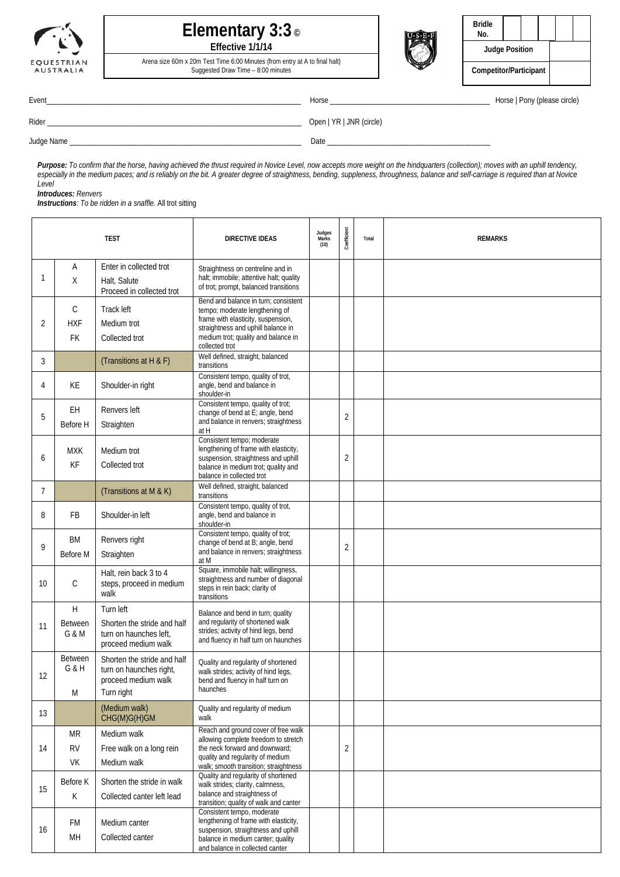

### **Elementary 3:3 © Effective 1/1/14**



| <b>Bridle</b><br>No.   |  |  |  |  |  |
|------------------------|--|--|--|--|--|
| <b>Judge Position</b>  |  |  |  |  |  |
| Competitor/Participant |  |  |  |  |  |

Arena size 60m x 20m Test Time 6:00 Minutes (from entry at A to final halt) Suggested Draw Time – 8:00 minutes

|  | Horse   Pony (please circle) |  |
|--|------------------------------|--|
|  |                              |  |

| Event      | Horse                    | Horse   Pony (please circle) |
|------------|--------------------------|------------------------------|
| Rider      | Open   YR   JNR (circle) |                              |
| Judge Name | Date                     |                              |

*Purpose: To confirm that the horse, having achieved the thrust required in Novice Level, now accepts more weight on the hindquarters (collection); moves with an uphill tendency, especially in the medium paces; and is reliably on the bit. A greater degree of straightness, bending, suppleness, throughness, balance and self-carriage is required than at Novice Level*

*Introduces: Renvers*

*Instructions: To be ridden in a snaffle.* All trot sitting

|                | <b>TEST</b>                             |                                                                                             | <b>DIRECTIVE IDEAS</b>                                                                                                                                                                                      | Judges<br>Marks<br>(10) | Coefficient    | Total | <b>REMARKS</b> |
|----------------|-----------------------------------------|---------------------------------------------------------------------------------------------|-------------------------------------------------------------------------------------------------------------------------------------------------------------------------------------------------------------|-------------------------|----------------|-------|----------------|
| 1              | Α<br>X                                  | Enter in collected trot<br>Halt, Salute<br>Proceed in collected trot                        | Straightness on centreline and in<br>halt; immobile; attentive halt; quality<br>of trot; prompt, balanced transitions                                                                                       |                         |                |       |                |
| 2              | $\mathsf{C}$<br><b>HXF</b><br><b>FK</b> | Track left<br>Medium trot<br>Collected trot                                                 | Bend and balance in turn: consistent<br>tempo; moderate lengthening of<br>frame with elasticity, suspension,<br>straightness and uphill balance in<br>medium trot; quality and balance in<br>collected trot |                         |                |       |                |
| 3              |                                         | (Transitions at H & F)                                                                      | Well defined, straight, balanced<br>transitions                                                                                                                                                             |                         |                |       |                |
| 4              | КE                                      | Shoulder-in right                                                                           | Consistent tempo, quality of trot,<br>angle, bend and balance in<br>shoulder-in                                                                                                                             |                         |                |       |                |
| 5              | EH<br>Before H                          | Renvers left<br>Straighten                                                                  | Consistent tempo, quality of trot;<br>change of bend at E; angle, bend<br>and balance in renvers; straightness<br>at H                                                                                      |                         | $\overline{2}$ |       |                |
| 6              | <b>MXK</b><br>KF                        | Medium trot<br>Collected trot                                                               | Consistent tempo; moderate<br>lengthening of frame with elasticity,<br>suspension, straightness and uphill<br>balance in medium trot; quality and<br>balance in collected trot                              |                         | $\overline{2}$ |       |                |
| $\overline{7}$ |                                         | (Transitions at M & K)                                                                      | Well defined, straight, balanced<br>transitions                                                                                                                                                             |                         |                |       |                |
| 8              | FB                                      | Shoulder-in left                                                                            | Consistent tempo, quality of trot,<br>angle, bend and balance in<br>shoulder-in                                                                                                                             |                         |                |       |                |
| 9              | BM<br>Before M                          | Renvers right<br>Straighten                                                                 | Consistent tempo, quality of trot;<br>change of bend at B; angle, bend<br>and balance in renvers; straightness<br>at M                                                                                      |                         | $\overline{2}$ |       |                |
| 10             | $\mathcal{C}$                           | Halt, rein back 3 to 4<br>steps, proceed in medium<br>walk                                  | Square, immobile halt; willingness,<br>straightness and number of diagonal<br>steps in rein back; clarity of<br>transitions                                                                                 |                         |                |       |                |
| 11             | H<br><b>Between</b><br>G & M            | Turn left<br>Shorten the stride and half<br>turn on haunches left,<br>proceed medium walk   | Balance and bend in turn; quality<br>and regularity of shortened walk<br>strides; activity of hind legs, bend<br>and fluency in half turn on haunches                                                       |                         |                |       |                |
| 12             | <b>Between</b><br>G & H<br>M            | Shorten the stride and half<br>turn on haunches right,<br>proceed medium walk<br>Turn right | Quality and regularity of shortened<br>walk strides; activity of hind legs,<br>bend and fluency in half turn on<br>haunches                                                                                 |                         |                |       |                |
| 13             |                                         | (Medium walk)<br>CHG(M)G(H)GM                                                               | Quality and regularity of medium<br>walk                                                                                                                                                                    |                         |                |       |                |
| 14             | <b>MR</b><br><b>RV</b><br>VK            | Medium walk<br>Free walk on a long rein<br>Medium walk                                      | Reach and ground cover of free walk<br>allowing complete freedom to stretch<br>the neck forward and downward;<br>quality and regularity of medium<br>walk; smooth transition; straightness                  |                         | $\overline{2}$ |       |                |
| 15             | Before K<br>К                           | Shorten the stride in walk<br>Collected canter left lead                                    | Quality and regularity of shortened<br>walk strides; clarity, calmness,<br>balance and straightness of<br>transition; quality of walk and canter                                                            |                         |                |       |                |
| 16             | FM<br>MН                                | Medium canter<br>Collected canter                                                           | Consistent tempo, moderate<br>lengthening of frame with elasticity,<br>suspension, straightness and uphill<br>balance in medium canter; quality<br>and balance in collected canter                          |                         |                |       |                |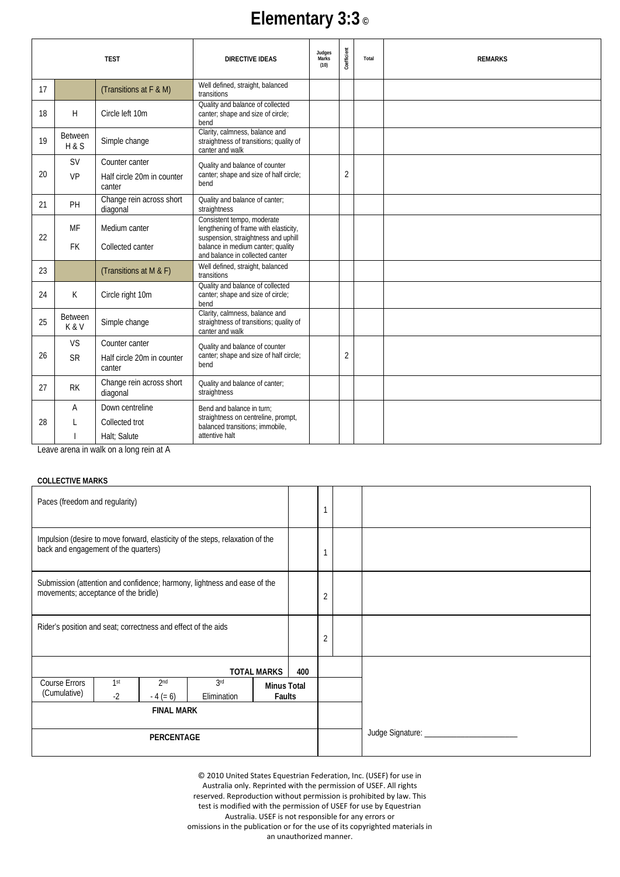# **Elementary 3:3 ©**

|    | <b>TEST</b>           |                                         | <b>DIRECTIVE IDEAS</b>                                                                                     | Judges<br>Marks<br>(10) | Coefficient    | Total | <b>REMARKS</b> |
|----|-----------------------|-----------------------------------------|------------------------------------------------------------------------------------------------------------|-------------------------|----------------|-------|----------------|
| 17 |                       | (Transitions at F & M)                  | Well defined, straight, balanced<br>transitions                                                            |                         |                |       |                |
| 18 | H                     | Circle left 10m                         | Quality and balance of collected<br>canter; shape and size of circle;<br>bend                              |                         |                |       |                |
| 19 | <b>Between</b><br>H&S | Simple change                           | Clarity, calmness, balance and<br>straightness of transitions; quality of<br>canter and walk               |                         |                |       |                |
|    | <b>SV</b>             | Counter canter                          | Quality and balance of counter                                                                             |                         |                |       |                |
| 20 | VP                    | Half circle 20m in counter<br>canter    | canter; shape and size of half circle;<br>bend                                                             |                         | $\overline{2}$ |       |                |
| 21 | PH                    | Change rein across short<br>diagonal    | Quality and balance of canter;<br>straightness                                                             |                         |                |       |                |
| 22 | MF                    | Medium canter                           | Consistent tempo, moderate<br>lengthening of frame with elasticity,<br>suspension, straightness and uphill |                         |                |       |                |
|    | <b>FK</b>             | Collected canter                        | balance in medium canter; quality<br>and balance in collected canter                                       |                         |                |       |                |
| 23 |                       | (Transitions at M & F)                  | Well defined, straight, balanced<br>transitions                                                            |                         |                |       |                |
| 24 | K                     | Circle right 10m                        | Quality and balance of collected<br>canter; shape and size of circle;<br>bend                              |                         |                |       |                |
| 25 | <b>Between</b><br>K&V | Simple change                           | Clarity, calmness, balance and<br>straightness of transitions; quality of<br>canter and walk               |                         |                |       |                |
|    | <b>VS</b>             | Counter canter                          | Quality and balance of counter                                                                             |                         |                |       |                |
| 26 | <b>SR</b>             | Half circle 20m in counter<br>canter    | canter; shape and size of half circle;<br>bend                                                             |                         | 2              |       |                |
| 27 | <b>RK</b>             | Change rein across short<br>diagonal    | Quality and balance of canter;<br>straightness                                                             |                         |                |       |                |
|    | Α                     | Down centreline                         | Bend and balance in turn;                                                                                  |                         |                |       |                |
| 28 |                       | Collected trot                          | straightness on centreline, prompt,<br>balanced transitions; immobile,                                     |                         |                |       |                |
|    |                       | Halt; Salute                            | attentive halt                                                                                             |                         |                |       |                |
|    |                       | A te aion paol e ao New ai eaone oveo L |                                                                                                            |                         |                |       |                |

Leave arena in walk on a long rein at A

## **COLLECTIVE MARKS**

| Paces (freedom and regularity)                                                                                        |                         |                               |                                                                          |                              |     | 1              |                                |
|-----------------------------------------------------------------------------------------------------------------------|-------------------------|-------------------------------|--------------------------------------------------------------------------|------------------------------|-----|----------------|--------------------------------|
| Impulsion (desire to move forward, elasticity of the steps, relaxation of the<br>back and engagement of the quarters) |                         |                               |                                                                          |                              |     | 1              |                                |
| movements; acceptance of the bridle)                                                                                  |                         |                               | Submission (attention and confidence; harmony, lightness and ease of the |                              |     | $\overline{2}$ |                                |
| Rider's position and seat; correctness and effect of the aids                                                         |                         |                               |                                                                          |                              |     | $\overline{2}$ |                                |
|                                                                                                                       |                         |                               |                                                                          | <b>TOTAL MARKS</b>           | 400 |                |                                |
| <b>Course Errors</b><br>(Cumulative)                                                                                  | 1 <sup>st</sup><br>$-2$ | 2 <sub>nd</sub><br>$-4 (= 6)$ | 3 <sup>rd</sup><br>Elimination                                           | <b>Minus Total</b><br>Faults |     |                |                                |
| <b>FINAL MARK</b>                                                                                                     |                         |                               |                                                                          |                              |     |                |                                |
| <b>PERCENTAGE</b>                                                                                                     |                         |                               |                                                                          |                              |     |                | Judge Signature: _____________ |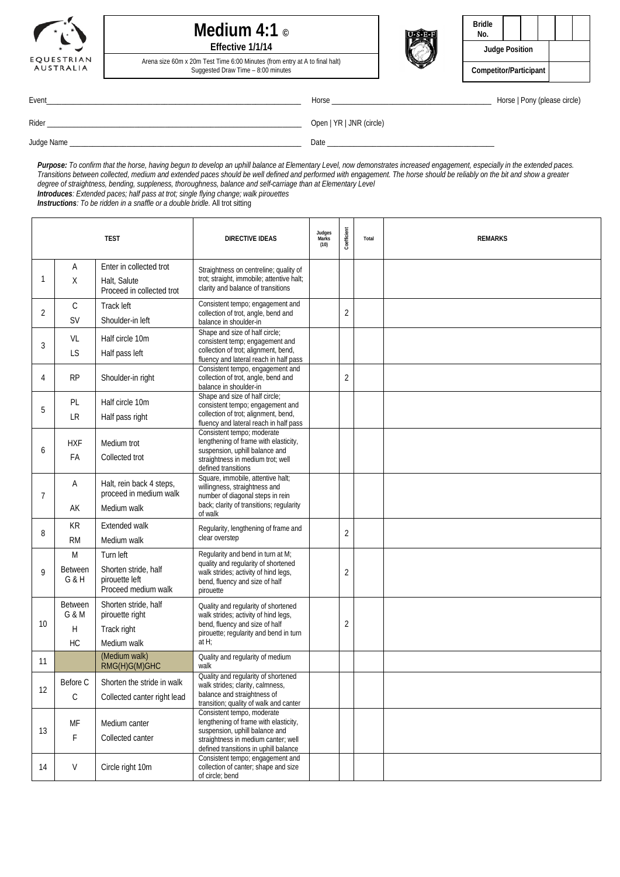

### **Medium 4:1 © Effective 1/1/14**

Arena size 60m x 20m Test Time 6:00 Minutes (from entry at A to final halt)



| Bridle<br>No.          |  |  |  |  |  |  |  |  |
|------------------------|--|--|--|--|--|--|--|--|
| <b>Judge Position</b>  |  |  |  |  |  |  |  |  |
| Competitor/Participant |  |  |  |  |  |  |  |  |

Suggested Draw Time – 8:00 minutes

Event\_\_\_\_\_\_\_\_\_\_\_\_\_\_\_\_\_\_\_\_\_\_\_\_\_\_\_\_\_\_\_\_\_\_\_\_\_\_\_\_\_\_\_\_\_\_\_\_\_\_\_\_\_\_\_\_\_\_\_\_\_\_\_\_\_\_\_ Horse \_\_\_\_\_\_\_\_\_\_\_\_\_\_\_\_\_\_\_\_\_\_\_\_\_\_\_\_\_\_\_\_\_\_\_\_\_\_\_\_\_\_ Horse | Pony (please circle)

Rider \_\_\_\_\_\_\_\_\_\_\_\_\_\_\_\_\_\_\_\_\_\_\_\_\_\_\_\_\_\_\_\_\_\_\_\_\_\_\_\_\_\_\_\_\_\_\_\_\_\_\_\_\_\_\_\_\_\_\_\_\_\_\_\_\_\_\_ Open | YR | JNR (circle)

Judge Name \_\_\_\_\_\_\_\_\_\_\_\_\_\_\_\_\_\_\_\_\_\_\_\_\_\_\_\_\_\_\_\_\_\_\_\_\_\_\_\_\_\_\_\_\_\_\_\_\_\_\_\_\_\_\_\_\_\_\_\_\_ Date \_\_\_\_\_\_\_\_\_\_\_\_\_\_\_\_\_\_\_\_\_\_\_\_\_\_\_\_\_\_\_\_\_\_\_\_\_\_\_\_\_\_\_\_

*Purpose: To confirm that the horse, having begun to develop an uphill balance at Elementary Level, now demonstrates increased engagement, especially in the extended paces. Transitions between collected, medium and extended paces should be well defined and performed with engagement. The horse should be reliably on the bit and show a greater degree of straightness, bending, suppleness, thoroughness, balance and self-carriage than at Elementary Level*

*Introduces: Extended paces; half pass at trot; single flying change; walk pirouettes*

*Instructions: To be ridden in a snaffle or a double bridle.* All trot sitting

|              | <b>TEST</b>    |                                           | <b>DIRECTIVE IDEAS</b>                                                                            | Judges<br>Marks<br>(10) | Coefficient    | Total | <b>REMARKS</b> |
|--------------|----------------|-------------------------------------------|---------------------------------------------------------------------------------------------------|-------------------------|----------------|-------|----------------|
|              | Α              | Enter in collected trot                   | Straightness on centreline; quality of                                                            |                         |                |       |                |
| 1            | X              | Halt, Salute<br>Proceed in collected trot | trot; straight, immobile; attentive halt;<br>clarity and balance of transitions                   |                         |                |       |                |
|              | $\mathsf{C}$   | Track left                                | Consistent tempo; engagement and                                                                  |                         |                |       |                |
| 2            | <b>SV</b>      | Shoulder-in left                          | collection of trot, angle, bend and<br>balance in shoulder-in                                     |                         | $\overline{2}$ |       |                |
|              | VL             | Half circle 10m                           | Shape and size of half circle;<br>consistent temp; engagement and                                 |                         |                |       |                |
| 3            | LS             | Half pass left                            | collection of trot; alignment, bend,<br>fluency and lateral reach in half pass                    |                         |                |       |                |
| 4            | <b>RP</b>      | Shoulder-in right                         | Consistent tempo, engagement and<br>collection of trot, angle, bend and<br>balance in shoulder-in |                         | $\overline{2}$ |       |                |
|              | PL             | Half circle 10m                           | Shape and size of half circle;<br>consistent tempo; engagement and                                |                         |                |       |                |
| 5            | LR             | Half pass right                           | collection of trot; alignment, bend,<br>fluency and lateral reach in half pass                    |                         |                |       |                |
|              | <b>HXF</b>     | Medium trot                               | Consistent tempo; moderate<br>lengthening of frame with elasticity,                               |                         |                |       |                |
| 6            | FA             | Collected trot                            | suspension, uphill balance and<br>straightness in medium trot; well                               |                         |                |       |                |
|              |                |                                           | defined transitions                                                                               |                         |                |       |                |
|              | Α              | Halt, rein back 4 steps,                  | Square, immobile, attentive halt;<br>willingness, straightness and                                |                         |                |       |                |
| 7            |                | proceed in medium walk                    | number of diagonal steps in rein                                                                  |                         |                |       |                |
|              | AK             | Medium walk                               | back; clarity of transitions; regularity<br>of walk                                               |                         |                |       |                |
| 8            | KR             | Extended walk                             | Regularity, lengthening of frame and                                                              |                         | $\overline{2}$ |       |                |
|              | <b>RM</b>      | Medium walk                               | clear overstep                                                                                    |                         |                |       |                |
|              | M              | Turn left                                 | Regularity and bend in turn at M;                                                                 |                         |                |       |                |
| $\mathsf{Q}$ | <b>Between</b> | Shorten stride, half                      | quality and regularity of shortened<br>walk strides; activity of hind legs,                       |                         | $\overline{2}$ |       |                |
|              | G & H          | pirouette left<br>Proceed medium walk     | bend, fluency and size of half<br>pirouette                                                       |                         |                |       |                |
|              | <b>Between</b> | Shorten stride, half                      | Quality and regularity of shortened                                                               |                         |                |       |                |
|              | G & M          | pirouette right                           | walk strides; activity of hind legs,                                                              |                         |                |       |                |
| 10           | Η              | Track right                               | bend, fluency and size of half<br>pirouette; regularity and bend in turn                          |                         | $\overline{2}$ |       |                |
|              | <b>HC</b>      | Medium walk                               | at $H$ ;                                                                                          |                         |                |       |                |
| 11           |                | (Medium walk)<br>RMG(H)G(M)GHC            | Quality and regularity of medium<br>walk                                                          |                         |                |       |                |
|              | Before C       | Shorten the stride in walk                | Quality and regularity of shortened<br>walk strides; clarity, calmness,                           |                         |                |       |                |
| 12           | $\mathsf C$    | Collected canter right lead               | balance and straightness of<br>transition; quality of walk and canter                             |                         |                |       |                |
|              | MF             | Medium canter                             | Consistent tempo, moderate<br>lengthening of frame with elasticity,                               |                         |                |       |                |
| 13           | F              | Collected canter                          | suspension, uphill balance and<br>straightness in medium canter; well                             |                         |                |       |                |
|              |                |                                           | defined transitions in uphill balance                                                             |                         |                |       |                |
| 14           | V              | Circle right 10m                          | Consistent tempo; engagement and<br>collection of canter; shape and size<br>of circle: bend       |                         |                |       |                |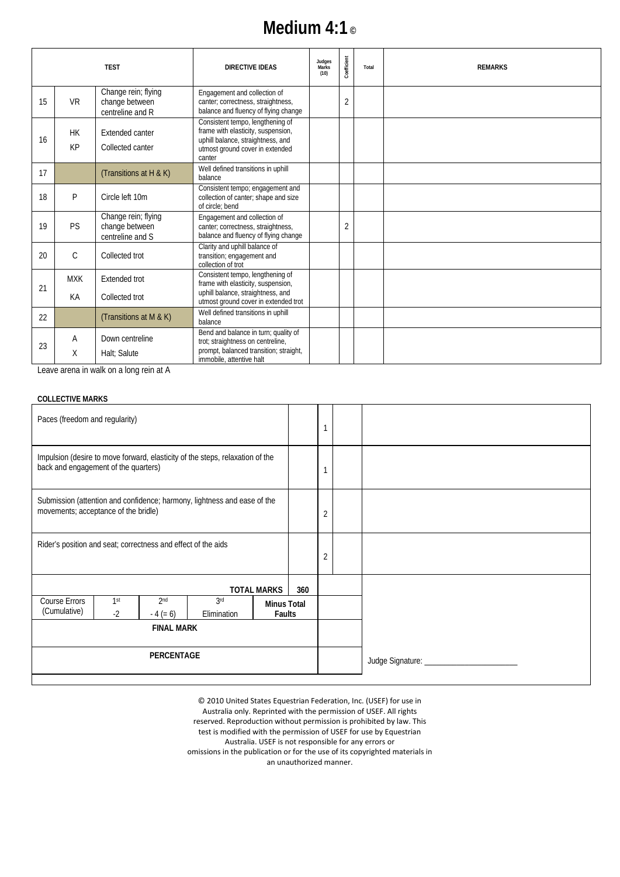## **Medium 4:1 ©**

|    |                 | <b>TEST</b>                                               | <b>DIRECTIVE IDEAS</b>                                                                                                                                   | Judges<br>Marks<br>(10) | Coefficient    | Total | <b>REMARKS</b> |
|----|-----------------|-----------------------------------------------------------|----------------------------------------------------------------------------------------------------------------------------------------------------------|-------------------------|----------------|-------|----------------|
| 15 | <b>VR</b>       | Change rein; flying<br>change between<br>centreline and R | Engagement and collection of<br>canter; correctness, straightness,<br>balance and fluency of flying change                                               |                         | $\overline{2}$ |       |                |
| 16 | <b>HK</b><br>KP | Extended canter<br>Collected canter                       | Consistent tempo, lengthening of<br>frame with elasticity, suspension,<br>uphill balance, straightness, and<br>utmost ground cover in extended<br>canter |                         |                |       |                |
| 17 |                 | (Transitions at H & K)                                    | Well defined transitions in uphill<br>balance                                                                                                            |                         |                |       |                |
| 18 | P               | Circle left 10m                                           | Consistent tempo; engagement and<br>collection of canter; shape and size<br>of circle: bend                                                              |                         |                |       |                |
| 19 | <b>PS</b>       | Change rein; flying<br>change between<br>centreline and S | Engagement and collection of<br>canter; correctness, straightness,<br>balance and fluency of flying change                                               |                         | $\overline{2}$ |       |                |
| 20 | $\mathcal{C}$   | Collected trot                                            | Clarity and uphill balance of<br>transition; engagement and<br>collection of trot                                                                        |                         |                |       |                |
| 21 | <b>MXK</b>      | Extended trot                                             | Consistent tempo, lengthening of<br>frame with elasticity, suspension,                                                                                   |                         |                |       |                |
|    | KA              | Collected trot                                            | uphill balance, straightness, and<br>utmost ground cover in extended trot                                                                                |                         |                |       |                |
| 22 |                 | (Transitions at M & K)                                    | Well defined transitions in uphill<br>balance                                                                                                            |                         |                |       |                |
| 23 | Α               | Down centreline                                           | Bend and balance in turn; quality of<br>trot; straightness on centreline,                                                                                |                         |                |       |                |
|    | Χ               | Halt: Salute                                              | prompt, balanced transition; straight,<br>immobile, attentive halt                                                                                       |                         |                |       |                |

Leave arena in walk on a long rein at A

#### **COLLECTIVE MARKS**

| Paces (freedom and regularity)                                                                                        |                                                               |                               |                                                                          |                              |     |   |                                |
|-----------------------------------------------------------------------------------------------------------------------|---------------------------------------------------------------|-------------------------------|--------------------------------------------------------------------------|------------------------------|-----|---|--------------------------------|
| Impulsion (desire to move forward, elasticity of the steps, relaxation of the<br>back and engagement of the quarters) |                                                               |                               |                                                                          |                              |     |   |                                |
| movements; acceptance of the bridle)                                                                                  |                                                               |                               | Submission (attention and confidence; harmony, lightness and ease of the |                              |     | 2 |                                |
|                                                                                                                       | Rider's position and seat; correctness and effect of the aids |                               |                                                                          |                              |     | 2 |                                |
|                                                                                                                       |                                                               |                               |                                                                          | <b>TOTAL MARKS</b>           | 360 |   |                                |
| <b>Course Errors</b><br>(Cumulative)                                                                                  | 1 <sup>st</sup><br>$-2$                                       | 2 <sub>nd</sub><br>$-4 (= 6)$ | 3rd<br>Elimination                                                       | <b>Minus Total</b><br>Faults |     |   |                                |
|                                                                                                                       | <b>FINAL MARK</b>                                             |                               |                                                                          |                              |     |   |                                |
| <b>PERCENTAGE</b>                                                                                                     |                                                               |                               |                                                                          |                              |     |   | Judge Signature: _____________ |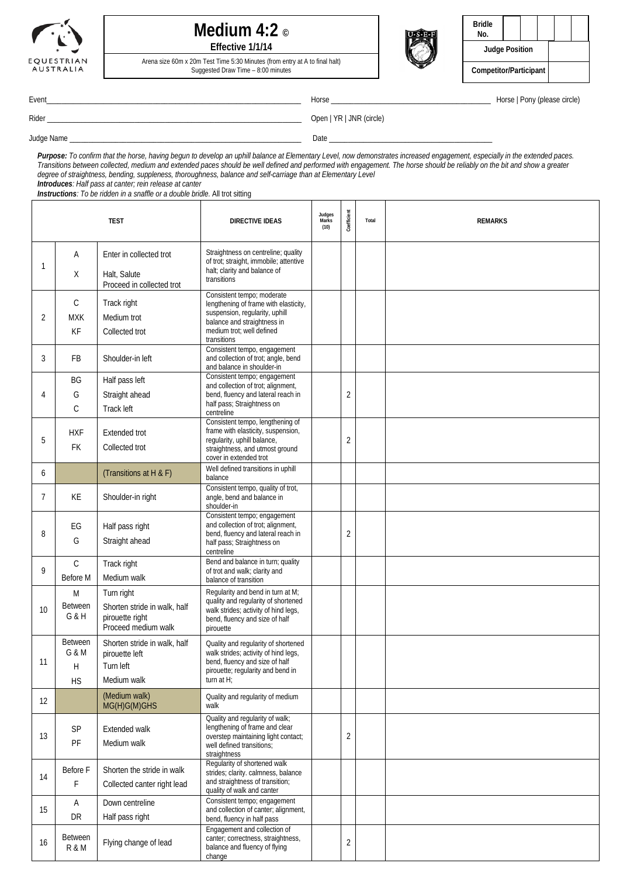

### **Medium 4:2 © Effective 1/1/14**

Arena size 60m x 20m Test Time 5:30 Minutes (from entry at A to final halt) Suggested Draw Time – 8:00 minutes



| <b>Bridle</b><br>No.   |  |  |  |  |  |
|------------------------|--|--|--|--|--|
| <b>Judge Position</b>  |  |  |  |  |  |
| Competitor/Participant |  |  |  |  |  |

Event\_\_\_\_\_\_\_\_\_\_\_\_\_\_\_\_\_\_\_\_\_\_\_\_\_\_\_\_\_\_\_\_\_\_\_\_\_\_\_\_\_\_\_\_\_\_\_\_\_\_\_\_\_\_\_\_\_\_\_\_\_\_\_\_\_\_\_ Horse \_\_\_\_\_\_\_\_\_\_\_\_\_\_\_\_\_\_\_\_\_\_\_\_\_\_\_\_\_\_\_\_\_\_\_\_\_\_\_\_\_\_ Horse | Pony (please circle)

Rider \_\_\_\_\_\_\_\_\_\_\_\_\_\_\_\_\_\_\_\_\_\_\_\_\_\_\_\_\_\_\_\_\_\_\_\_\_\_\_\_\_\_\_\_\_\_\_\_\_\_\_\_\_\_\_\_\_\_\_\_\_\_\_\_\_\_\_ Open | YR | JNR (circle)

Judge Name \_\_\_\_\_\_\_\_\_\_\_\_\_\_\_\_\_\_\_\_\_\_\_\_\_\_\_\_\_\_\_\_\_\_\_\_\_\_\_\_\_\_\_\_\_\_\_\_\_\_\_\_\_\_\_\_\_\_\_\_\_ Date \_\_\_\_\_\_\_\_\_\_\_\_\_\_\_\_\_\_\_\_\_\_\_\_\_\_\_\_\_\_\_\_\_\_\_\_\_\_\_\_\_\_\_

*Purpose: To confirm that the horse, having begun to develop an uphill balance at Elementary Level, now demonstrates increased engagement, especially in the extended paces. Transitions between collected, medium and extended paces should be well defined and performed with engagement. The horse should be reliably on the bit and show a greater degree of straightness, bending, suppleness, thoroughness, balance and self-carriage than at Elementary Level Introduces: Half pass at canter; rein release at canter*

*Instructions: To be ridden in a snaffle or a double bridle.* All trot sitting

|                |                         | <b>TEST</b>                               | <b>DIRECTIVE IDEAS</b>                                                                                        | Judges<br>Marks<br>(10) | Coefficient    | Total | <b>REMARKS</b> |
|----------------|-------------------------|-------------------------------------------|---------------------------------------------------------------------------------------------------------------|-------------------------|----------------|-------|----------------|
| 1              | Α                       | Enter in collected trot                   | Straightness on centreline; quality<br>of trot; straight, immobile; attentive<br>halt; clarity and balance of |                         |                |       |                |
|                | Χ                       | Halt, Salute<br>Proceed in collected trot | transitions                                                                                                   |                         |                |       |                |
|                | $\mathsf{C}$            | Track right                               | Consistent tempo; moderate<br>lengthening of frame with elasticity,                                           |                         |                |       |                |
| 2              | <b>MXK</b>              | Medium trot                               | suspension, regularity, uphill<br>balance and straightness in                                                 |                         |                |       |                |
|                | KF                      | Collected trot                            | medium trot: well defined<br>transitions                                                                      |                         |                |       |                |
| 3              | FB                      | Shoulder-in left                          | Consistent tempo, engagement<br>and collection of trot; angle, bend<br>and balance in shoulder-in             |                         |                |       |                |
|                | BG                      | Half pass left                            | Consistent tempo; engagement<br>and collection of trot; alignment,                                            |                         |                |       |                |
| $\overline{4}$ | G                       | Straight ahead                            | bend, fluency and lateral reach in<br>half pass; Straightness on                                              |                         | 2              |       |                |
|                | C                       | Track left                                | centreline                                                                                                    |                         |                |       |                |
|                | <b>HXF</b>              | Extended trot                             | Consistent tempo, lengthening of<br>frame with elasticity, suspension,                                        |                         |                |       |                |
| 5              | FK.                     | Collected trot                            | regularity, uphill balance,<br>straightness, and utmost ground                                                |                         | $\overline{2}$ |       |                |
|                |                         |                                           | cover in extended trot                                                                                        |                         |                |       |                |
| 6              |                         | (Transitions at H & F)                    | Well defined transitions in uphill<br>balance                                                                 |                         |                |       |                |
| 7              | <b>KE</b>               | Shoulder-in right                         | Consistent tempo, quality of trot,<br>angle, bend and balance in<br>shoulder-in                               |                         |                |       |                |
|                | EG                      | Half pass right                           | Consistent tempo; engagement<br>and collection of trot; alignment,                                            |                         |                |       |                |
| 8              | G                       | Straight ahead                            | bend, fluency and lateral reach in<br>half pass; Straightness on<br>centreline                                |                         | $\overline{2}$ |       |                |
|                | $\mathsf{C}$            | Track right                               | Bend and balance in turn; quality                                                                             |                         |                |       |                |
| 9              | Before M                | Medium walk                               | of trot and walk; clarity and<br>balance of transition                                                        |                         |                |       |                |
|                | M                       | Turn right                                | Regularity and bend in turn at M;<br>quality and regularity of shortened                                      |                         |                |       |                |
| 10             | <b>Between</b><br>G & H | Shorten stride in walk, half              | walk strides; activity of hind legs,                                                                          |                         |                |       |                |
|                |                         | pirouette right<br>Proceed medium walk    | bend, fluency and size of half<br>pirouette                                                                   |                         |                |       |                |
|                | <b>Between</b>          | Shorten stride in walk, half              | Quality and regularity of shortened                                                                           |                         |                |       |                |
| 11             | G & M<br>Н              | pirouette left<br>Turn left               | walk strides; activity of hind legs,<br>bend, fluency and size of half                                        |                         |                |       |                |
|                | <b>HS</b>               | Medium walk                               | pirouette; regularity and bend in<br>turn at $H$ ;                                                            |                         |                |       |                |
|                |                         | (Medium walk)                             | Quality and regularity of medium                                                                              |                         |                |       |                |
| 12             |                         | MG(H)G(M)GHS                              | walk                                                                                                          |                         |                |       |                |
|                | SP                      | Extended walk                             | Quality and regularity of walk:<br>lengthening of frame and clear                                             |                         |                |       |                |
| 13             | PF                      | Medium walk                               | overstep maintaining light contact;<br>well defined transitions;                                              |                         | $\overline{2}$ |       |                |
|                |                         |                                           | straightness                                                                                                  |                         |                |       |                |
| 14             | Before F                | Shorten the stride in walk                | Regularity of shortened walk<br>strides; clarity. calmness, balance                                           |                         |                |       |                |
|                | F                       | Collected canter right lead               | and straightness of transition;<br>quality of walk and canter                                                 |                         |                |       |                |
|                | A                       | Down centreline                           | Consistent tempo; engagement                                                                                  |                         |                |       |                |
| 15             | DR                      | Half pass right                           | and collection of canter; alignment,<br>bend, fluency in half pass                                            |                         |                |       |                |
| 16             | <b>Between</b><br>R & M | Flying change of lead                     | Engagement and collection of<br>canter; correctness, straightness,<br>balance and fluency of flying<br>change |                         | 2              |       |                |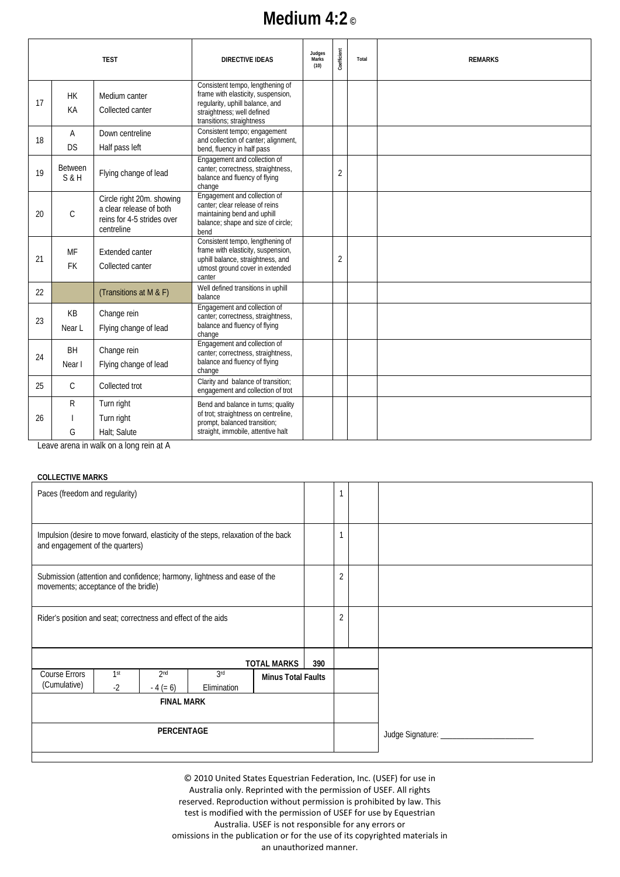## **Medium 4:2 ©**

|    |                             | <b>TEST</b>                                                                                      | <b>DIRECTIVE IDEAS</b>                                                                                                                                               | Judges<br>Marks<br>(10) | Coefficient    | Total | <b>REMARKS</b> |
|----|-----------------------------|--------------------------------------------------------------------------------------------------|----------------------------------------------------------------------------------------------------------------------------------------------------------------------|-------------------------|----------------|-------|----------------|
| 17 | <b>HK</b><br>KA             | Medium canter<br>Collected canter                                                                | Consistent tempo, lengthening of<br>frame with elasticity, suspension,<br>regularity, uphill balance, and<br>straightness; well defined<br>transitions; straightness |                         |                |       |                |
| 18 | $\overline{A}$<br><b>DS</b> | Down centreline<br>Half pass left                                                                | Consistent tempo; engagement<br>and collection of canter; alignment,<br>bend, fluency in half pass                                                                   |                         |                |       |                |
| 19 | <b>Between</b><br>$S$ &H    | Flying change of lead                                                                            | Engagement and collection of<br>canter; correctness, straightness,<br>balance and fluency of flying<br>change                                                        |                         | $\overline{2}$ |       |                |
| 20 | $\mathsf C$                 | Circle right 20m. showing<br>a clear release of both<br>reins for 4-5 strides over<br>centreline | Engagement and collection of<br>canter; clear release of reins<br>maintaining bend and uphill<br>balance; shape and size of circle;<br>bend                          |                         |                |       |                |
| 21 | MF<br><b>FK</b>             | Extended canter<br>Collected canter                                                              | Consistent tempo, lengthening of<br>frame with elasticity, suspension,<br>uphill balance, straightness, and<br>utmost ground cover in extended<br>canter             |                         | $\overline{2}$ |       |                |
| 22 |                             | (Transitions at M & F)                                                                           | Well defined transitions in uphill<br>balance                                                                                                                        |                         |                |       |                |
| 23 | KB<br>Near L                | Change rein<br>Flying change of lead                                                             | Engagement and collection of<br>canter; correctness, straightness,<br>balance and fluency of flying<br>change                                                        |                         |                |       |                |
| 24 | <b>BH</b><br>Near I         | Change rein<br>Flying change of lead                                                             | Engagement and collection of<br>canter; correctness, straightness,<br>balance and fluency of flying<br>change                                                        |                         |                |       |                |
| 25 | $\mathsf{C}$                | Collected trot                                                                                   | Clarity and balance of transition;<br>engagement and collection of trot                                                                                              |                         |                |       |                |
| 26 | R<br>G                      | Turn right<br>Turn right<br>Halt: Salute<br>A te nion nanl e an Jlew ai eanne oveo l             | Bend and balance in turns; quality<br>of trot; straightness on centreline,<br>prompt, balanced transition;<br>straight, immobile, attentive halt                     |                         |                |       |                |

Leave arena in walk on a long rein at A

#### **COLLECTIVE MARKS**

| Paces (freedom and regularity)                                                                                                               |  |  |  |                    |     | 1              |  |
|----------------------------------------------------------------------------------------------------------------------------------------------|--|--|--|--------------------|-----|----------------|--|
| Impulsion (desire to move forward, elasticity of the steps, relaxation of the back<br>and engagement of the quarters)                        |  |  |  |                    |     |                |  |
| Submission (attention and confidence; harmony, lightness and ease of the<br>movements; acceptance of the bridle)                             |  |  |  |                    |     | $\overline{2}$ |  |
| Rider's position and seat; correctness and effect of the aids                                                                                |  |  |  |                    |     | $\overline{2}$ |  |
|                                                                                                                                              |  |  |  | <b>TOTAL MARKS</b> | 390 |                |  |
| Course Errors<br>2 <sub>nd</sub><br>3rd<br>1 <sup>st</sup><br><b>Minus Total Faults</b><br>(Cumulative)<br>$-2$<br>$-4 (= 6)$<br>Elimination |  |  |  |                    |     |                |  |
| <b>FINAL MARK</b>                                                                                                                            |  |  |  |                    |     |                |  |
| PERCENTAGE                                                                                                                                   |  |  |  |                    |     |                |  |
|                                                                                                                                              |  |  |  |                    |     |                |  |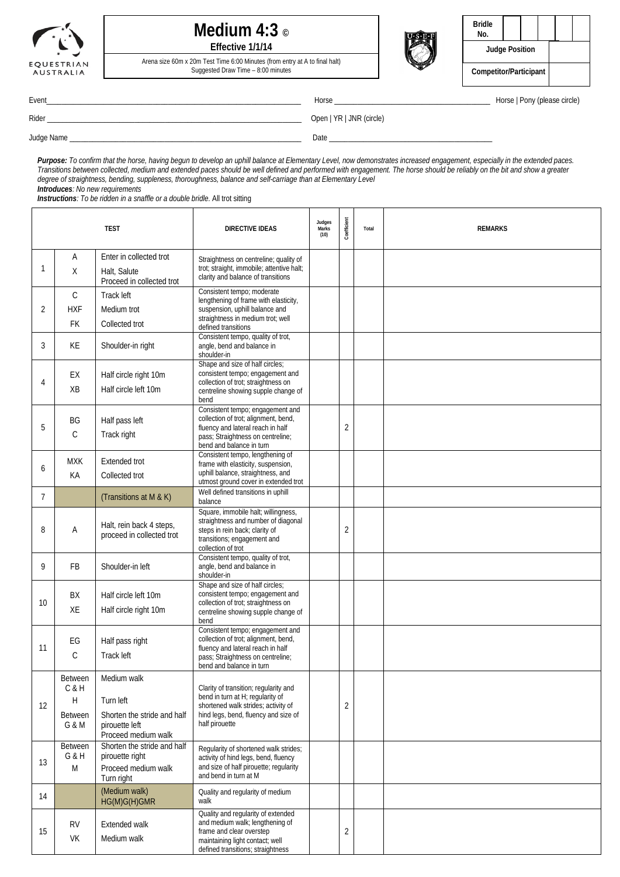

### **Medium 4:3 © Effective 1/1/14**

Arena size 60m x 20m Test Time 6:00 Minutes (from entry at A to final halt)



| Bridle<br>No.          |  |  |  |
|------------------------|--|--|--|
| <b>Judge Position</b>  |  |  |  |
| Competitor/Participant |  |  |  |

Suggested Draw Time – 8:00 minutes

Event\_\_\_\_\_\_\_\_\_\_\_\_\_\_\_\_\_\_\_\_\_\_\_\_\_\_\_\_\_\_\_\_\_\_\_\_\_\_\_\_\_\_\_\_\_\_\_\_\_\_\_\_\_\_\_\_\_\_\_\_\_\_\_\_\_\_\_ Horse \_\_\_\_\_\_\_\_\_\_\_\_\_\_\_\_\_\_\_\_\_\_\_\_\_\_\_\_\_\_\_\_\_\_\_\_\_\_\_\_\_ Horse | Pony (please circle)

Rider \_\_\_\_\_\_\_\_\_\_\_\_\_\_\_\_\_\_\_\_\_\_\_\_\_\_\_\_\_\_\_\_\_\_\_\_\_\_\_\_\_\_\_\_\_\_\_\_\_\_\_\_\_\_\_\_\_\_\_\_\_\_\_\_\_\_\_ Open | YR | JNR (circle)

Judge Name \_\_\_\_\_\_\_\_\_\_\_\_\_\_\_\_\_\_\_\_\_\_\_\_\_\_\_\_\_\_\_\_\_\_\_\_\_\_\_\_\_\_\_\_\_\_\_\_\_\_\_\_\_\_\_\_\_\_\_\_\_ Date \_\_\_\_\_\_\_\_\_\_\_\_\_\_\_\_\_\_\_\_\_\_\_\_\_\_\_\_\_\_\_\_\_\_\_\_\_\_\_\_\_\_\_

*Purpose: To confirm that the horse, having begun to develop an uphill balance at Elementary Level, now demonstrates increased engagement, especially in the extended paces. Transitions between collected, medium and extended paces should be well defined and performed with engagement. The horse should be reliably on the bit and show a greater degree of straightness, bending, suppleness, thoroughness, balance and self-carriage than at Elementary Level Introduces: No new requirements*

*Instructions: To be ridden in a snaffle or a double bridle.* All trot sitting

| <b>TEST</b> |                                                  |                                                                                                  | <b>DIRECTIVE IDEAS</b>                                                                                                                                                         |  | Coefficient    | Total | <b>REMARKS</b> |
|-------------|--------------------------------------------------|--------------------------------------------------------------------------------------------------|--------------------------------------------------------------------------------------------------------------------------------------------------------------------------------|--|----------------|-------|----------------|
| 1           | Α<br>X                                           | Enter in collected trot<br>Halt, Salute<br>Proceed in collected trot                             | Straightness on centreline; quality of<br>trot; straight, immobile; attentive halt;<br>clarity and balance of transitions                                                      |  |                |       |                |
| 2           | $\mathsf C$<br><b>HXF</b><br><b>FK</b>           | <b>Track left</b><br>Medium trot<br>Collected trot                                               | Consistent tempo; moderate<br>lengthening of frame with elasticity,<br>suspension, uphill balance and<br>straightness in medium trot; well<br>defined transitions              |  |                |       |                |
| 3           | KE                                               | Shoulder-in right                                                                                | Consistent tempo, quality of trot,<br>angle, bend and balance in<br>shoulder-in                                                                                                |  |                |       |                |
| 4           | EX<br>XB                                         | Half circle right 10m<br>Half circle left 10m                                                    | Shape and size of half circles;<br>consistent tempo; engagement and<br>collection of trot; straightness on<br>centreline showing supple change of<br>bend                      |  |                |       |                |
| 5           | BG<br>C                                          | Half pass left<br>Track right                                                                    | Consistent tempo; engagement and<br>collection of trot; alignment, bend,<br>fluency and lateral reach in half<br>pass; Straightness on centreline;<br>bend and balance in turn |  | $\overline{2}$ |       |                |
| 6           | <b>MXK</b><br>КA                                 | Extended trot<br>Collected trot                                                                  | Consistent tempo, lengthening of<br>frame with elasticity, suspension,<br>uphill balance, straightness, and<br>utmost ground cover in extended trot                            |  |                |       |                |
| 7           |                                                  | (Transitions at M & K)                                                                           | Well defined transitions in uphill<br>balance                                                                                                                                  |  |                |       |                |
| 8           | Α                                                | Halt, rein back 4 steps,<br>proceed in collected trot                                            | Square, immobile halt; willingness,<br>straightness and number of diagonal<br>steps in rein back; clarity of<br>transitions; engagement and<br>collection of trot              |  | 2              |       |                |
| 9           | FB                                               | Shoulder-in left                                                                                 | Consistent tempo, quality of trot,<br>angle, bend and balance in<br>shoulder-in                                                                                                |  |                |       |                |
| 10          | BX<br>XE                                         | Half circle left 10m<br>Half circle right 10m                                                    | Shape and size of half circles;<br>consistent tempo; engagement and<br>collection of trot; straightness on<br>centreline showing supple change of<br>bend                      |  |                |       |                |
| 11          | EG<br>C                                          | Half pass right<br>Track left                                                                    | Consistent tempo; engagement and<br>collection of trot; alignment, bend,<br>fluency and lateral reach in half<br>pass; Straightness on centreline;<br>bend and balance in turn |  |                |       |                |
| 12          | Between<br>C & H<br>Н<br><b>Between</b><br>G & M | Medium walk<br>Turn left<br>Shorten the stride and half<br>pirouette left<br>Proceed medium walk | Clarity of transition; regularity and<br>bend in turn at H; regularity of<br>shortened walk strides; activity of<br>hind legs, bend, fluency and size of<br>half pirouette     |  | 2              |       |                |
| 13          | <b>Between</b><br>G & H<br>M                     | Shorten the stride and half<br>pirouette right<br>Proceed medium walk<br>Turn right              | Regularity of shortened walk strides;<br>activity of hind legs, bend, fluency<br>and size of half pirouette; regularity<br>and bend in turn at M                               |  |                |       |                |
| 14          |                                                  | (Medium walk)<br>HG(M)G(H)GMR                                                                    | Quality and regularity of medium<br>walk                                                                                                                                       |  |                |       |                |
| 15          | <b>RV</b><br>VK                                  | Extended walk<br>Medium walk                                                                     | Quality and regularity of extended<br>and medium walk; lengthening of<br>frame and clear overstep<br>maintaining light contact; well<br>defined transitions; straightness      |  | 2              |       |                |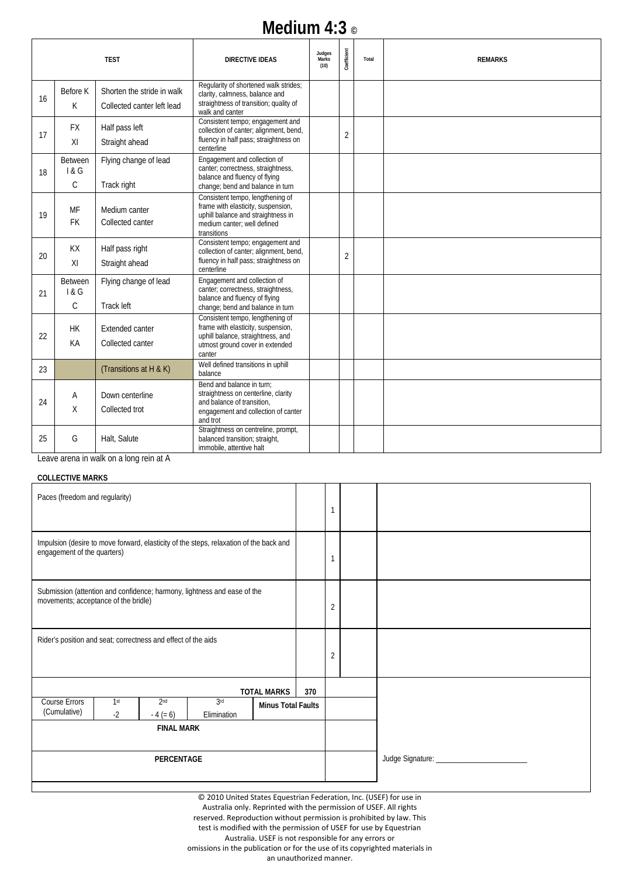## **Medium 4:3 ©**

|    |                                        | <b>TEST</b>                                              | <b>DIRECTIVE IDEAS</b>                                                                                                                                     | Judges<br>Marks<br>(10) | Coefficient    | Total | <b>REMARKS</b> |
|----|----------------------------------------|----------------------------------------------------------|------------------------------------------------------------------------------------------------------------------------------------------------------------|-------------------------|----------------|-------|----------------|
| 16 | Before K<br>K                          | Shorten the stride in walk<br>Collected canter left lead | Regularity of shortened walk strides;<br>clarity, calmness, balance and<br>straightness of transition; quality of<br>walk and canter                       |                         |                |       |                |
| 17 | <b>FX</b><br>XI                        | Half pass left<br>Straight ahead                         | Consistent tempo; engagement and<br>collection of canter; alignment, bend,<br>fluency in half pass; straightness on<br>centerline                          |                         | $\overline{2}$ |       |                |
| 18 | <b>Between</b><br>1 & G<br>$\mathsf C$ | Flying change of lead<br>Track right                     | Engagement and collection of<br>canter; correctness, straightness,<br>balance and fluency of flying<br>change; bend and balance in turn                    |                         |                |       |                |
| 19 | MF<br><b>FK</b>                        | Medium canter<br>Collected canter                        | Consistent tempo, lengthening of<br>frame with elasticity, suspension,<br>uphill balance and straightness in<br>medium canter; well defined<br>transitions |                         |                |       |                |
| 20 | <b>KX</b><br>XI                        | Half pass right<br>Straight ahead                        | Consistent tempo; engagement and<br>collection of canter; alignment, bend,<br>fluency in half pass; straightness on<br>centerline                          |                         | $\overline{2}$ |       |                |
| 21 | <b>Between</b><br>1&6<br>$\mathsf{C}$  | Flying change of lead<br>Track left                      | Engagement and collection of<br>canter; correctness, straightness,<br>balance and fluency of flying<br>change; bend and balance in turn                    |                         |                |       |                |
| 22 | <b>HK</b><br>KA                        | <b>Extended canter</b><br>Collected canter               | Consistent tempo, lengthening of<br>frame with elasticity, suspension,<br>uphill balance, straightness, and<br>utmost ground cover in extended<br>canter   |                         |                |       |                |
| 23 |                                        | (Transitions at H & K)                                   | Well defined transitions in uphill<br>balance                                                                                                              |                         |                |       |                |
| 24 | A<br>X                                 | Down centerline<br>Collected trot                        | Bend and balance in turn:<br>straightness on centerline, clarity<br>and balance of transition.<br>engagement and collection of canter<br>and trot          |                         |                |       |                |
| 25 | G                                      | Halt, Salute                                             | Straightness on centreline, prompt,<br>balanced transition; straight,<br>immobile, attentive halt                                                          |                         |                |       |                |

Leave arena in walk on a long rein at A

#### **COLLECTIVE MARKS**

| Paces (freedom and regularity)                                                                                              |  |  |  |                           |     | $\mathbf{1}$   |                                 |
|-----------------------------------------------------------------------------------------------------------------------------|--|--|--|---------------------------|-----|----------------|---------------------------------|
| Impulsion (desire to move forward, elasticity of the steps, relaxation of the back and<br>engagement of the quarters)       |  |  |  |                           |     | 1              |                                 |
| Submission (attention and confidence; harmony, lightness and ease of the<br>movements; acceptance of the bridle)            |  |  |  |                           |     | $\overline{2}$ |                                 |
| Rider's position and seat; correctness and effect of the aids                                                               |  |  |  |                           |     | $\overline{2}$ |                                 |
|                                                                                                                             |  |  |  | <b>TOTAL MARKS</b>        | 370 |                |                                 |
| 3 <sup>rd</sup><br>Course Errors<br>2 <sub>nd</sub><br>1 <sup>st</sup><br>(Cumulative)<br>$-2$<br>$-4 (= 6)$<br>Elimination |  |  |  | <b>Minus Total Faults</b> |     |                |                                 |
| <b>FINAL MARK</b>                                                                                                           |  |  |  |                           |     |                |                                 |
| PERCENTAGE                                                                                                                  |  |  |  |                           |     |                | Judge Signature: ______________ |

© 2010 United States Equestrian Federation, Inc. (USEF) for use in Australia only. Reprinted with the permission of USEF. All rights reserved. Reproduction without permission is prohibited by law. This test is modified with the permission of USEF for use by Equestrian Australia. USEF is not responsible for any errors or omissions in the publication or for the use of its copyrighted materials in

an unauthorized manner.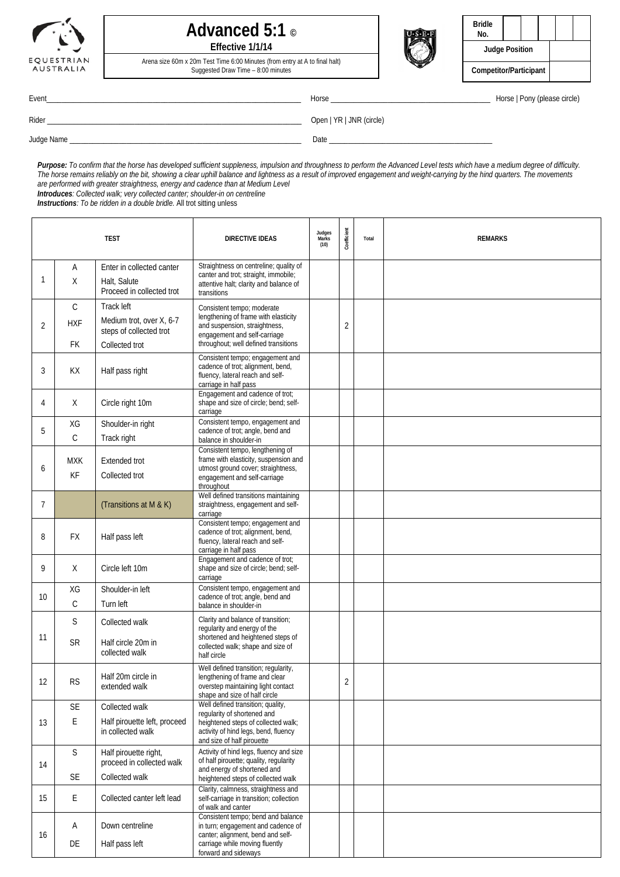

### **Advanced 5:1 © Effective 1/1/14**

Arena size 60m x 20m Test Time 6:00 Minutes (from entry at A to final halt) Suggested Draw Time – 8:00 minutes



| Bridle<br>No.          |  |  |  |  |  |
|------------------------|--|--|--|--|--|
| <b>Judge Position</b>  |  |  |  |  |  |
| Competitor/Participant |  |  |  |  |  |

Event\_\_\_\_\_\_\_\_\_\_\_\_\_\_\_\_\_\_\_\_\_\_\_\_\_\_\_\_\_\_\_\_\_\_\_\_\_\_\_\_\_\_\_\_\_\_\_\_\_\_\_\_\_\_\_\_\_\_\_\_\_\_\_\_\_\_\_ Horse \_\_\_\_\_\_\_\_\_\_\_\_\_\_\_\_\_\_\_\_\_\_\_\_\_\_\_\_\_\_\_\_\_\_\_\_\_\_\_\_\_\_ Horse | Pony (please circle)

٦

 $\mathsf{I}$ 

Rider \_\_\_\_\_\_\_\_\_\_\_\_\_\_\_\_\_\_\_\_\_\_\_\_\_\_\_\_\_\_\_\_\_\_\_\_\_\_\_\_\_\_\_\_\_\_\_\_\_\_\_\_\_\_\_\_\_\_\_\_\_\_\_\_\_\_\_ Open | YR | JNR (circle)

Judge Name \_\_\_\_\_\_\_\_\_\_\_\_\_\_\_\_\_\_\_\_\_\_\_\_\_\_\_\_\_\_\_\_\_\_\_\_\_\_\_\_\_\_\_\_\_\_\_\_\_\_\_\_\_\_\_\_\_\_\_\_\_ Date \_\_\_\_\_\_\_\_\_\_\_\_\_\_\_\_\_\_\_\_\_\_\_\_\_\_\_\_\_\_\_\_\_\_\_\_\_\_\_\_\_\_\_

*Purpose: To confirm that the horse has developed sufficient suppleness, impulsion and throughness to perform the Advanced Level tests which have a medium degree of difficulty. The horse remains reliably on the bit, showing a clear uphill balance and lightness as a result of improved engagement and weight-carrying by the hind quarters. The movements are performed with greater straightness, energy and cadence than at Medium Level*

T

*Introduces: Collected walk; very collected canter; shoulder-in on centreline*

*Instructions: To be ridden in a double bridle.* All trot sitting unless

| <b>TEST</b>     |                                         |                                                                                     | <b>DIRECTIVE IDEAS</b>                                                                                                                                                        | Judges<br>Marks<br>(10) | Coefficient    | Total | <b>REMARKS</b> |
|-----------------|-----------------------------------------|-------------------------------------------------------------------------------------|-------------------------------------------------------------------------------------------------------------------------------------------------------------------------------|-------------------------|----------------|-------|----------------|
| 1               | Α<br>Χ                                  | Enter in collected canter<br>Halt, Salute<br>Proceed in collected trot              | Straightness on centreline; quality of<br>canter and trot; straight, immobile;<br>attentive halt; clarity and balance of<br>transitions                                       |                         |                |       |                |
| $\overline{2}$  | $\mathsf{C}$<br><b>HXF</b><br><b>FK</b> | Track left<br>Medium trot, over X, 6-7<br>steps of collected trot<br>Collected trot | Consistent tempo; moderate<br>lengthening of frame with elasticity<br>and suspension, straightness,<br>engagement and self-carriage<br>throughout; well defined transitions   |                         | $\overline{2}$ |       |                |
| 3               | KX                                      | Half pass right                                                                     | Consistent tempo; engagement and<br>cadence of trot; alignment, bend,<br>fluency, lateral reach and self-<br>carriage in half pass                                            |                         |                |       |                |
| 4               | Χ                                       | Circle right 10m                                                                    | Engagement and cadence of trot;<br>shape and size of circle; bend; self-<br>carriage                                                                                          |                         |                |       |                |
| 5               | XG<br>$\mathsf{C}$                      | Shoulder-in right<br>Track right                                                    | Consistent tempo, engagement and<br>cadence of trot; angle, bend and<br>balance in shoulder-in                                                                                |                         |                |       |                |
| 6               | MXK<br>KF                               | <b>Extended trot</b><br>Collected trot                                              | Consistent tempo, lengthening of<br>frame with elasticity, suspension and<br>utmost ground cover; straightness,<br>engagement and self-carriage<br>throughout                 |                         |                |       |                |
| 7               |                                         | (Transitions at M & K)                                                              | Well defined transitions maintaining<br>straightness, engagement and self-<br>carriage                                                                                        |                         |                |       |                |
| 8               | <b>FX</b>                               | Half pass left                                                                      | Consistent tempo; engagement and<br>cadence of trot; alignment, bend,<br>fluency, lateral reach and self-<br>carriage in half pass                                            |                         |                |       |                |
| 9               | X                                       | Circle left 10m                                                                     | Engagement and cadence of trot;<br>shape and size of circle; bend; self-<br>carriage                                                                                          |                         |                |       |                |
| 10 <sup>1</sup> | XG<br>$\mathsf C$                       | Shoulder-in left<br>Turn left                                                       | Consistent tempo, engagement and<br>cadence of trot; angle, bend and<br>balance in shoulder-in                                                                                |                         |                |       |                |
|                 | S                                       | Collected walk                                                                      | Clarity and balance of transition;<br>regularity and energy of the                                                                                                            |                         |                |       |                |
| 11              | <b>SR</b>                               | Half circle 20m in<br>collected walk                                                | shortened and heightened steps of<br>collected walk; shape and size of<br>half circle                                                                                         |                         |                |       |                |
| 12              | <b>RS</b>                               | Half 20m circle in<br>extended walk                                                 | Well defined transition; regularity,<br>lengthening of frame and clear<br>overstep maintaining light contact<br>shape and size of half circle                                 |                         | $\overline{2}$ |       |                |
| 13              | SE<br>E                                 | Collected walk<br>Half pirouette left, proceed<br>in collected walk                 | Well defined transition; quality,<br>regularity of shortened and<br>heightened steps of collected walk;<br>activity of hind legs, bend, fluency<br>and size of half pirouette |                         |                |       |                |
| 14              | $\mathsf S$                             | Half pirouette right,<br>proceed in collected walk                                  | Activity of hind legs, fluency and size<br>of half pirouette; quality, regularity<br>and energy of shortened and                                                              |                         |                |       |                |
| 15              | SE<br>E                                 | Collected walk<br>Collected canter left lead                                        | heightened steps of collected walk<br>Clarity, calmness, straightness and<br>self-carriage in transition; collection                                                          |                         |                |       |                |
|                 |                                         |                                                                                     | of walk and canter<br>Consistent tempo; bend and balance                                                                                                                      |                         |                |       |                |
| 16              | Α<br>DE                                 | Down centreline<br>Half pass left                                                   | in turn; engagement and cadence of<br>canter; alignment, bend and self-<br>carriage while moving fluently<br>forward and sideways                                             |                         |                |       |                |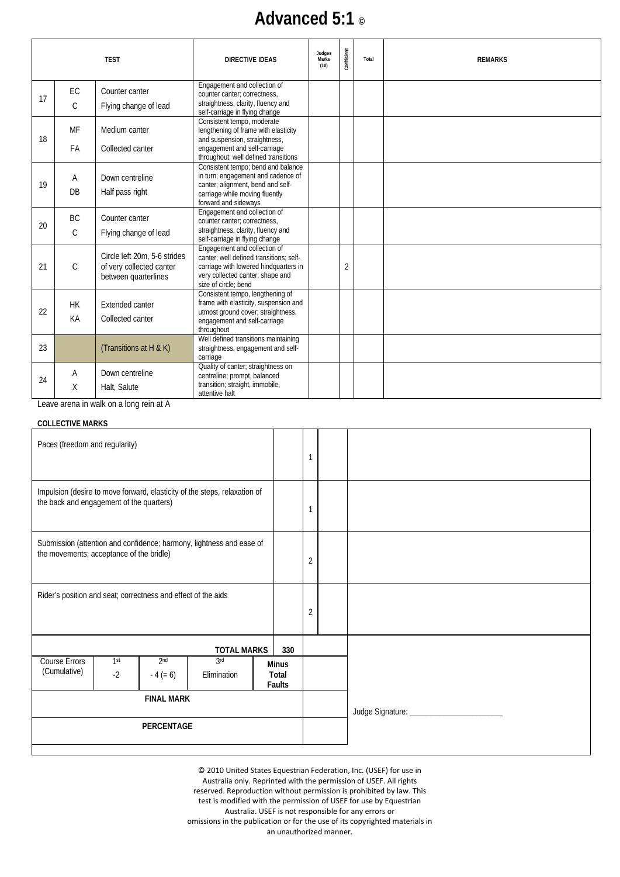# **Advanced 5:1 ©**

|    |               | <b>TEST</b>                                                                      | <b>DIRECTIVE IDEAS</b>                                                                                                                                                       | Judges<br>Marks<br>(10) | Coefficient | Total | <b>REMARKS</b> |
|----|---------------|----------------------------------------------------------------------------------|------------------------------------------------------------------------------------------------------------------------------------------------------------------------------|-------------------------|-------------|-------|----------------|
|    | EC            | Counter canter                                                                   | Engagement and collection of<br>counter canter; correctness,                                                                                                                 |                         |             |       |                |
| 17 | C             | Flying change of lead                                                            | straightness, clarity, fluency and<br>self-carriage in flying change                                                                                                         |                         |             |       |                |
| 18 | MF            | Medium canter                                                                    | Consistent tempo, moderate<br>lengthening of frame with elasticity<br>and suspension, straightness,                                                                          |                         |             |       |                |
|    | FA            | Collected canter                                                                 | engagement and self-carriage<br>throughout; well defined transitions                                                                                                         |                         |             |       |                |
| 19 | A<br>DB       | Down centreline<br>Half pass right                                               | Consistent tempo; bend and balance<br>in turn; engagement and cadence of<br>canter; alignment, bend and self-<br>carriage while moving fluently<br>forward and sideways      |                         |             |       |                |
| 20 | <b>BC</b>     | Counter canter                                                                   | Engagement and collection of<br>counter canter; correctness,                                                                                                                 |                         |             |       |                |
|    | $\mathsf{C}$  | Flying change of lead                                                            | straightness, clarity, fluency and<br>self-carriage in flying change                                                                                                         |                         |             |       |                |
| 21 | $\mathcal{C}$ | Circle left 20m, 5-6 strides<br>of very collected canter<br>between quarterlines | Engagement and collection of<br>canter: well defined transitions: self-<br>carriage with lowered hindquarters in<br>very collected canter; shape and<br>size of circle; bend |                         | 2           |       |                |
|    | <b>HK</b>     | Extended canter                                                                  | Consistent tempo, lengthening of<br>frame with elasticity, suspension and                                                                                                    |                         |             |       |                |
| 22 | KA            | Collected canter                                                                 | utmost ground cover; straightness,<br>engagement and self-carriage<br>throughout                                                                                             |                         |             |       |                |
| 23 |               | (Transitions at H & K)                                                           | Well defined transitions maintaining<br>straightness, engagement and self-<br>carriage                                                                                       |                         |             |       |                |
| 24 | A             | Down centreline                                                                  | Quality of canter; straightness on<br>centreline; prompt, balanced                                                                                                           |                         |             |       |                |
|    | X             | Halt, Salute                                                                     | transition; straight, immobile,<br>attentive halt                                                                                                                            |                         |             |       |                |
|    |               | Leave arena in walk on a long rein at A                                          |                                                                                                                                                                              |                         |             |       |                |

**COLLECTIVE MARKS**

| Paces (freedom and regularity)                                                                                                                     |                                                                                                                  |  |                    |  |     | 1              |  |
|----------------------------------------------------------------------------------------------------------------------------------------------------|------------------------------------------------------------------------------------------------------------------|--|--------------------|--|-----|----------------|--|
| Impulsion (desire to move forward, elasticity of the steps, relaxation of<br>the back and engagement of the quarters)                              |                                                                                                                  |  |                    |  |     | 1              |  |
|                                                                                                                                                    | Submission (attention and confidence; harmony, lightness and ease of<br>the movements; acceptance of the bridle) |  |                    |  |     | $\overline{2}$ |  |
| Rider's position and seat; correctness and effect of the aids                                                                                      |                                                                                                                  |  |                    |  |     | $\overline{2}$ |  |
|                                                                                                                                                    |                                                                                                                  |  | <b>TOTAL MARKS</b> |  | 330 |                |  |
| 3rd<br>Course Errors<br>2 <sub>nd</sub><br>1 <sup>st</sup><br><b>Minus</b><br>(Cumulative)<br>$-2$<br>$-4 (= 6)$<br>Elimination<br>Total<br>Faults |                                                                                                                  |  |                    |  |     |                |  |
| <b>FINAL MARK</b>                                                                                                                                  |                                                                                                                  |  |                    |  |     |                |  |
| <b>PERCENTAGE</b>                                                                                                                                  |                                                                                                                  |  |                    |  |     |                |  |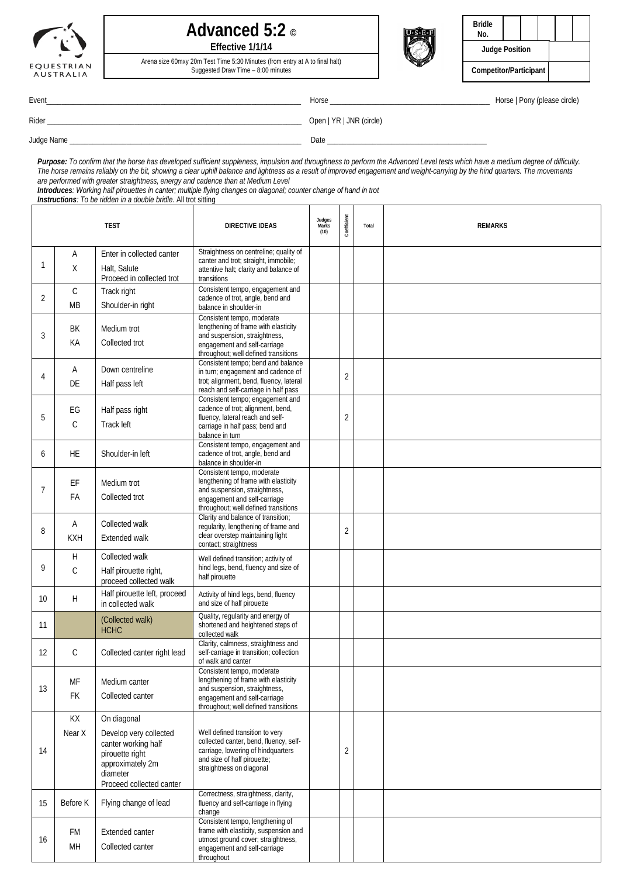

### **Advanced 5:2 © Effective 1/1/14**



| <b>Bridle</b><br>No.   |  |  |  |  |
|------------------------|--|--|--|--|
| <b>Judge Position</b>  |  |  |  |  |
| Competitor/Participant |  |  |  |  |

Arena size 60mxy 20m Test Time 5:30 Minutes (from entry at A to final halt) Suggested Draw Time – 8:00 minutes

Event\_\_\_\_\_\_\_\_\_\_\_\_\_\_\_\_\_\_\_\_\_\_\_\_\_\_\_\_\_\_\_\_\_\_\_\_\_\_\_\_\_\_\_\_\_\_\_\_\_\_\_\_\_\_\_\_\_\_\_\_\_\_\_\_\_\_\_ Horse \_\_\_\_\_\_\_\_\_\_\_\_\_\_\_\_\_\_\_\_\_\_\_\_\_\_\_\_\_\_\_\_\_\_\_\_\_\_\_\_\_\_ Horse | Pony (please circle)

 $\overline{\phantom{a}}$ 

 $\mathbf{I}$ 

Rider \_\_\_\_\_\_\_\_\_\_\_\_\_\_\_\_\_\_\_\_\_\_\_\_\_\_\_\_\_\_\_\_\_\_\_\_\_\_\_\_\_\_\_\_\_\_\_\_\_\_\_\_\_\_\_\_\_\_\_\_\_\_\_\_\_\_\_ Open | YR | JNR (circle)

 $\overline{\phantom{a}}$ 

Judge Name \_\_\_\_\_\_\_\_\_\_\_\_\_\_\_\_\_\_\_\_\_\_\_\_\_\_\_\_\_\_\_\_\_\_\_\_\_\_\_\_\_\_\_\_\_\_\_\_\_\_\_\_\_\_\_\_\_\_\_\_\_ Date \_\_\_\_\_\_\_\_\_\_\_\_\_\_\_\_\_\_\_\_\_\_\_\_\_\_\_\_\_\_\_\_\_\_\_\_\_\_\_\_\_\_

*Purpose: To confirm that the horse has developed sufficient suppleness, impulsion and throughness to perform the Advanced Level tests which have a medium degree of difficulty. The horse remains reliably on the bit, showing a clear uphill balance and lightness as a result of improved engagement and weight-carrying by the hind quarters. The movements are performed with greater straightness, energy and cadence than at Medium Level*

*Introduces: Working half pirouettes in canter; multiple flying changes on diagonal; counter change of hand in trot*

*Instructions: To be ridden in a double bridle.* All trot sitting

|                 | <b>TEST</b>              |                                                                                                                                             | <b>DIRECTIVE IDEAS</b>                                                                                                                                                      | Judges<br>Marks<br>(10) | Coefficient    | Total | <b>REMARKS</b> |
|-----------------|--------------------------|---------------------------------------------------------------------------------------------------------------------------------------------|-----------------------------------------------------------------------------------------------------------------------------------------------------------------------------|-------------------------|----------------|-------|----------------|
| 1               | Α<br>X                   | Enter in collected canter<br>Halt, Salute<br>Proceed in collected trot                                                                      | Straightness on centreline; quality of<br>canter and trot; straight, immobile;<br>attentive halt; clarity and balance of<br>transitions                                     |                         |                |       |                |
| 2               | $\mathsf C$<br><b>MB</b> | Track right<br>Shoulder-in right                                                                                                            | Consistent tempo, engagement and<br>cadence of trot, angle, bend and<br>balance in shoulder-in                                                                              |                         |                |       |                |
| 3               | BK<br>KA                 | Medium trot<br>Collected trot                                                                                                               | Consistent tempo, moderate<br>lengthening of frame with elasticity<br>and suspension, straightness,<br>engagement and self-carriage<br>throughout; well defined transitions |                         |                |       |                |
| 4               | Α<br>DE                  | Down centreline<br>Half pass left                                                                                                           | Consistent tempo; bend and balance<br>in turn; engagement and cadence of<br>trot; alignment, bend, fluency, lateral<br>reach and self-carriage in half pass                 |                         | $\overline{2}$ |       |                |
| 5               | EG<br>C                  | Half pass right<br>Track left                                                                                                               | Consistent tempo; engagement and<br>cadence of trot; alignment, bend,<br>fluency, lateral reach and self-<br>carriage in half pass; bend and<br>balance in turn             |                         | $\overline{2}$ |       |                |
| 6               | HE.                      | Shoulder-in left                                                                                                                            | Consistent tempo, engagement and<br>cadence of trot, angle, bend and<br>balance in shoulder-in                                                                              |                         |                |       |                |
| 7               | EF<br>FA                 | Medium trot<br>Collected trot                                                                                                               | Consistent tempo, moderate<br>lengthening of frame with elasticity<br>and suspension, straightness,<br>engagement and self-carriage<br>throughout; well defined transitions |                         |                |       |                |
| 8               | Α<br><b>KXH</b>          | Collected walk<br>Extended walk                                                                                                             | Clarity and balance of transition;<br>regularity, lengthening of frame and<br>clear overstep maintaining light<br>contact; straightness                                     |                         | $\overline{2}$ |       |                |
| 9               | H<br>$\mathcal{C}$       | Collected walk<br>Half pirouette right,<br>proceed collected walk                                                                           | Well defined transition; activity of<br>hind legs, bend, fluency and size of<br>half pirouette                                                                              |                         |                |       |                |
| 10 <sup>°</sup> | H                        | Half pirouette left, proceed<br>in collected walk                                                                                           | Activity of hind legs, bend, fluency<br>and size of half pirouette                                                                                                          |                         |                |       |                |
| 11              |                          | (Collected walk)<br><b>HCHC</b>                                                                                                             | Quality, regularity and energy of<br>shortened and heightened steps of<br>collected walk                                                                                    |                         |                |       |                |
| 12              | $\mathsf{C}$             | Collected canter right lead                                                                                                                 | Clarity, calmness, straightness and<br>self-carriage in transition; collection<br>of walk and canter                                                                        |                         |                |       |                |
| 13              | MF<br>FK                 | Medium canter<br>Collected canter                                                                                                           | Consistent tempo, moderate<br>lengthening of frame with elasticity<br>and suspension, straightness,<br>engagement and self-carriage<br>throughout; well defined transitions |                         |                |       |                |
| 14              | KX<br>Near X             | On diagonal<br>Develop very collected<br>canter working half<br>pirouette right<br>approximately 2m<br>diameter<br>Proceed collected canter | Well defined transition to very<br>collected canter, bend, fluency, self-<br>carriage, lowering of hindquarters<br>and size of half pirouette;<br>straightness on diagonal  |                         | 2              |       |                |
| 15              | Before K                 | Flying change of lead                                                                                                                       | Correctness, straightness, clarity,<br>fluency and self-carriage in flying<br>change                                                                                        |                         |                |       |                |
| 16              | FM<br>MН                 | Extended canter<br>Collected canter                                                                                                         | Consistent tempo, lengthening of<br>frame with elasticity, suspension and<br>utmost ground cover; straightness,<br>engagement and self-carriage<br>throughout               |                         |                |       |                |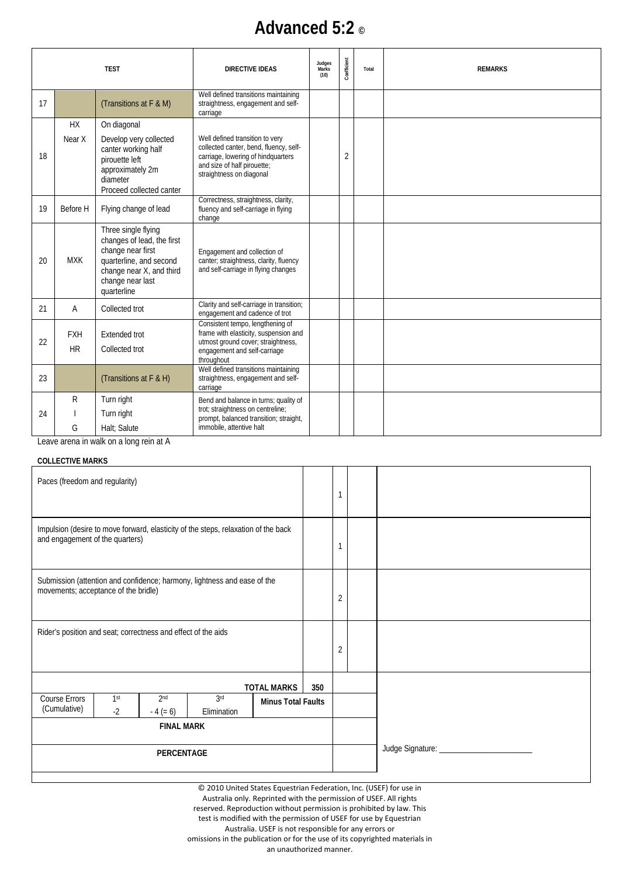## **Advanced 5:2 ©**

|    | <b>TEST</b>             |                                                                                                                                                                  | <b>DIRECTIVE IDEAS</b>                                                                                                                                                     | Judges<br>Marks<br>(10) | Coefficient | Total | <b>REMARKS</b> |
|----|-------------------------|------------------------------------------------------------------------------------------------------------------------------------------------------------------|----------------------------------------------------------------------------------------------------------------------------------------------------------------------------|-------------------------|-------------|-------|----------------|
| 17 |                         | (Transitions at F & M)                                                                                                                                           | Well defined transitions maintaining<br>straightness, engagement and self-<br>carriage                                                                                     |                         |             |       |                |
| 18 | <b>HX</b><br>Near X     | On diagonal<br>Develop very collected<br>canter working half<br>pirouette left<br>approximately 2m<br>diameter<br>Proceed collected canter                       | Well defined transition to very<br>collected canter, bend, fluency, self-<br>carriage, lowering of hindquarters<br>and size of half pirouette;<br>straightness on diagonal |                         | 2           |       |                |
| 19 | Before H                | Flying change of lead                                                                                                                                            | Correctness, straightness, clarity,<br>fluency and self-carriage in flying<br>change                                                                                       |                         |             |       |                |
| 20 | <b>MXK</b>              | Three single flying<br>changes of lead, the first<br>change near first<br>quarterline, and second<br>change near X, and third<br>change near last<br>quarterline | Engagement and collection of<br>canter; straightness, clarity, fluency<br>and self-carriage in flying changes                                                              |                         |             |       |                |
| 21 | A                       | Collected trot                                                                                                                                                   | Clarity and self-carriage in transition;<br>engagement and cadence of trot                                                                                                 |                         |             |       |                |
| 22 | <b>FXH</b><br><b>HR</b> | <b>Extended trot</b><br>Collected trot                                                                                                                           | Consistent tempo, lengthening of<br>frame with elasticity, suspension and<br>utmost ground cover; straightness,<br>engagement and self-carriage<br>throughout              |                         |             |       |                |
| 23 |                         | (Transitions at F & H)                                                                                                                                           | Well defined transitions maintaining<br>straightness, engagement and self-<br>carriage                                                                                     |                         |             |       |                |
| 24 | R<br>G                  | Turn right<br>Turn right<br>Halt; Salute<br>Logue arong in walk on a long roin of A                                                                              | Bend and balance in turns; quality of<br>trot; straightness on centreline;<br>prompt, balanced transition; straight,<br>immobile, attentive halt                           |                         |             |       |                |

Leave arena in walk on a long rein at A

### **COLLECTIVE MARKS**

| Paces (freedom and regularity)                                                                                                               |  |  |  |                    |     | 1              |                                 |
|----------------------------------------------------------------------------------------------------------------------------------------------|--|--|--|--------------------|-----|----------------|---------------------------------|
| Impulsion (desire to move forward, elasticity of the steps, relaxation of the back<br>and engagement of the quarters)                        |  |  |  |                    |     | 1              |                                 |
| Submission (attention and confidence; harmony, lightness and ease of the<br>movements; acceptance of the bridle)                             |  |  |  |                    |     | $\overline{2}$ |                                 |
| Rider's position and seat; correctness and effect of the aids                                                                                |  |  |  |                    |     | $\overline{2}$ |                                 |
|                                                                                                                                              |  |  |  | <b>TOTAL MARKS</b> | 350 |                |                                 |
| Course Errors<br>1 <sup>st</sup><br>2 <sub>nd</sub><br>3rd<br><b>Minus Total Faults</b><br>(Cumulative)<br>$-2$<br>$-4 (= 6)$<br>Elimination |  |  |  |                    |     |                |                                 |
| <b>FINAL MARK</b>                                                                                                                            |  |  |  |                    |     |                |                                 |
| PERCENTAGE                                                                                                                                   |  |  |  |                    |     |                | Judge Signature: ______________ |
|                                                                                                                                              |  |  |  |                    |     |                |                                 |

© 2010 United States Equestrian Federation, Inc. (USEF) for use in Australia only. Reprinted with the permission of USEF. All rights reserved. Reproduction without permission is prohibited by law. This test is modified with the permission of USEF for use by Equestrian Australia. USEF is not responsible for any errors or omissions in the publication or for the use of its copyrighted materials in

an unauthorized manner.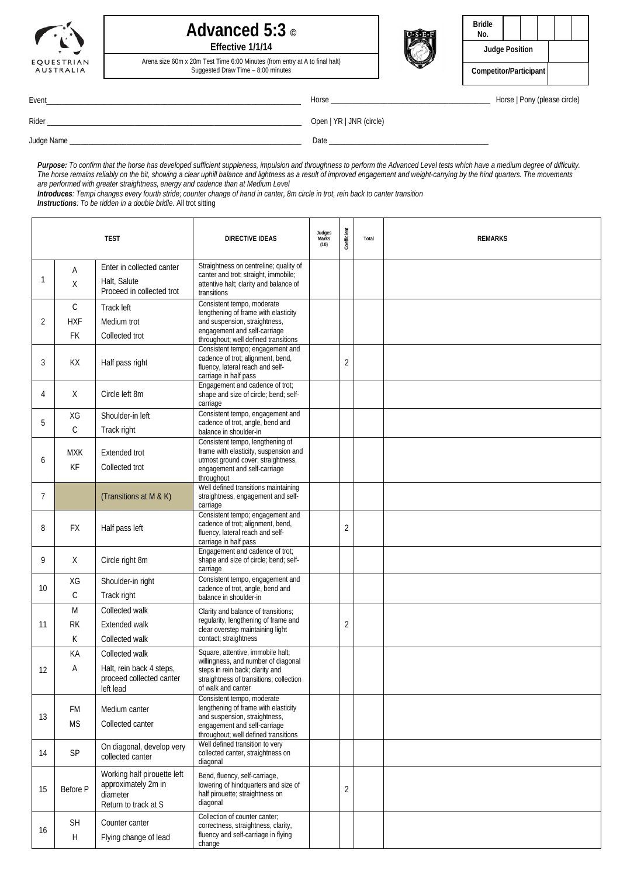

### **Advanced 5:3 © Effective 1/1/14**

Arena size 60m x 20m Test Time 6:00 Minutes (from entry at A to final halt) Suggested Draw Time – 8:00 minutes



| <b>Bridle</b><br>No.   |  |  |  |  |
|------------------------|--|--|--|--|
| <b>Judge Position</b>  |  |  |  |  |
| Competitor/Participant |  |  |  |  |

Event\_\_\_\_\_\_\_\_\_\_\_\_\_\_\_\_\_\_\_\_\_\_\_\_\_\_\_\_\_\_\_\_\_\_\_\_\_\_\_\_\_\_\_\_\_\_\_\_\_\_\_\_\_\_\_\_\_\_\_\_\_\_\_\_\_\_\_ Horse \_\_\_\_\_\_\_\_\_\_\_\_\_\_\_\_\_\_\_\_\_\_\_\_\_\_\_\_\_\_\_\_\_\_\_\_\_\_\_\_\_\_ Horse | Pony (please circle)

|  | ٠<br>٦<br>۰, |  | × |  |
|--|--------------|--|---|--|
|  |              |  |   |  |
|  |              |  |   |  |

Rider \_\_\_\_\_\_\_\_\_\_\_\_\_\_\_\_\_\_\_\_\_\_\_\_\_\_\_\_\_\_\_\_\_\_\_\_\_\_\_\_\_\_\_\_\_\_\_\_\_\_\_\_\_\_\_\_\_\_\_\_\_\_\_\_\_\_\_ Open | YR | JNR (circle)

─⊤

Judge Name \_\_\_\_\_\_\_\_\_\_\_\_\_\_\_\_\_\_\_\_\_\_\_\_\_\_\_\_\_\_\_\_\_\_\_\_\_\_\_\_\_\_\_\_\_\_\_\_\_\_\_\_\_\_\_\_\_\_\_\_\_ Date \_\_\_\_\_\_\_\_\_\_\_\_\_\_\_\_\_\_\_\_\_\_\_\_\_\_\_\_\_\_\_\_\_\_\_\_\_\_\_\_\_\_

*Purpose: To confirm that the horse has developed sufficient suppleness, impulsion and throughness to perform the Advanced Level tests which have a medium degree of difficulty. The horse remains reliably on the bit, showing a clear uphill balance and lightness as a result of improved engagement and weight-carrying by the hind quarters. The movements are performed with greater straightness, energy and cadence than at Medium Level*

*Introduces: Tempi changes every fourth stride; counter change of hand in canter, 8m circle in trot, rein back to canter transition*

*Instructions: To be ridden in a double bridle.* All trot sitting

| <b>TEST</b> |                                  |                                                                                        | <b>DIRECTIVE IDEAS</b>                                                                                                                                                       | Judges<br>Marks<br>(10) | Coefficient    | Total | <b>REMARKS</b> |
|-------------|----------------------------------|----------------------------------------------------------------------------------------|------------------------------------------------------------------------------------------------------------------------------------------------------------------------------|-------------------------|----------------|-------|----------------|
| 1           | Α<br>X                           | Enter in collected canter<br>Halt, Salute<br>Proceed in collected trot                 | Straightness on centreline; quality of<br>canter and trot; straight, immobile;<br>attentive halt; clarity and balance of<br>transitions                                      |                         |                |       |                |
| 2           | $\mathsf{C}$<br><b>HXF</b><br>FK | Track left<br>Medium trot<br>Collected trot                                            | Consistent tempo, moderate<br>lengthening of frame with elasticity<br>and suspension, straightness,<br>engagement and self-carriage<br>throughout; well defined transitions  |                         |                |       |                |
| 3           | KX                               | Half pass right                                                                        | Consistent tempo; engagement and<br>cadence of trot; alignment, bend,<br>fluency, lateral reach and self-<br>carriage in half pass                                           |                         | $\overline{2}$ |       |                |
| 4           | X                                | Circle left 8m                                                                         | Engagement and cadence of trot;<br>shape and size of circle; bend; self-<br>carriage                                                                                         |                         |                |       |                |
| 5           | XG<br>С                          | Shoulder-in left<br>Track right                                                        | Consistent tempo, engagement and<br>cadence of trot, angle, bend and<br>balance in shoulder-in                                                                               |                         |                |       |                |
| 6           | <b>MXK</b><br>KF                 | <b>Extended trot</b><br>Collected trot                                                 | Consistent tempo, lengthening of<br>frame with elasticity, suspension and<br>utmost ground cover; straightness,<br>engagement and self-carriage<br>throughout                |                         |                |       |                |
| 7           |                                  | (Transitions at M & K)                                                                 | Well defined transitions maintaining<br>straightness, engagement and self-<br>carriage                                                                                       |                         |                |       |                |
| 8           | <b>FX</b>                        | Half pass left                                                                         | Consistent tempo; engagement and<br>cadence of trot; alignment, bend,<br>fluency, lateral reach and self-<br>carriage in half pass                                           |                         | 2              |       |                |
| 9           | X                                | Circle right 8m                                                                        | Engagement and cadence of trot;<br>shape and size of circle; bend; self-<br>carriage                                                                                         |                         |                |       |                |
| 10          | XG<br>С                          | Shoulder-in right<br>Track right                                                       | Consistent tempo, engagement and<br>cadence of trot, angle, bend and<br>balance in shoulder-in                                                                               |                         |                |       |                |
| 11          | M<br><b>RK</b><br>К              | Collected walk<br>Extended walk<br>Collected walk                                      | Clarity and balance of transitions;<br>regularity, lengthening of frame and<br>clear overstep maintaining light<br>contact; straightness                                     |                         | $\overline{2}$ |       |                |
| 12          | KA<br>Α                          | Collected walk<br>Halt, rein back 4 steps,<br>proceed collected canter<br>left lead    | Square, attentive, immobile halt;<br>willingness, and number of diagonal<br>steps in rein back; clarity and<br>straightness of transitions; collection<br>of walk and canter |                         |                |       |                |
| 13          | <b>FM</b><br><b>MS</b>           | Medium canter<br>Collected canter                                                      | Consistent tempo, moderate<br>lengthening of frame with elasticity<br>and suspension, straightness,<br>engagement and self-carriage<br>throughout; well defined transitions  |                         |                |       |                |
| 14          | SP                               | On diagonal, develop very<br>collected canter                                          | Well defined transition to very<br>collected canter, straightness on<br>diagonal                                                                                             |                         |                |       |                |
| 15          | Before P                         | Working half pirouette left<br>approximately 2m in<br>diameter<br>Return to track at S | Bend, fluency, self-carriage,<br>lowering of hindquarters and size of<br>half pirouette; straightness on<br>diagonal                                                         |                         | $\overline{2}$ |       |                |
| 16          | <b>SH</b><br>H                   | Counter canter<br>Flying change of lead                                                | Collection of counter canter:<br>correctness, straightness, clarity,<br>fluency and self-carriage in flying<br>change                                                        |                         |                |       |                |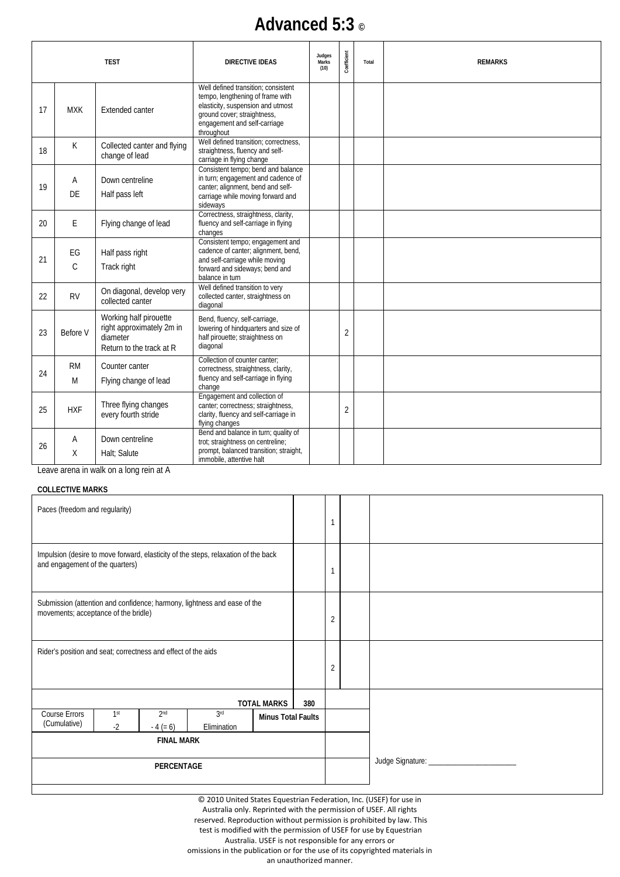# **Advanced 5:3 ©**

| <b>TEST</b> |                     |                                                                                             | <b>DIRECTIVE IDEAS</b>                                                                                                                                                                    | Judges<br>Marks<br>(10) | Coefficient    | Total | <b>REMARKS</b> |
|-------------|---------------------|---------------------------------------------------------------------------------------------|-------------------------------------------------------------------------------------------------------------------------------------------------------------------------------------------|-------------------------|----------------|-------|----------------|
| 17          | <b>MXK</b>          | Extended canter                                                                             | Well defined transition: consistent<br>tempo, lengthening of frame with<br>elasticity, suspension and utmost<br>ground cover; straightness,<br>engagement and self-carriage<br>throughout |                         |                |       |                |
| 18          | K                   | Collected canter and flying<br>change of lead                                               | Well defined transition: correctness.<br>straightness, fluency and self-<br>carriage in flying change                                                                                     |                         |                |       |                |
| 19          | A<br>DE             | Down centreline<br>Half pass left                                                           | Consistent tempo; bend and balance<br>in turn; engagement and cadence of<br>canter; alignment, bend and self-<br>carriage while moving forward and<br>sideways                            |                         |                |       |                |
| 20          | E                   | Flying change of lead                                                                       | Correctness, straightness, clarity,<br>fluency and self-carriage in flying<br>changes                                                                                                     |                         |                |       |                |
| 21          | EG<br>$\mathcal{C}$ | Half pass right<br>Track right                                                              | Consistent tempo; engagement and<br>cadence of canter; alignment, bend,<br>and self-carriage while moving<br>forward and sideways; bend and<br>balance in turn                            |                         |                |       |                |
| 22          | <b>RV</b>           | On diagonal, develop very<br>collected canter                                               | Well defined transition to very<br>collected canter, straightness on<br>diagonal                                                                                                          |                         |                |       |                |
| 23          | Before V            | Working half pirouette<br>right approximately 2m in<br>diameter<br>Return to the track at R | Bend, fluency, self-carriage,<br>lowering of hindquarters and size of<br>half pirouette; straightness on<br>diagonal                                                                      |                         | $\overline{2}$ |       |                |
| 24          | <b>RM</b><br>M      | Counter canter<br>Flying change of lead                                                     | Collection of counter canter:<br>correctness, straightness, clarity,<br>fluency and self-carriage in flying<br>change                                                                     |                         |                |       |                |
| 25          | <b>HXF</b>          | Three flying changes<br>every fourth stride                                                 | Engagement and collection of<br>canter; correctness; straightness,<br>clarity, fluency and self-carriage in<br>flying changes                                                             |                         | $\overline{2}$ |       |                |
| 26          | A<br>X              | Down centreline<br>Halt: Salute                                                             | Bend and balance in turn; quality of<br>trot; straightness on centreline;<br>prompt, balanced transition; straight,<br>immobile, attentive halt                                           |                         |                |       |                |

Leave arena in walk on a long rein at A

#### **COLLECTIVE MARKS**

| Paces (freedom and regularity)                                                                                        |                         |                               |                                |                    | $\mathbf{1}$              |                |                                |
|-----------------------------------------------------------------------------------------------------------------------|-------------------------|-------------------------------|--------------------------------|--------------------|---------------------------|----------------|--------------------------------|
| Impulsion (desire to move forward, elasticity of the steps, relaxation of the back<br>and engagement of the quarters) |                         |                               |                                |                    |                           |                |                                |
| Submission (attention and confidence; harmony, lightness and ease of the<br>movements; acceptance of the bridle)      |                         |                               |                                |                    |                           | 2              |                                |
| Rider's position and seat; correctness and effect of the aids                                                         |                         |                               |                                |                    |                           | $\overline{2}$ |                                |
|                                                                                                                       |                         |                               |                                | <b>TOTAL MARKS</b> | 380                       |                |                                |
| <b>Course Errors</b><br>(Cumulative)                                                                                  | 1 <sup>st</sup><br>$-2$ | 2 <sub>nd</sub><br>$-4 (= 6)$ | 3 <sup>rd</sup><br>Elimination |                    | <b>Minus Total Faults</b> |                |                                |
| <b>FINAL MARK</b>                                                                                                     |                         |                               |                                |                    |                           |                |                                |
| PERCENTAGE                                                                                                            |                         |                               |                                |                    |                           |                | Judge Signature: _____________ |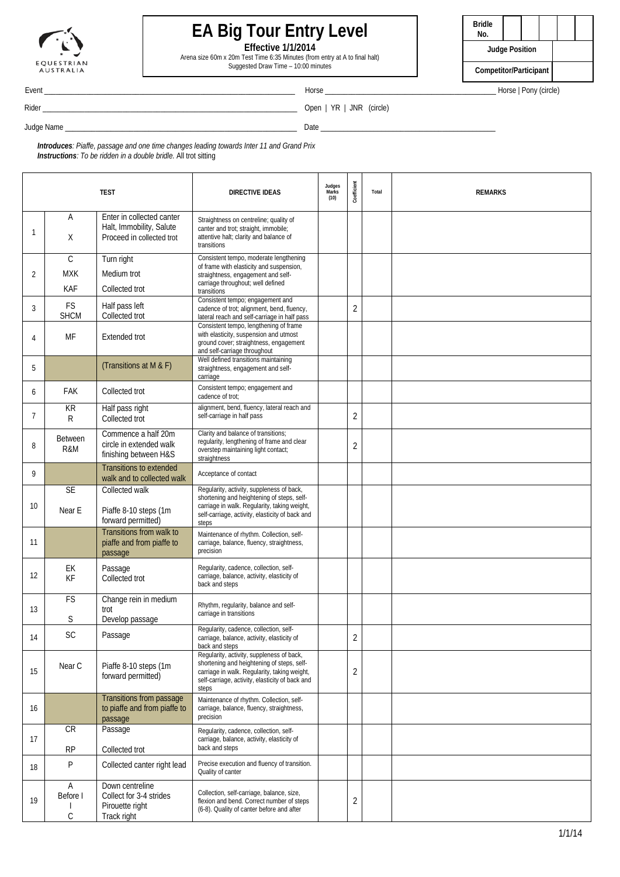

# **EA Big Tour Entry Level**

**Effective 1/1/2014**

Arena size 60m x 20m Test Time 6:35 Minutes (from entry at A to final halt) Suggested Draw Time – 10:00 minutes



Event \_\_\_\_\_\_\_\_\_\_\_\_\_\_\_\_\_\_\_\_\_\_\_\_\_\_\_\_\_\_\_\_\_\_\_\_\_\_\_\_\_\_\_\_\_\_\_\_\_\_\_\_\_\_\_\_\_\_\_\_\_\_\_\_\_\_ Horse \_\_\_\_\_\_\_\_\_\_\_\_\_\_\_\_\_\_\_\_\_\_\_\_\_\_\_\_\_\_\_\_\_\_\_\_\_\_\_\_\_\_\_\_\_ Horse | Pony (circle)

Rider \_\_\_\_\_\_\_\_\_\_\_\_\_\_\_\_\_\_\_\_\_\_\_\_\_\_\_\_\_\_\_\_\_\_\_\_\_\_\_\_\_\_\_\_\_\_\_\_\_\_\_\_\_\_\_\_\_\_\_\_\_\_\_\_\_\_\_ Open | YR | JNR (circle)

Judge Name \_\_\_\_\_\_\_\_\_\_\_\_\_\_\_\_\_\_\_\_\_\_\_\_\_\_\_\_\_\_\_\_\_\_\_\_\_\_\_\_\_\_\_\_\_\_\_\_\_\_\_\_\_\_\_\_\_\_\_\_\_ Date \_\_\_\_\_\_\_\_\_\_\_\_\_\_\_\_\_\_\_\_\_\_\_\_\_\_\_\_\_\_\_\_\_\_\_\_\_\_\_\_\_\_\_\_\_\_

*Introduces: Piaffe, passage and one time changes leading towards Inter 11 and Grand Prix Instructions: To be ridden in a double bridle.* All trot sitting

|    |                                          | <b>TEST</b>                                                                        | <b>DIRECTIVE IDEAS</b>                                                                                                                                                                              | Judges<br>Marks<br>(10) | Coefficient    | Total | <b>REMARKS</b> |
|----|------------------------------------------|------------------------------------------------------------------------------------|-----------------------------------------------------------------------------------------------------------------------------------------------------------------------------------------------------|-------------------------|----------------|-------|----------------|
| 1  | Α<br>X                                   | Enter in collected canter<br>Halt, Immobility, Salute<br>Proceed in collected trot | Straightness on centreline; quality of<br>canter and trot; straight, immobile;<br>attentive halt; clarity and balance of<br>transitions                                                             |                         |                |       |                |
| 2  | $\mathsf{C}$<br><b>MXK</b><br><b>KAF</b> | Turn right<br>Medium trot<br>Collected trot                                        | Consistent tempo, moderate lengthening<br>of frame with elasticity and suspension,<br>straightness, engagement and self-<br>carriage throughout; well defined<br>transitions                        |                         |                |       |                |
| 3  | <b>FS</b><br><b>SHCM</b>                 | Half pass left<br>Collected trot                                                   | Consistent tempo; engagement and<br>cadence of trot; alignment, bend, fluency,<br>lateral reach and self-carriage in half pass                                                                      |                         | 2              |       |                |
| 4  | МF                                       | <b>Extended trot</b>                                                               | Consistent tempo, lengthening of frame<br>with elasticity, suspension and utmost<br>ground cover; straightness, engagement<br>and self-carriage throughout                                          |                         |                |       |                |
| 5  |                                          | (Transitions at M & F)                                                             | Well defined transitions maintaining<br>straightness, engagement and self-<br>carriage                                                                                                              |                         |                |       |                |
| 6  | <b>FAK</b>                               | Collected trot                                                                     | Consistent tempo; engagement and<br>cadence of trot:                                                                                                                                                |                         |                |       |                |
| 7  | KR<br>R                                  | Half pass right<br>Collected trot                                                  | alignment, bend, fluency, lateral reach and<br>self-carriage in half pass                                                                                                                           |                         | 2              |       |                |
| 8  | <b>Between</b><br>R&M                    | Commence a half 20m<br>circle in extended walk<br>finishing between H&S            | Clarity and balance of transitions;<br>regularity, lengthening of frame and clear<br>overstep maintaining light contact;<br>straightness                                                            |                         | 2              |       |                |
| 9  |                                          | <b>Transitions to extended</b><br>walk and to collected walk                       | Acceptance of contact                                                                                                                                                                               |                         |                |       |                |
| 10 | <b>SE</b><br>Near E                      | Collected walk<br>Piaffe 8-10 steps (1m<br>forward permitted)                      | Regularity, activity, suppleness of back,<br>shortening and heightening of steps, self-<br>carriage in walk. Regularity, taking weight,<br>self-carriage, activity, elasticity of back and<br>steps |                         |                |       |                |
| 11 |                                          | Transitions from walk to<br>piaffe and from piaffe to<br>passage                   | Maintenance of rhythm. Collection, self-<br>carriage, balance, fluency, straightness,<br>precision                                                                                                  |                         |                |       |                |
| 12 | EK<br>KF                                 | Passage<br>Collected trot                                                          | Regularity, cadence, collection, self-<br>carriage, balance, activity, elasticity of<br>back and steps                                                                                              |                         |                |       |                |
| 13 | FS<br>S                                  | Change rein in medium<br>trot<br>Develop passage                                   | Rhythm, regularity, balance and self-<br>carriage in transitions                                                                                                                                    |                         |                |       |                |
| 14 | SC                                       | Passage                                                                            | Regularity, cadence, collection, self-<br>carriage, balance, activity, elasticity of<br>back and steps                                                                                              |                         | 2              |       |                |
| 15 | Near C                                   | Piaffe 8-10 steps (1m<br>forward permitted)                                        | Regularity, activity, suppleness of back,<br>shortening and heightening of steps, self-<br>carriage in walk. Regularity, taking weight,<br>self-carriage, activity, elasticity of back and<br>steps |                         | $\overline{2}$ |       |                |
| 16 |                                          | Transitions from passage<br>to piaffe and from piaffe to<br>passage                | Maintenance of rhythm. Collection, self-<br>carriage, balance, fluency, straightness,<br>precision                                                                                                  |                         |                |       |                |
| 17 | CR<br><b>RP</b>                          | Passage<br>Collected trot                                                          | Regularity, cadence, collection, self-<br>carriage, balance, activity, elasticity of<br>back and steps                                                                                              |                         |                |       |                |
| 18 | P                                        | Collected canter right lead                                                        | Precise execution and fluency of transition.<br>Quality of canter                                                                                                                                   |                         |                |       |                |
| 19 | A<br>Before I<br>C                       | Down centreline<br>Collect for 3-4 strides<br>Pirouette right<br>Track right       | Collection, self-carriage, balance, size,<br>flexion and bend. Correct number of steps<br>(6-8). Quality of canter before and after                                                                 |                         | 2              |       |                |